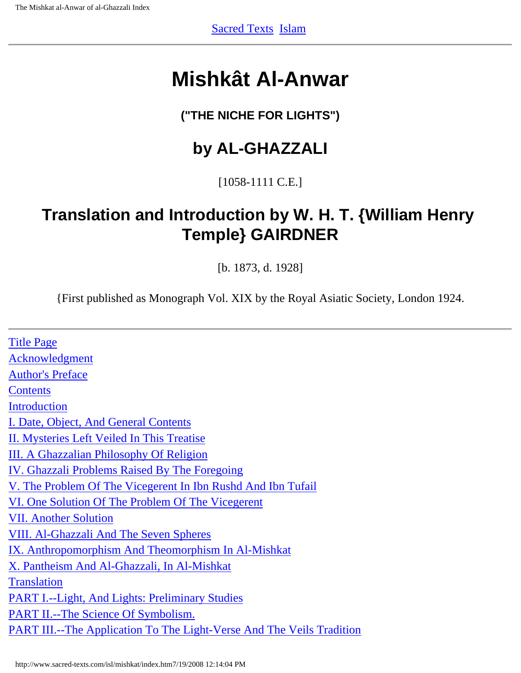## <span id="page-0-0"></span>**Mishkât Al-Anwar**

## **("THE NICHE FOR LIGHTS")**

## **by AL-GHAZZALI**

## [1058-1111 C.E.]

## **Translation and Introduction by W. H. T. {William Henry Temple} GAIRDNER**

[b. 1873, d. 1928]

{First published as Monograph Vol. XIX by the Royal Asiatic Society, London 1924.

| <b>Title Page</b>                                                            |
|------------------------------------------------------------------------------|
| Acknowledgment                                                               |
| <b>Author's Preface</b>                                                      |
| Contents                                                                     |
| <b>Introduction</b>                                                          |
| I. Date, Object, And General Contents                                        |
| II. Mysteries Left Veiled In This Treatise                                   |
| <b>III. A Ghazzalian Philosophy Of Religion</b>                              |
| IV. Ghazzali Problems Raised By The Foregoing                                |
| V. The Problem Of The Vicegerent In Ibn Rushd And Ibn Tufail                 |
| VI. One Solution Of The Problem Of The Vicegerent                            |
| <b>VII. Another Solution</b>                                                 |
| <b>VIII. Al-Ghazzali And The Seven Spheres</b>                               |
| IX. Anthropomorphism And Theomorphism In Al-Mishkat                          |
| X. Pantheism And Al-Ghazzali, In Al-Mishkat                                  |
| <b>Translation</b>                                                           |
| <b>PART I.</b> --Light, And Lights: Preliminary Studies                      |
| <b>PART II.--The Science Of Symbolism.</b>                                   |
| <b>PART III.--The Application To The Light-Verse And The Veils Tradition</b> |
|                                                                              |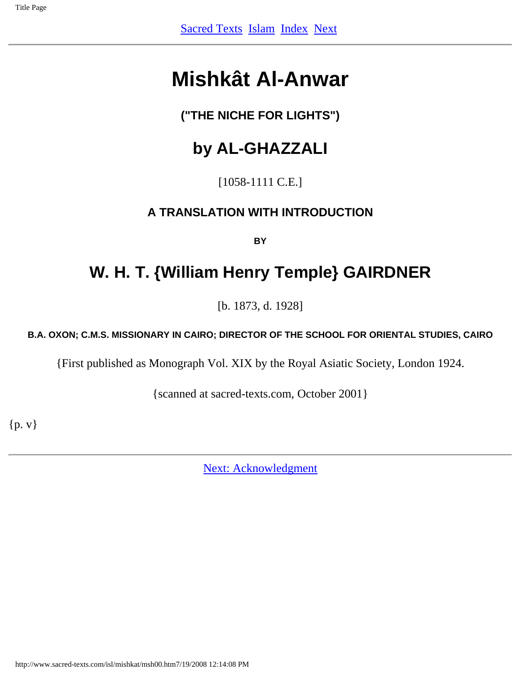## <span id="page-1-0"></span>**Mishkât Al-Anwar**

## **("THE NICHE FOR LIGHTS")**

## **by AL-GHAZZALI**

[1058-1111 C.E.]

### **A TRANSLATION WITH INTRODUCTION**

**BY**

## **W. H. T. {William Henry Temple} GAIRDNER**

[b. 1873, d. 1928]

#### **B.A. OXON; C.M.S. MISSIONARY IN CAIRO; DIRECTOR OF THE SCHOOL FOR ORIENTAL STUDIES, CAIRO**

{First published as Monograph Vol. XIX by the Royal Asiatic Society, London 1924.

{scanned at sacred-texts.com, October 2001}

{p. v}

[Next: Acknowledgment](#page-2-0)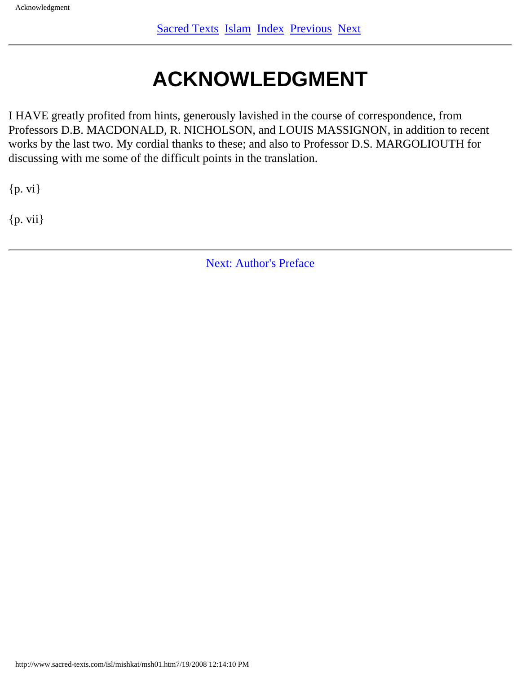# **ACKNOWLEDGMENT**

<span id="page-2-0"></span>I HAVE greatly profited from hints, generously lavished in the course of correspondence, from Professors D.B. MACDONALD, R. NICHOLSON, and LOUIS MASSIGNON, in addition to recent works by the last two. My cordial thanks to these; and also to Professor D.S. MARGOLIOUTH for discussing with me some of the difficult points in the translation.

{p. vi}

{p. vii}

[Next: Author's Preface](#page-3-0)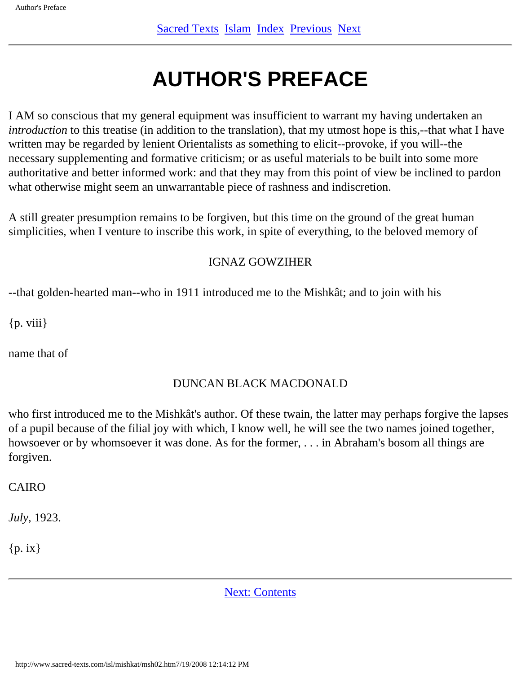# **AUTHOR'S PREFACE**

<span id="page-3-0"></span>I AM so conscious that my general equipment was insufficient to warrant my having undertaken an *introduction* to this treatise (in addition to the translation), that my utmost hope is this,--that what I have written may be regarded by lenient Orientalists as something to elicit--provoke, if you will--the necessary supplementing and formative criticism; or as useful materials to be built into some more authoritative and better informed work: and that they may from this point of view be inclined to pardon what otherwise might seem an unwarrantable piece of rashness and indiscretion.

A still greater presumption remains to be forgiven, but this time on the ground of the great human simplicities, when I venture to inscribe this work, in spite of everything, to the beloved memory of

#### IGNAZ GOWZIHER

--that golden-hearted man--who in 1911 introduced me to the Mishkât; and to join with his

 ${p. viii}$ 

name that of

#### DUNCAN BLACK MACDONALD

who first introduced me to the Mishkât's author. Of these twain, the latter may perhaps forgive the lapses of a pupil because of the filial joy with which, I know well, he will see the two names joined together, howsoever or by whomsoever it was done. As for the former, . . . in Abraham's bosom all things are forgiven.

CAIRO

*July*, 1923.

 ${p. ix}$ 

[Next: Contents](#page-4-0)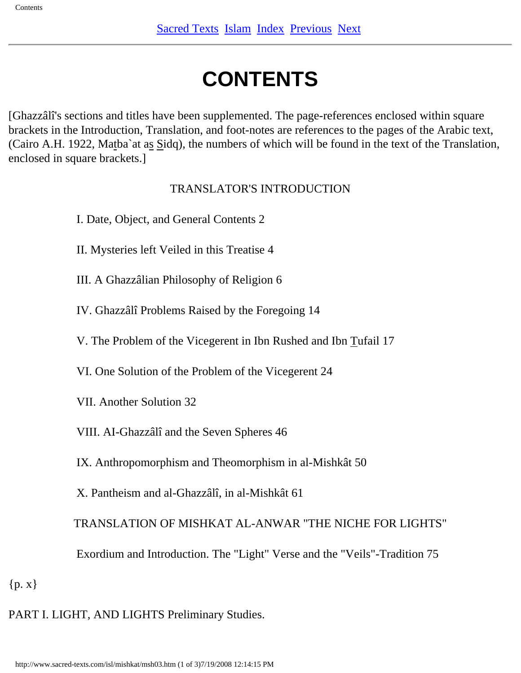# **CONTENTS**

<span id="page-4-0"></span>[Ghazzâlî's sections and titles have been supplemented. The page-references enclosed within square brackets in the Introduction, Translation, and foot-notes are references to the pages of the Arabic text, (Cairo A.H. 1922, Matba`at as Sidq), the numbers of which will be found in the text of the Translation, enclosed in square brackets.]

#### TRANSLATOR'S INTRODUCTION

- I. Date, Object, and General Contents 2
- II. Mysteries left Veiled in this Treatise 4
- III. A Ghazzâlian Philosophy of Religion 6
- IV. Ghazzâlî Problems Raised by the Foregoing 14
- V. The Problem of the Vicegerent in Ibn Rushed and Ibn Tufail 17
- VI. One Solution of the Problem of the Vicegerent 24
- VII. Another Solution 32
- VIII. AI-Ghazzâlî and the Seven Spheres 46
- IX. Anthropomorphism and Theomorphism in al-Mishkât 50
- X. Pantheism and al-Ghazzâlî, in al-Mishkât 61

TRANSLATION OF MISHKAT AL-ANWAR "THE NICHE FOR LIGHTS"

- Exordium and Introduction. The "Light" Verse and the "Veils"-Tradition 75
- ${p.x}$

PART I. LIGHT, AND LIGHTS Preliminary Studies.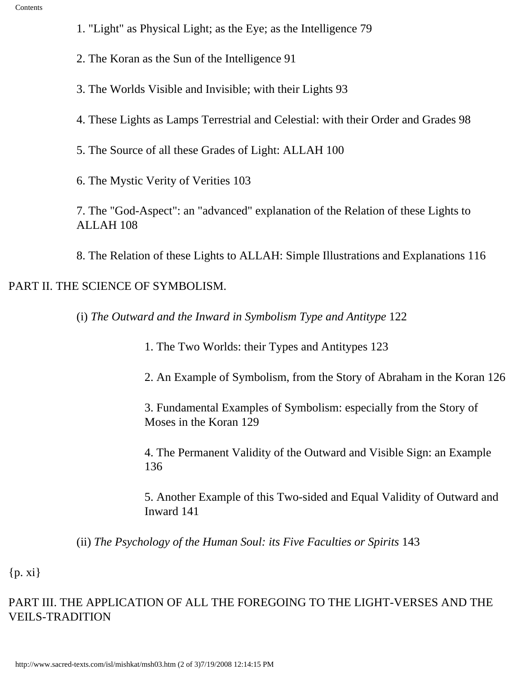- 1. "Light" as Physical Light; as the Eye; as the Intelligence 79
- 2. The Koran as the Sun of the Intelligence 91
- 3. The Worlds Visible and Invisible; with their Lights 93
- 4. These Lights as Lamps Terrestrial and Celestial: with their Order and Grades 98
- 5. The Source of all these Grades of Light: ALLAH 100
- 6. The Mystic Verity of Verities 103
- 7. The "God-Aspect": an "advanced" explanation of the Relation of these Lights to ALLAH 108
- 8. The Relation of these Lights to ALLAH: Simple Illustrations and Explanations 116

#### PART II. THE SCIENCE OF SYMBOLISM.

- (i) *The Outward and the Inward in Symbolism Type and Antitype* 122
	- 1. The Two Worlds: their Types and Antitypes 123
	- 2. An Example of Symbolism, from the Story of Abraham in the Koran 126
	- 3. Fundamental Examples of Symbolism: especially from the Story of Moses in the Koran 129
	- 4. The Permanent Validity of the Outward and Visible Sign: an Example 136
	- 5. Another Example of this Two-sided and Equal Validity of Outward and Inward 141

(ii) *The Psychology of the Human Soul: its Five Faculties or Spirits* 143

{p. xi}

#### PART III. THE APPLICATION OF ALL THE FOREGOING TO THE LIGHT-VERSES AND THE VEILS-TRADITION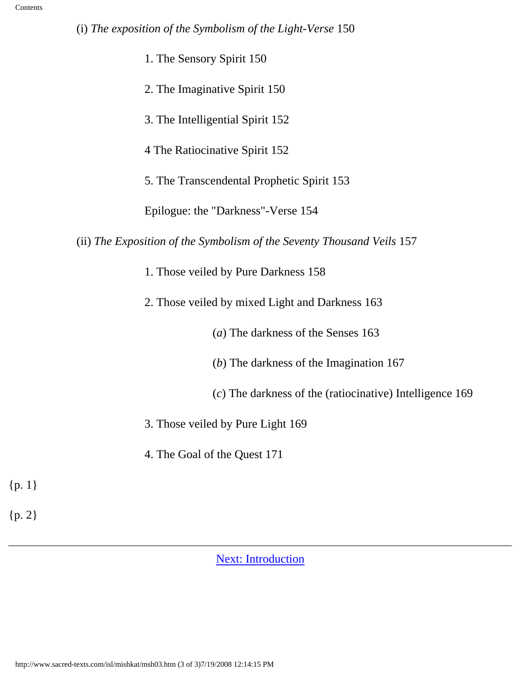|  | (i) The exposition of the Symbolism of the Light-Verse 150 |  |  |  |  |
|--|------------------------------------------------------------|--|--|--|--|
|  |                                                            |  |  |  |  |

| 1. The Sensory Spirit 150                                              |  |  |  |  |
|------------------------------------------------------------------------|--|--|--|--|
| 2. The Imaginative Spirit 150                                          |  |  |  |  |
| 3. The Intelligential Spirit 152                                       |  |  |  |  |
| 4 The Ratiocinative Spirit 152                                         |  |  |  |  |
| 5. The Transcendental Prophetic Spirit 153                             |  |  |  |  |
| Epilogue: the "Darkness"-Verse 154                                     |  |  |  |  |
| (ii) The Exposition of the Symbolism of the Seventy Thousand Veils 157 |  |  |  |  |
| 1. Those veiled by Pure Darkness 158                                   |  |  |  |  |
| 2. Those veiled by mixed Light and Darkness 163                        |  |  |  |  |
| (a) The darkness of the Senses 163                                     |  |  |  |  |
| $(b)$ The darkness of the Imagination 167                              |  |  |  |  |
| (c) The darkness of the (ratiocinative) Intelligence 169               |  |  |  |  |
| 3. Those veiled by Pure Light 169                                      |  |  |  |  |
| 4. The Goal of the Quest 171                                           |  |  |  |  |
| ${p. 1}$                                                               |  |  |  |  |
| ${p.2}$                                                                |  |  |  |  |

[Next: Introduction](#page-7-0)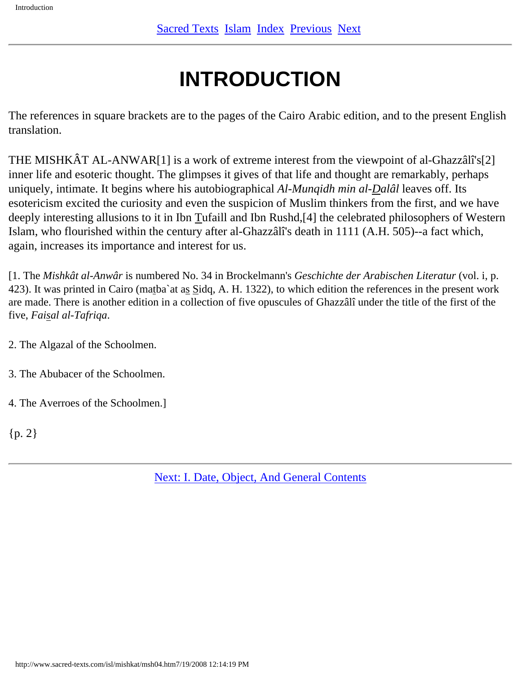# **INTRODUCTION**

<span id="page-7-0"></span>The references in square brackets are to the pages of the Cairo Arabic edition, and to the present English translation.

THE MISHKÂT AL-ANWAR[1] is a work of extreme interest from the viewpoint of al-Ghazzâlî's[2] inner life and esoteric thought. The glimpses it gives of that life and thought are remarkably, perhaps uniquely, intimate. It begins where his autobiographical *Al-Munqidh min al-Dalâl* leaves off. Its esotericism excited the curiosity and even the suspicion of Muslim thinkers from the first, and we have deeply interesting allusions to it in Ibn Tufaill and Ibn Rushd,[4] the celebrated philosophers of Western Islam, who flourished within the century after al-Ghazzâlî's death in 1111 (A.H. 505)--a fact which, again, increases its importance and interest for us.

[1. The *Mishkât al-Anwâr* is numbered No. 34 in Brockelmann's *Geschichte der Arabischen Literatur* (vol. i, p. 423). It was printed in Cairo (matba`at as Sidq, A. H. 1322), to which edition the references in the present work are made. There is another edition in a collection of five opuscules of Ghazzâlî under the title of the first of the five, *Faisal al-Tafriqa*.

2. The Algazal of the Schoolmen.

3. The Abubacer of the Schoolmen.

4. The Averroes of the Schoolmen.]

{p. 2}

[Next: I. Date, Object, And General Contents](#page-8-0)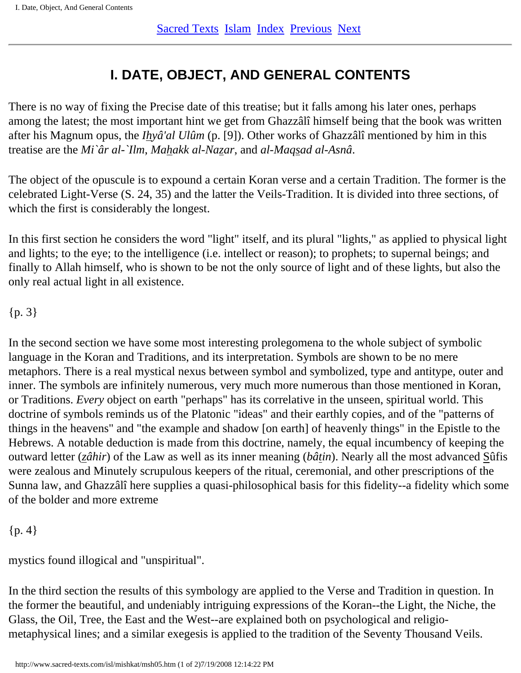## **I. DATE, OBJECT, AND GENERAL CONTENTS**

<span id="page-8-0"></span>There is no way of fixing the Precise date of this treatise; but it falls among his later ones, perhaps among the latest; the most important hint we get from Ghazzâlî himself being that the book was written after his Magnum opus, the *Ihyâ'al Ulûm* (p. [9]). Other works of Ghazzâlî mentioned by him in this treatise are the *Mi`âr al-`Ilm*, *Mahakk al-Nazar*, and *al-Maqsad al-Asnâ*.

The object of the opuscule is to expound a certain Koran verse and a certain Tradition. The former is the celebrated Light-Verse (S. 24, 35) and the latter the Veils-Tradition. It is divided into three sections, of which the first is considerably the longest.

In this first section he considers the word "light" itself, and its plural "lights," as applied to physical light and lights; to the eye; to the intelligence (i.e. intellect or reason); to prophets; to supernal beings; and finally to Allah himself, who is shown to be not the only source of light and of these lights, but also the only real actual light in all existence.

#### ${p. 3}$

In the second section we have some most interesting prolegomena to the whole subject of symbolic language in the Koran and Traditions, and its interpretation. Symbols are shown to be no mere metaphors. There is a real mystical nexus between symbol and symbolized, type and antitype, outer and inner. The symbols are infinitely numerous, very much more numerous than those mentioned in Koran, or Traditions. *Every* object on earth "perhaps" has its correlative in the unseen, spiritual world. This doctrine of symbols reminds us of the Platonic "ideas" and their earthly copies, and of the "patterns of things in the heavens" and "the example and shadow [on earth] of heavenly things" in the Epistle to the Hebrews. A notable deduction is made from this doctrine, namely, the equal incumbency of keeping the outward letter (*zâhir*) of the Law as well as its inner meaning (*bâtin*). Nearly all the most advanced Sûfis were zealous and Minutely scrupulous keepers of the ritual, ceremonial, and other prescriptions of the Sunna law, and Ghazzâlî here supplies a quasi-philosophical basis for this fidelity--a fidelity which some of the bolder and more extreme

#### ${p. 4}$

mystics found illogical and "unspiritual".

In the third section the results of this symbology are applied to the Verse and Tradition in question. In the former the beautiful, and undeniably intriguing expressions of the Koran--the Light, the Niche, the Glass, the Oil, Tree, the East and the West--are explained both on psychological and religiometaphysical lines; and a similar exegesis is applied to the tradition of the Seventy Thousand Veils.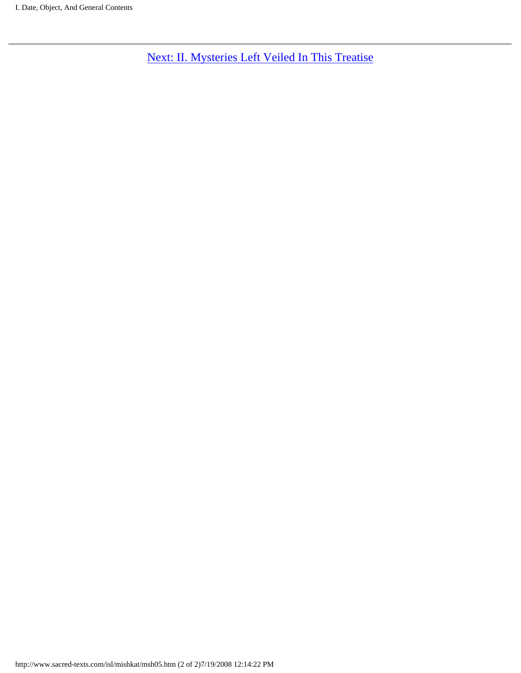[Next: II. Mysteries Left Veiled In This Treatise](#page-10-0)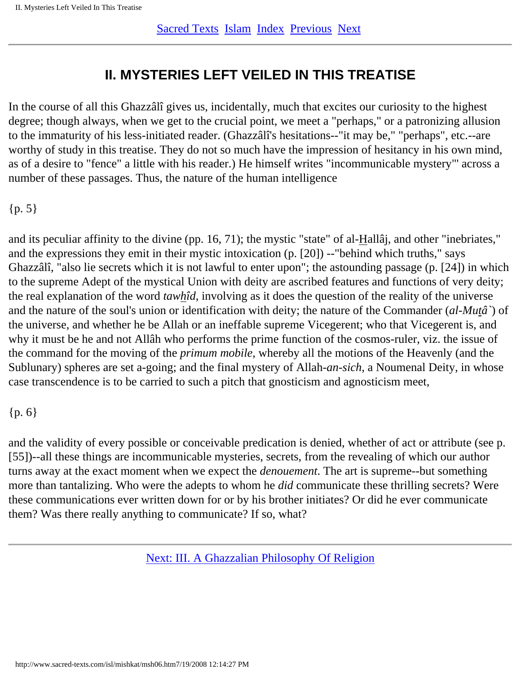## **II. MYSTERIES LEFT VEILED IN THIS TREATISE**

<span id="page-10-0"></span>In the course of all this Ghazzâlî gives us, incidentally, much that excites our curiosity to the highest degree; though always, when we get to the crucial point, we meet a "perhaps," or a patronizing allusion to the immaturity of his less-initiated reader. (Ghazzâlî's hesitations--"it may be," "perhaps", etc.--are worthy of study in this treatise. They do not so much have the impression of hesitancy in his own mind, as of a desire to "fence" a little with his reader.) He himself writes "incommunicable mystery"' across a number of these passages. Thus, the nature of the human intelligence

#### {p. 5}

and its peculiar affinity to the divine (pp. 16, 71); the mystic "state" of al-Hallâj, and other "inebriates," and the expressions they emit in their mystic intoxication (p. [20]) --"behind which truths," says Ghazzâlî, "also lie secrets which it is not lawful to enter upon"; the astounding passage (p. [24]) in which to the supreme Adept of the mystical Union with deity are ascribed features and functions of very deity; the real explanation of the word *tawhîd*, involving as it does the question of the reality of the universe and the nature of the soul's union or identification with deity; the nature of the Commander (*al-Mutâ`*) of the universe, and whether he be Allah or an ineffable supreme Vicegerent; who that Vicegerent is, and why it must be he and not Allâh who performs the prime function of the cosmos-ruler, viz. the issue of the command for the moving of the *primum mobile*, whereby all the motions of the Heavenly (and the Sublunary) spheres are set a-going; and the final mystery of Allah-*an-sich*, a Noumenal Deity, in whose case transcendence is to be carried to such a pitch that gnosticism and agnosticism meet,

#### {p. 6}

and the validity of every possible or conceivable predication is denied, whether of act or attribute (see p. [55])--all these things are incommunicable mysteries, secrets, from the revealing of which our author turns away at the exact moment when we expect the *denouement*. The art is supreme--but something more than tantalizing. Who were the adepts to whom he *did* communicate these thrilling secrets? Were these communications ever written down for or by his brother initiates? Or did he ever communicate them? Was there really anything to communicate? If so, what?

[Next: III. A Ghazzalian Philosophy Of Religion](#page-11-0)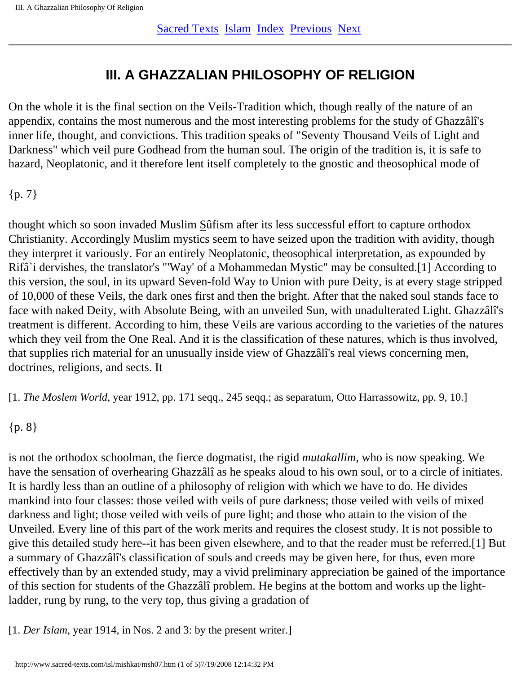## **III. A GHAZZALIAN PHILOSOPHY OF RELIGION**

<span id="page-11-0"></span>On the whole it is the final section on the Veils-Tradition which, though really of the nature of an appendix, contains the most numerous and the most interesting problems for the study of Ghazzâlî's inner life, thought, and convictions. This tradition speaks of "Seventy Thousand Veils of Light and Darkness" which veil pure Godhead from the human soul. The origin of the tradition is, it is safe to hazard, Neoplatonic, and it therefore lent itself completely to the gnostic and theosophical mode of

 ${p. 7}$ 

thought which so soon invaded Muslim Sûfism after its less successful effort to capture orthodox Christianity. Accordingly Muslim mystics seem to have seized upon the tradition with avidity, though they interpret it variously. For an entirely Neoplatonic, theosophical interpretation, as expounded by Rifâ`i dervishes, the translator's "'Way' of a Mohammedan Mystic" may be consulted.[1] According to this version, the soul, in its upward Seven-fold Way to Union with pure Deity, is at every stage stripped of 10,000 of these Veils, the dark ones first and then the bright. After that the naked soul stands face to face with naked Deity, with Absolute Being, with an unveiled Sun, with unadulterated Light. Ghazzâlî's treatment is different. According to him, these Veils are various according to the varieties of the natures which they veil from the One Real. And it is the classification of these natures, which is thus involved, that supplies rich material for an unusually inside view of Ghazzâlî's real views concerning men, doctrines, religions, and sects. It

[1. *The Moslem World*, year 1912, pp. 171 seqq., 245 seqq.; as separatum, Otto Harrassowitz, pp. 9, 10.]

#### {p. 8}

is not the orthodox schoolman, the fierce dogmatist, the rigid *mutakallim*, who is now speaking. We have the sensation of overhearing Ghazzâlî as he speaks aloud to his own soul, or to a circle of initiates. It is hardly less than an outline of a philosophy of religion with which we have to do. He divides mankind into four classes: those veiled with veils of pure darkness; those veiled with veils of mixed darkness and light; those veiled with veils of pure light; and those who attain to the vision of the Unveiled. Every line of this part of the work merits and requires the closest study. It is not possible to give this detailed study here--it has been given elsewhere, and to that the reader must be referred.[1] But a summary of Ghazzâlî's classification of souls and creeds may be given here, for thus, even more effectively than by an extended study, may a vivid preliminary appreciation be gained of the importance of this section for students of the Ghazzâlî problem. He begins at the bottom and works up the lightladder, rung by rung, to the very top, thus giving a gradation of

[1. *Der Islam*, year 1914, in Nos. 2 and 3: by the present writer.]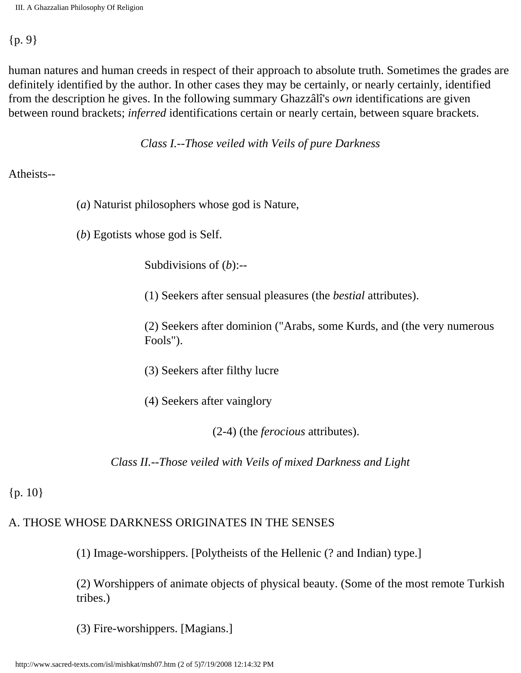#### {p. 9}

human natures and human creeds in respect of their approach to absolute truth. Sometimes the grades are definitely identified by the author. In other cases they may be certainly, or nearly certainly, identified from the description he gives. In the following summary Ghazzâlî's *own* identifications are given between round brackets; *inferred* identifications certain or nearly certain, between square brackets.

*Class I.--Those veiled with Veils of pure Darkness*

#### Atheists--

- (*a*) Naturist philosophers whose god is Nature,
- (*b*) Egotists whose god is Self.

Subdivisions of (*b*):--

(1) Seekers after sensual pleasures (the *bestial* attributes).

(2) Seekers after dominion ("Arabs, some Kurds, and (the very numerous Fools").

- (3) Seekers after filthy lucre
- (4) Seekers after vainglory

(2-4) (the *ferocious* attributes).

*Class II.--Those veiled with Veils of mixed Darkness and Light*

### ${p. 10}$

## A. THOSE WHOSE DARKNESS ORIGINATES IN THE SENSES

(1) Image-worshippers. [Polytheists of the Hellenic (? and Indian) type.]

(2) Worshippers of animate objects of physical beauty. (Some of the most remote Turkish tribes.)

(3) Fire-worshippers. [Magians.]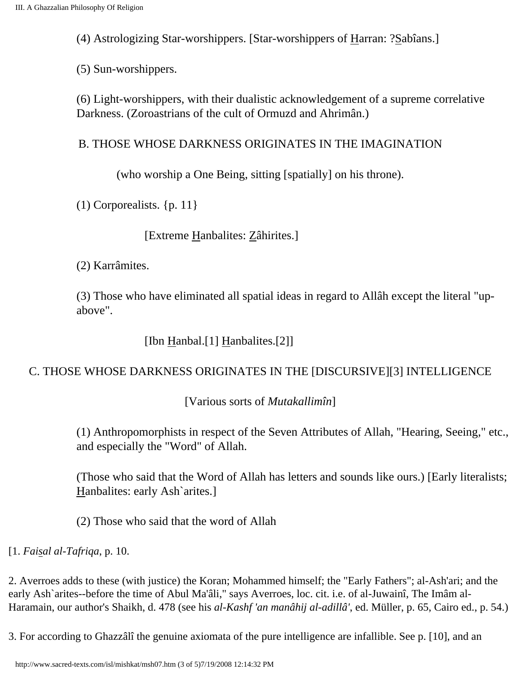(4) Astrologizing Star-worshippers. [Star-worshippers of Harran: ?Sabîans.]

(5) Sun-worshippers.

(6) Light-worshippers, with their dualistic acknowledgement of a supreme correlative Darkness. (Zoroastrians of the cult of Ormuzd and Ahrimân.)

### B. THOSE WHOSE DARKNESS ORIGINATES IN THE IMAGINATION

(who worship a One Being, sitting [spatially] on his throne).

(1) Corporealists. {p. 11}

[Extreme Hanbalites: Zâhirites.]

(2) Karrâmites.

(3) Those who have eliminated all spatial ideas in regard to Allâh except the literal "upabove".

[Ibn Hanbal.[1] Hanbalites.[2]]

### C. THOSE WHOSE DARKNESS ORIGINATES IN THE [DISCURSIVE][3] INTELLIGENCE

[Various sorts of *Mutakallimîn*]

(1) Anthropomorphists in respect of the Seven Attributes of Allah, "Hearing, Seeing," etc., and especially the "Word" of Allah.

(Those who said that the Word of Allah has letters and sounds like ours.) [Early literalists; Hanbalites: early Ash`arites.]

(2) Those who said that the word of Allah

[1. *Faisal al-Tafriqa*, p. 10.

2. Averroes adds to these (with justice) the Koran; Mohammed himself; the "Early Fathers"; al-Ash'ari; and the early Ash`arites--before the time of Abul Ma'âli," says Averroes, loc. cit. i.e. of al-Juwainî, The Imâm al-Haramain, our author's Shaikh, d. 478 (see his *al-Kashf 'an manâhij al-adillâ'*, ed. Müller, p. 65, Cairo ed., p. 54.)

3. For according to Ghazzâlî the genuine axiomata of the pure intelligence are infallible. See p. [10], and an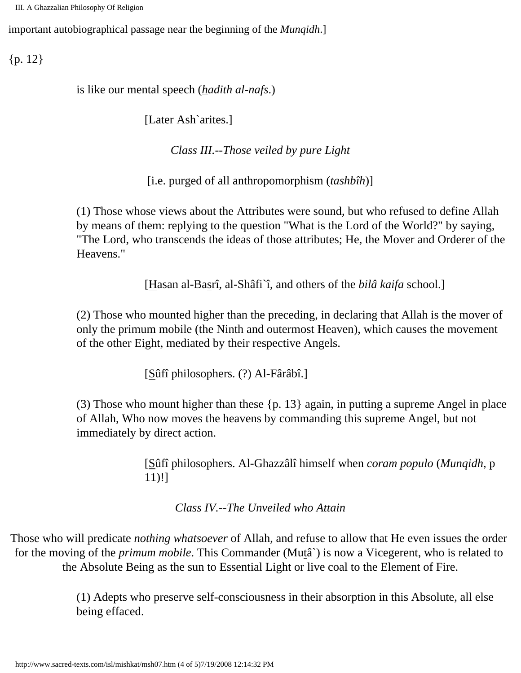III. A Ghazzalian Philosophy Of Religion

important autobiographical passage near the beginning of the *Munqidh*.]

 ${p. 12}$ 

is like our mental speech (*hadith al-nafs*.)

[Later Ash`arites.]

*Class III.--Those veiled by pure Light*

[i.e. purged of all anthropomorphism (*tashbîh*)]

(1) Those whose views about the Attributes were sound, but who refused to define Allah by means of them: replying to the question "What is the Lord of the World?" by saying, "The Lord, who transcends the ideas of those attributes; He, the Mover and Orderer of the Heavens."

[Hasan al-Basrî, al-Shâfi`î, and others of the *bilâ kaifa* school.]

(2) Those who mounted higher than the preceding, in declaring that Allah is the mover of only the primum mobile (the Ninth and outermost Heaven), which causes the movement of the other Eight, mediated by their respective Angels.

[Sûfî philosophers. (?) Al-Fârâbî.]

(3) Those who mount higher than these {p. 13} again, in putting a supreme Angel in place of Allah, Who now moves the heavens by commanding this supreme Angel, but not immediately by direct action.

> [Sûfî philosophers. Al-Ghazzâlî himself when *coram populo* (*Munqidh*, p 11)!]

*Class IV.--The Unveiled who Attain*

Those who will predicate *nothing whatsoever* of Allah, and refuse to allow that He even issues the order for the moving of the *primum mobile*. This Commander (Mutâ`) is now a Vicegerent, who is related to the Absolute Being as the sun to Essential Light or live coal to the Element of Fire.

> (1) Adepts who preserve self-consciousness in their absorption in this Absolute, all else being effaced.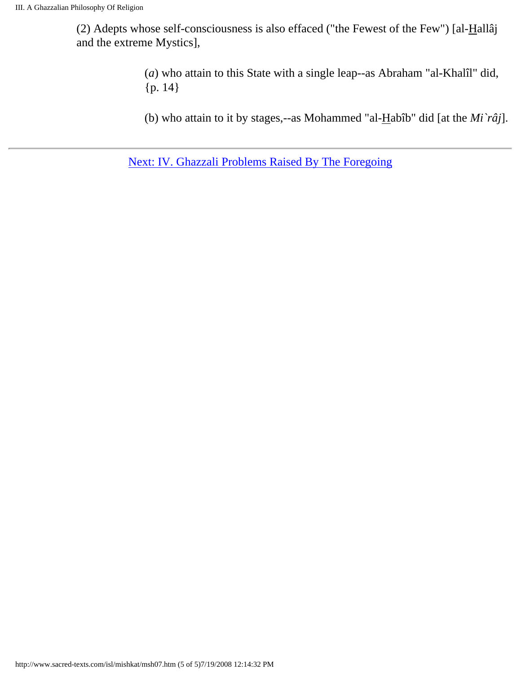(2) Adepts whose self-consciousness is also effaced ("the Fewest of the Few") [al- $H$ allâj and the extreme Mystics],

> (*a*) who attain to this State with a single leap--as Abraham "al-Khalîl" did, {p. 14}

(b) who attain to it by stages,--as Mohammed "al-Habîb" did [at the *Mi`râj*].

[Next: IV. Ghazzali Problems Raised By The Foregoing](#page-16-0)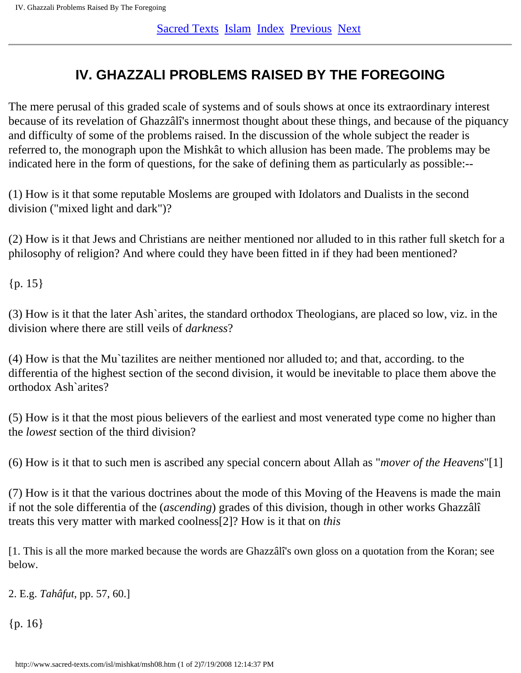## <span id="page-16-0"></span>**IV. GHAZZALI PROBLEMS RAISED BY THE FOREGOING**

The mere perusal of this graded scale of systems and of souls shows at once its extraordinary interest because of its revelation of Ghazzâlî's innermost thought about these things, and because of the piquancy and difficulty of some of the problems raised. In the discussion of the whole subject the reader is referred to, the monograph upon the Mishkât to which allusion has been made. The problems may be indicated here in the form of questions, for the sake of defining them as particularly as possible:--

(1) How is it that some reputable Moslems are grouped with Idolators and Dualists in the second division ("mixed light and dark")?

(2) How is it that Jews and Christians are neither mentioned nor alluded to in this rather full sketch for a philosophy of religion? And where could they have been fitted in if they had been mentioned?

 ${p. 15}$ 

(3) How is it that the later Ash`arites, the standard orthodox Theologians, are placed so low, viz. in the division where there are still veils of *darkness*?

(4) How is that the Mu`tazilites are neither mentioned nor alluded to; and that, according. to the differentia of the highest section of the second division, it would be inevitable to place them above the orthodox Ash`arites?

(5) How is it that the most pious believers of the earliest and most venerated type come no higher than the *lowest* section of the third division?

(6) How is it that to such men is ascribed any special concern about Allah as "*mover of the Heavens*"[1]

(7) How is it that the various doctrines about the mode of this Moving of the Heavens is made the main if not the sole differentia of the (*ascending*) grades of this division, though in other works Ghazzâlî treats this very matter with marked coolness[2]? How is it that on *this*

[1. This is all the more marked because the words are Ghazzâlî's own gloss on a quotation from the Koran; see below.

2. E.g. *Tahâfut*, pp. 57, 60.]

 ${p. 16}$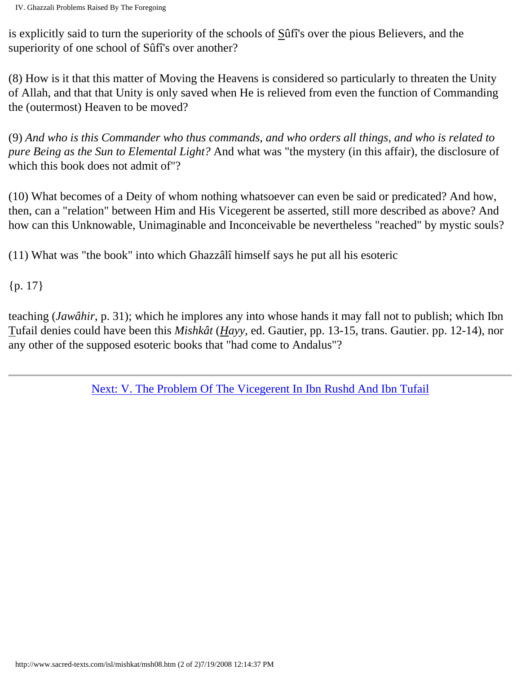is explicitly said to turn the superiority of the schools of Sûfî's over the pious Believers, and the superiority of one school of Sûfî's over another?

(8) How is it that this matter of Moving the Heavens is considered so particularly to threaten the Unity of Allah, and that that Unity is only saved when He is relieved from even the function of Commanding the (outermost) Heaven to be moved?

(9) *And who is this Commander who thus commands, and who orders all things, and who is related to pure Being as the Sun to Elemental Light?* And what was "the mystery (in this affair), the disclosure of which this book does not admit of"?

(10) What becomes of a Deity of whom nothing whatsoever can even be said or predicated? And how, then, can a "relation" between Him and His Vicegerent be asserted, still more described as above? And how can this Unknowable, Unimaginable and Inconceivable be nevertheless "reached" by mystic souls?

(11) What was "the book" into which Ghazzâlî himself says he put all his esoteric

{p. 17}

teaching (*Jawâhir*, p. 31); which he implores any into whose hands it may fall not to publish; which Ibn Tufail denies could have been this *Mishkât* (*Hayy*, ed. Gautier, pp. 13-15, trans. Gautier. pp. 12-14), nor any other of the supposed esoteric books that "had come to Andalus"?

[Next: V. The Problem Of The Vicegerent In Ibn Rushd And Ibn Tufail](#page-18-0)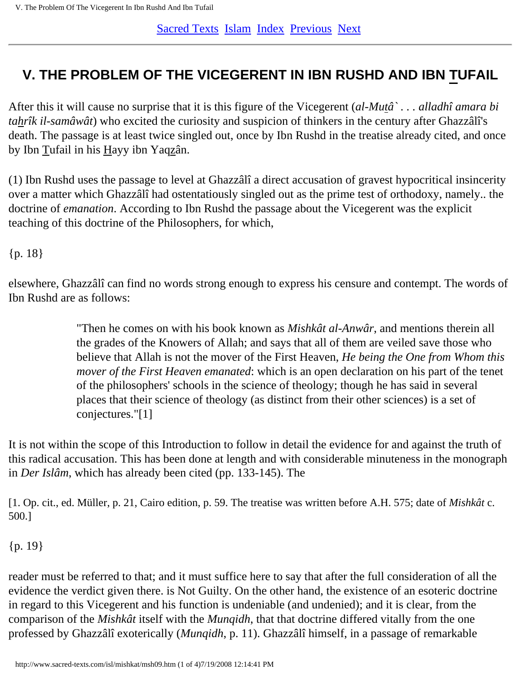## <span id="page-18-0"></span>**V. THE PROBLEM OF THE VICEGERENT IN IBN RUSHD AND IBN TUFAIL**

After this it will cause no surprise that it is this figure of the Vicegerent (*al-Mutâ` . . . alladhî amara bi tahrîk il-samâwât*) who excited the curiosity and suspicion of thinkers in the century after Ghazzâlî's death. The passage is at least twice singled out, once by Ibn Rushd in the treatise already cited, and once by Ibn Tufail in his Hayy ibn Yaqzân.

(1) Ibn Rushd uses the passage to level at Ghazzâlî a direct accusation of gravest hypocritical insincerity over a matter which Ghazzâlî had ostentatiously singled out as the prime test of orthodoxy, namely.. the doctrine of *emanation*. According to Ibn Rushd the passage about the Vicegerent was the explicit teaching of this doctrine of the Philosophers, for which,

{p. 18}

elsewhere, Ghazzâlî can find no words strong enough to express his censure and contempt. The words of Ibn Rushd are as follows:

> "Then he comes on with his book known as *Mishkât al-Anwâr*, and mentions therein all the grades of the Knowers of Allah; and says that all of them are veiled save those who believe that Allah is not the mover of the First Heaven, *He being the One from Whom this mover of the First Heaven emanated*: which is an open declaration on his part of the tenet of the philosophers' schools in the science of theology; though he has said in several places that their science of theology (as distinct from their other sciences) is a set of conjectures."[1]

It is not within the scope of this Introduction to follow in detail the evidence for and against the truth of this radical accusation. This has been done at length and with considerable minuteness in the monograph in *Der Islâm*, which has already been cited (pp. 133-145). The

[1. Op. cit., ed. Müller, p. 21, Cairo edition, p. 59. The treatise was written before A.H. 575; date of *Mishkât* c. 500.]

### {p. 19}

reader must be referred to that; and it must suffice here to say that after the full consideration of all the evidence the verdict given there. is Not Guilty. On the other hand, the existence of an esoteric doctrine in regard to this Vicegerent and his function is undeniable (and undenied); and it is clear, from the comparison of the *Mishkât* itself with the *Munqidh*, that that doctrine differed vitally from the one professed by Ghazzâlî exoterically (*Munqidh*, p. 11). Ghazzâlî himself, in a passage of remarkable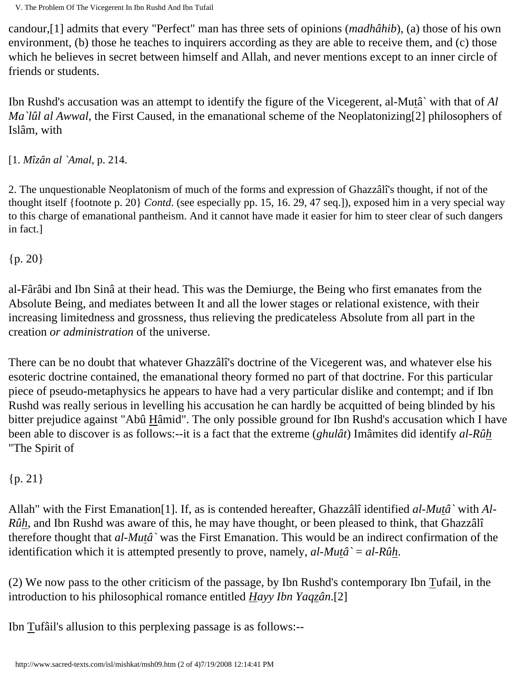V. The Problem Of The Vicegerent In Ibn Rushd And Ibn Tufail

candour,[1] admits that every "Perfect" man has three sets of opinions (*madhâhib*), (a) those of his own environment, (b) those he teaches to inquirers according as they are able to receive them, and (c) those which he believes in secret between himself and Allah, and never mentions except to an inner circle of friends or students.

Ibn Rushd's accusation was an attempt to identify the figure of the Vicegerent, al-Mutâ` with that of *Al Ma`lûl al Awwal*, the First Caused, in the emanational scheme of the Neoplatonizing[2] philosophers of Islâm, with

[1. *Mîzân al `Amal*, p. 214.

2. The unquestionable Neoplatonism of much of the forms and expression of Ghazzâlî's thought, if not of the thought itself {footnote p. 20} *Contd*. (see especially pp. 15, 16. 29, 47 seq.]), exposed him in a very special way to this charge of emanational pantheism. And it cannot have made it easier for him to steer clear of such dangers in fact.]

{p. 20}

al-Fârâbi and Ibn Sinâ at their head. This was the Demiurge, the Being who first emanates from the Absolute Being, and mediates between It and all the lower stages or relational existence, with their increasing limitedness and grossness, thus relieving the predicateless Absolute from all part in the creation *or administration* of the universe.

There can be no doubt that whatever Ghazzâlî's doctrine of the Vicegerent was, and whatever else his esoteric doctrine contained, the emanational theory formed no part of that doctrine. For this particular piece of pseudo-metaphysics he appears to have had a very particular dislike and contempt; and if Ibn Rushd was really serious in levelling his accusation he can hardly be acquitted of being blinded by his bitter prejudice against "Abû Hâmid". The only possible ground for Ibn Rushd's accusation which I have been able to discover is as follows:--it is a fact that the extreme (*ghulât*) Imâmites did identify *al-Rûh* "The Spirit of

{p. 21}

Allah" with the First Emanation[1]. If, as is contended hereafter, Ghazzâlî identified *al-Mutâ`* with *Al-Rûh*, and Ibn Rushd was aware of this, he may have thought, or been pleased to think, that Ghazzâlî therefore thought that *al-Mutâ`* was the First Emanation. This would be an indirect confirmation of the identification which it is attempted presently to prove, namely, *al-Mutâ`* = *al-Rûh*.

(2) We now pass to the other criticism of the passage, by Ibn Rushd's contemporary Ibn Tufail, in the introduction to his philosophical romance entitled *Hayy Ibn Yaqzân*.[2]

Ibn Tufâil's allusion to this perplexing passage is as follows:--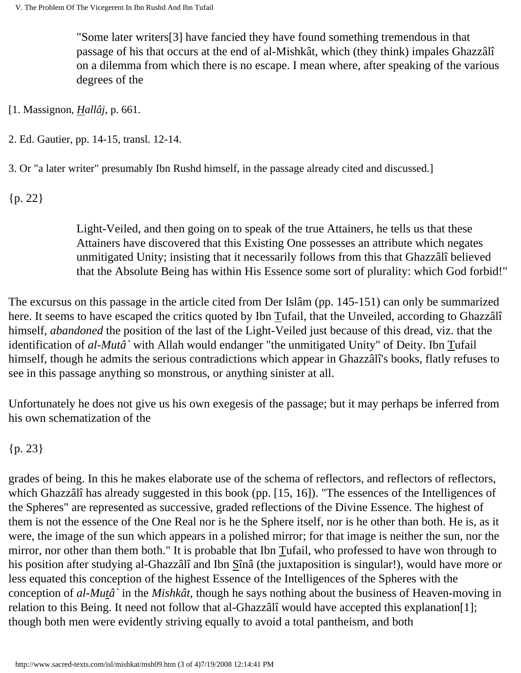"Some later writers[3] have fancied they have found something tremendous in that passage of his that occurs at the end of al-Mishkât, which (they think) impales Ghazzâlî on a dilemma from which there is no escape. I mean where, after speaking of the various degrees of the

[1. Massignon, *Hallâj*, p. 661.

2. Ed. Gautier, pp. 14-15, transl. 12-14.

3. Or "a later writer" presumably Ibn Rushd himself, in the passage already cited and discussed.]

{p. 22}

Light-Veiled, and then going on to speak of the true Attainers, he tells us that these Attainers have discovered that this Existing One possesses an attribute which negates unmitigated Unity; insisting that it necessarily follows from this that Ghazzâlî believed that the Absolute Being has within His Essence some sort of plurality: which God forbid!"

The excursus on this passage in the article cited from Der Islâm (pp. 145-151) can only be summarized here. It seems to have escaped the critics quoted by Ibn Tufail, that the Unveiled, according to Ghazzâlî himself, *abandoned* the position of the last of the Light-Veiled just because of this dread, viz. that the identification of *al-Mutâ`* with Allah would endanger "the unmitigated Unity" of Deity. Ibn Tufail himself, though he admits the serious contradictions which appear in Ghazzâlî's books, flatly refuses to see in this passage anything so monstrous, or anything sinister at all.

Unfortunately he does not give us his own exegesis of the passage; but it may perhaps be inferred from his own schematization of the

{p. 23}

grades of being. In this he makes elaborate use of the schema of reflectors, and reflectors of reflectors, which Ghazzâlî has already suggested in this book (pp. [15, 16]). "The essences of the Intelligences of the Spheres" are represented as successive, graded reflections of the Divine Essence. The highest of them is not the essence of the One Real nor is he the Sphere itself, nor is he other than both. He is, as it were, the image of the sun which appears in a polished mirror; for that image is neither the sun, nor the mirror, nor other than them both." It is probable that Ibn Tufail, who professed to have won through to his position after studying al-Ghazzâlî and Ibn Sînâ (the juxtaposition is singular!), would have more or less equated this conception of the highest Essence of the Intelligences of the Spheres with the conception of *al-Mutâ`* in the *Mishkât*, though he says nothing about the business of Heaven-moving in relation to this Being. It need not follow that al-Ghazzâlî would have accepted this explanation[1]; though both men were evidently striving equally to avoid a total pantheism, and both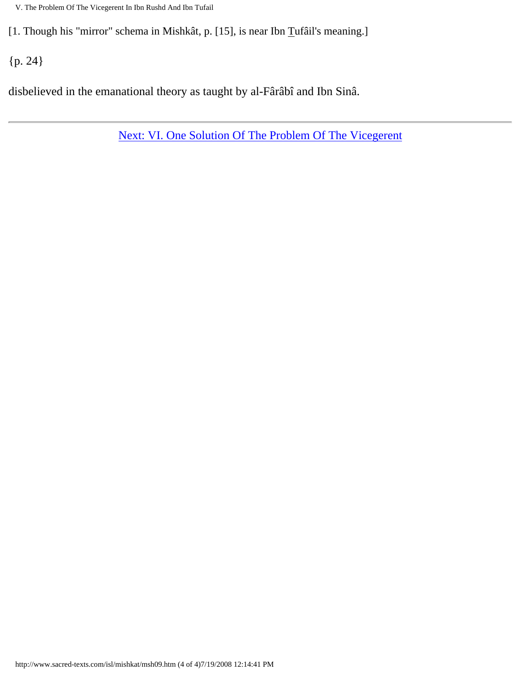V. The Problem Of The Vicegerent In Ibn Rushd And Ibn Tufail

[1. Though his "mirror" schema in Mishkât, p. [15], is near Ibn Tufâil's meaning.]

{p. 24}

disbelieved in the emanational theory as taught by al-Fârâbî and Ibn Sinâ.

[Next: VI. One Solution Of The Problem Of The Vicegerent](#page-22-0)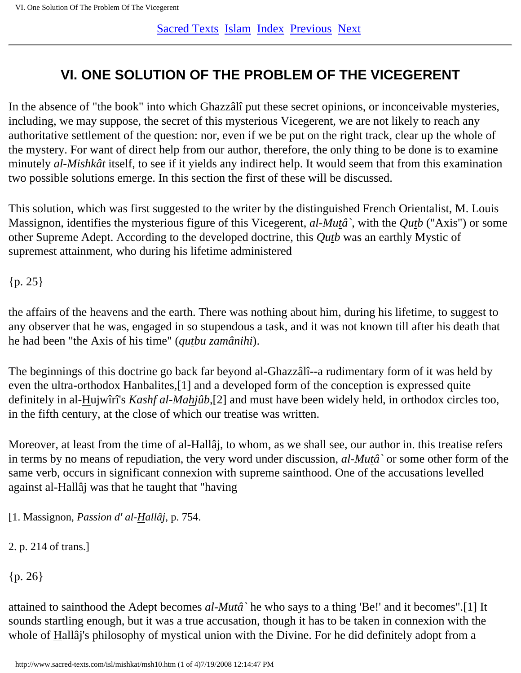## <span id="page-22-0"></span>**VI. ONE SOLUTION OF THE PROBLEM OF THE VICEGERENT**

In the absence of "the book" into which Ghazzâlî put these secret opinions, or inconceivable mysteries, including, we may suppose, the secret of this mysterious Vicegerent, we are not likely to reach any authoritative settlement of the question: nor, even if we be put on the right track, clear up the whole of the mystery. For want of direct help from our author, therefore, the only thing to be done is to examine minutely *al-Mishkât* itself, to see if it yields any indirect help. It would seem that from this examination two possible solutions emerge. In this section the first of these will be discussed.

This solution, which was first suggested to the writer by the distinguished French Orientalist, M. Louis Massignon, identifies the mysterious figure of this Vicegerent, *al-Mutâ`*, with the *Qutb* ("Axis") or some other Supreme Adept. According to the developed doctrine, this *Qutb* was an earthly Mystic of supremest attainment, who during his lifetime administered

{p. 25}

the affairs of the heavens and the earth. There was nothing about him, during his lifetime, to suggest to any observer that he was, engaged in so stupendous a task, and it was not known till after his death that he had been "the Axis of his time" (*qutbu zamânihi*).

The beginnings of this doctrine go back far beyond al-Ghazzâlî--a rudimentary form of it was held by even the ultra-orthodox Hanbalites,[1] and a developed form of the conception is expressed quite definitely in al-Hujwîrî's *Kashf al-Mahjûb*,[2] and must have been widely held, in orthodox circles too, in the fifth century, at the close of which our treatise was written.

Moreover, at least from the time of al-Hallâj, to whom, as we shall see, our author in. this treatise refers in terms by no means of repudiation, the very word under discussion, *al-Mutâ`* or some other form of the same verb, occurs in significant connexion with supreme sainthood. One of the accusations levelled against al-Hallâj was that he taught that "having

[1. Massignon, *Passion d' al-Hallâj*, p. 754.

2. p. 214 of trans.]

{p. 26}

attained to sainthood the Adept becomes *al-Mutâ`* he who says to a thing 'Be!' and it becomes".[1] It sounds startling enough, but it was a true accusation, though it has to be taken in connexion with the whole of Hallâj's philosophy of mystical union with the Divine. For he did definitely adopt from a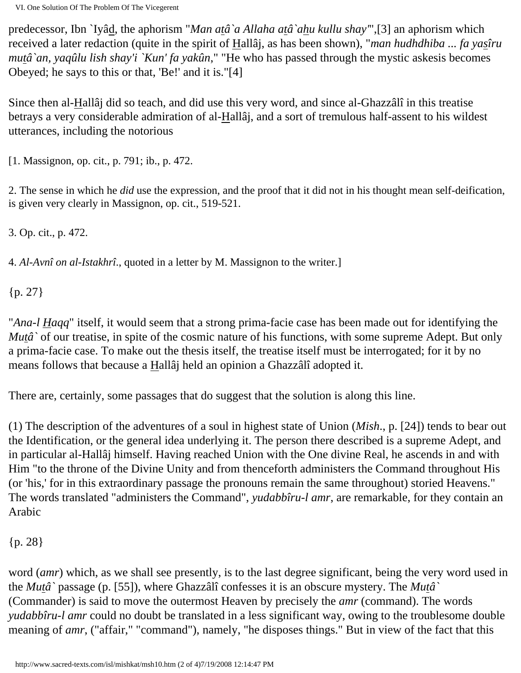VI. One Solution Of The Problem Of The Vicegerent

predecessor, Ibn `Iyâd, the aphorism "*Man atâ`a Allaha atâ`ahu kullu shay'*",[3] an aphorism which received a later redaction (quite in the spirit of Hallâj, as has been shown), "*man hudhdhiba ... fa yasîru mutâ`an, yaqûlu lish shay'i `Kun' fa yakûn*," "He who has passed through the mystic askesis becomes Obeyed; he says to this or that, 'Be!' and it is."[4]

Since then al-Hallâj did so teach, and did use this very word, and since al-Ghazzâlî in this treatise betrays a very considerable admiration of al-Hallâj, and a sort of tremulous half-assent to his wildest utterances, including the notorious

[1. Massignon, op. cit., p. 791; ib., p. 472.

2. The sense in which he *did* use the expression, and the proof that it did not in his thought mean self-deification, is given very clearly in Massignon, op. cit., 519-521.

3. Op. cit., p. 472.

4. *Al-Avnî on al-Istakhrî*., quoted in a letter by M. Massignon to the writer.]

{p. 27}

"*Ana-l Haqq*" itself, it would seem that a strong prima-facie case has been made out for identifying the *Mutâ* of our treatise, in spite of the cosmic nature of his functions, with some supreme Adept. But only a prima-facie case. To make out the thesis itself, the treatise itself must be interrogated; for it by no means follows that because a Hallâj held an opinion a Ghazzâlî adopted it.

There are, certainly, some passages that do suggest that the solution is along this line.

(1) The description of the adventures of a soul in highest state of Union (*Mish*., p. [24]) tends to bear out the Identification, or the general idea underlying it. The person there described is a supreme Adept, and in particular al-Hallâj himself. Having reached Union with the One divine Real, he ascends in and with Him "to the throne of the Divine Unity and from thenceforth administers the Command throughout His (or 'his,' for in this extraordinary passage the pronouns remain the same throughout) storied Heavens." The words translated "administers the Command", *yudabbîru-l amr*, are remarkable, for they contain an Arabic

{p. 28}

word (*amr*) which, as we shall see presently, is to the last degree significant, being the very word used in the *Mutâ`* passage (p. [55]), where Ghazzâlî confesses it is an obscure mystery. The *Mutâ`* (Commander) is said to move the outermost Heaven by precisely the *amr* (command). The words *yudabbîru-l amr* could no doubt be translated in a less significant way, owing to the troublesome double meaning of *amr*, ("affair," "command"), namely, "he disposes things." But in view of the fact that this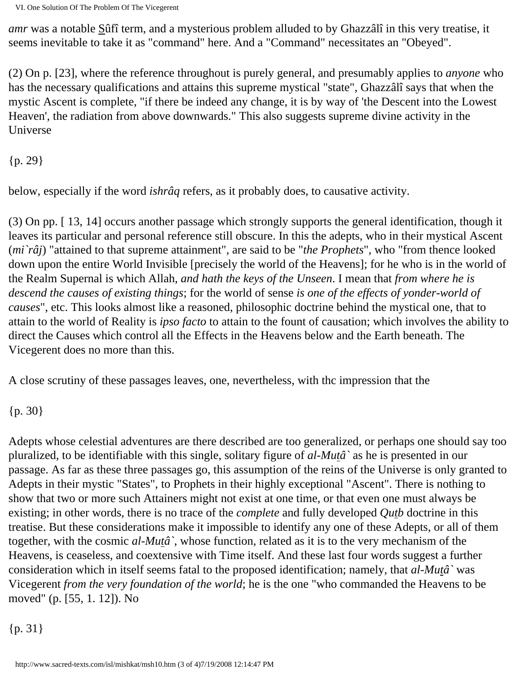*amr* was a notable Sûfî term, and a mysterious problem alluded to by Ghazzâlî in this very treatise, it seems inevitable to take it as "command" here. And a "Command" necessitates an "Obeyed".

(2) On p. [23], where the reference throughout is purely general, and presumably applies to *anyone* who has the necessary qualifications and attains this supreme mystical "state", Ghazzâlî says that when the mystic Ascent is complete, "if there be indeed any change, it is by way of 'the Descent into the Lowest Heaven', the radiation from above downwards." This also suggests supreme divine activity in the Universe

{p. 29}

below, especially if the word *ishrâq* refers, as it probably does, to causative activity.

(3) On pp. [ 13, 14] occurs another passage which strongly supports the general identification, though it leaves its particular and personal reference still obscure. In this the adepts, who in their mystical Ascent (*mi`râj*) "attained to that supreme attainment", are said to be "*the Prophets*", who "from thence looked down upon the entire World Invisible [precisely the world of the Heavens]; for he who is in the world of the Realm Supernal is which Allah, *and hath the keys of the Unseen*. I mean that *from where he is descend the causes of existing things*; for the world of sense *is one of the effects of yonder-world of causes*", etc. This looks almost like a reasoned, philosophic doctrine behind the mystical one, that to attain to the world of Reality is *ipso facto* to attain to the fount of causation; which involves the ability to direct the Causes which control all the Effects in the Heavens below and the Earth beneath. The Vicegerent does no more than this.

A close scrutiny of these passages leaves, one, nevertheless, with thc impression that the

{p. 30}

Adepts whose celestial adventures are there described are too generalized, or perhaps one should say too pluralized, to be identifiable with this single, solitary figure of *al-Mutâ`* as he is presented in our passage. As far as these three passages go, this assumption of the reins of the Universe is only granted to Adepts in their mystic "States", to Prophets in their highly exceptional "Ascent". There is nothing to show that two or more such Attainers might not exist at one time, or that even one must always be existing; in other words, there is no trace of the *complete* and fully developed *Qutb* doctrine in this treatise. But these considerations make it impossible to identify any one of these Adepts, or all of them together, with the cosmic *al-Mutâ`*, whose function, related as it is to the very mechanism of the Heavens, is ceaseless, and coextensive with Time itself. And these last four words suggest a further consideration which in itself seems fatal to the proposed identification; namely, that *al-Mutâ`* was Vicegerent *from the very foundation of the world*; he is the one "who commanded the Heavens to be moved" (p. [55, 1. 12]). No

{p. 31}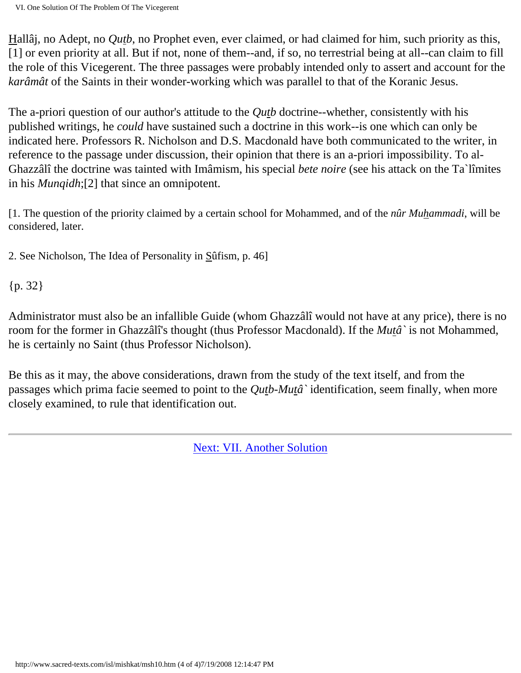Hallâj, no Adept, no *Qutb*, no Prophet even, ever claimed, or had claimed for him, such priority as this, [1] or even priority at all. But if not, none of them--and, if so, no terrestrial being at all--can claim to fill the role of this Vicegerent. The three passages were probably intended only to assert and account for the *karâmât* of the Saints in their wonder-working which was parallel to that of the Koranic Jesus.

The a-priori question of our author's attitude to the *Qutb* doctrine--whether, consistently with his published writings, he *could* have sustained such a doctrine in this work--is one which can only be indicated here. Professors R. Nicholson and D.S. Macdonald have both communicated to the writer, in reference to the passage under discussion, their opinion that there is an a-priori impossibility. To al-Ghazzâlî the doctrine was tainted with Imâmism, his special *bete noire* (see his attack on the Ta`lîmites in his *Munqidh*;[2] that since an omnipotent.

[1. The question of the priority claimed by a certain school for Mohammed, and of the *nûr Muhammadi*, will be considered, later.

2. See Nicholson, The Idea of Personality in Sûfism, p. 46]

{p. 32}

Administrator must also be an infallible Guide (whom Ghazzâlî would not have at any price), there is no room for the former in Ghazzâlî's thought (thus Professor Macdonald). If the *Mutâ`* is not Mohammed, he is certainly no Saint (thus Professor Nicholson).

Be this as it may, the above considerations, drawn from the study of the text itself, and from the passages which prima facie seemed to point to the *Qutb-Mutâ`* identification, seem finally, when more closely examined, to rule that identification out.

[Next: VII. Another Solution](#page-26-0)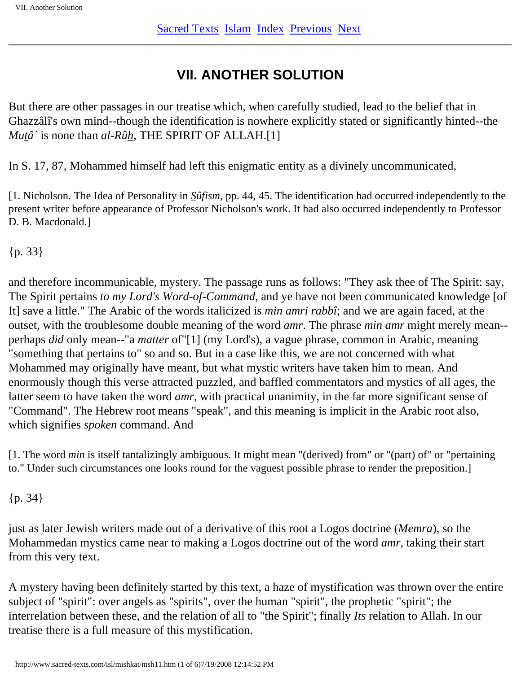## **VII. ANOTHER SOLUTION**

<span id="page-26-0"></span>But there are other passages in our treatise which, when carefully studied, lead to the belief that in Ghazzâlî's own mind--though the identification is nowhere explicitly stated or significantly hinted--the *Mutâ`* is none than *al-Rûh*, THE SPIRIT OF ALLAH.[1]

In S. 17, 87, Mohammed himself had left this enigmatic entity as a divinely uncommunicated,

[1. Nicholson. The Idea of Personality in *Sûfism*, pp. 44, 45. The identification had occurred independently to the present writer before appearance of Professor Nicholson's work. It had also occurred independently to Professor D. B. Macdonald.]

{p. 33}

and therefore incommunicable, mystery. The passage runs as follows: "They ask thee of The Spirit: say, The Spirit pertains *to my Lord's Word-of-Command*, and ye have not been communicated knowledge [of It] save a little." The Arabic of the words italicized is *min amri rabbî*; and we are again faced, at the outset, with the troublesome double meaning of the word *amr*. The phrase *min amr* might merely mean- perhaps *did* only mean--"a *matter* of"[1] (my Lord's), a vague phrase, common in Arabic, meaning "something that pertains to" so and so. But in a case like this, we are not concerned with what Mohammed may originally have meant, but what mystic writers have taken him to mean. And enormously though this verse attracted puzzled, and baffled commentators and mystics of all ages, the latter seem to have taken the word *amr*, with practical unanimity, in the far more significant sense of "Command". The Hebrew root means "speak", and this meaning is implicit in the Arabic root also, which signifies *spoken* command. And

[1. The word *min* is itself tantalizingly ambiguous. It might mean "(derived) from" or "(part) of" or "pertaining to." Under such circumstances one looks round for the vaguest possible phrase to render the preposition.]

{p. 34}

just as later Jewish writers made out of a derivative of this root a Logos doctrine (*Memra*), so the Mohammedan mystics came near to making a Logos doctrine out of the word *amr*, taking their start from this very text.

A mystery having been definitely started by this text, a haze of mystification was thrown over the entire subject of "spirit": over angels as "spirits", over the human "spirit", the prophetic "spirit"; the interrelation between these, and the relation of all to "the Spirit"; finally *Its* relation to Allah. In our treatise there is a full measure of this mystification.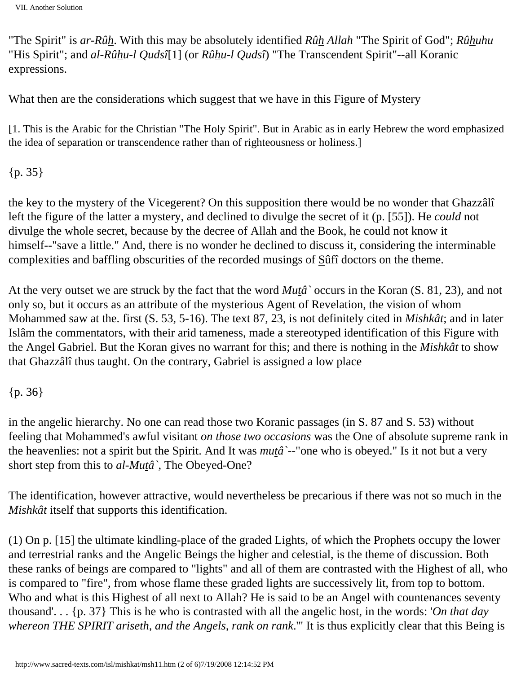VII. Another Solution

"The Spirit" is *ar-Rûh*. With this may be absolutely identified *Rûh Allah* "The Spirit of God"; *Rûhuhu* "His Spirit"; and *al-Rûhu-l Qudsî*[1] (or *Rûhu-l Qudsî*) "The Transcendent Spirit"--all Koranic expressions.

What then are the considerations which suggest that we have in this Figure of Mystery

[1. This is the Arabic for the Christian "The Holy Spirit". But in Arabic as in early Hebrew the word emphasized the idea of separation or transcendence rather than of righteousness or holiness.]

{p. 35}

the key to the mystery of the Vicegerent? On this supposition there would be no wonder that Ghazzâlî left the figure of the latter a mystery, and declined to divulge the secret of it (p. [55]). He *could* not divulge the whole secret, because by the decree of Allah and the Book, he could not know it himself--"save a little." And, there is no wonder he declined to discuss it, considering the interminable complexities and baffling obscurities of the recorded musings of Sûfî doctors on the theme.

At the very outset we are struck by the fact that the word *Mutâ`* occurs in the Koran (S. 81, 23), and not only so, but it occurs as an attribute of the mysterious Agent of Revelation, the vision of whom Mohammed saw at the. first (S. 53, 5-16). The text 87, 23, is not definitely cited in *Mishkât*; and in later Islâm the commentators, with their arid tameness, made a stereotyped identification of this Figure with the Angel Gabriel. But the Koran gives no warrant for this; and there is nothing in the *Mishkât* to show that Ghazzâlî thus taught. On the contrary, Gabriel is assigned a low place

{p. 36}

in the angelic hierarchy. No one can read those two Koranic passages (in S. 87 and S. 53) without feeling that Mohammed's awful visitant *on those two occasions* was the One of absolute supreme rank in the heavenlies: not a spirit but the Spirit. And It was *mutâ`*--"one who is obeyed." Is it not but a very short step from this to *al-Mutâ`*, The Obeyed-One?

The identification, however attractive, would nevertheless be precarious if there was not so much in the *Mishkât* itself that supports this identification.

(1) On p. [15] the ultimate kindling-place of the graded Lights, of which the Prophets occupy the lower and terrestrial ranks and the Angelic Beings the higher and celestial, is the theme of discussion. Both these ranks of beings are compared to "lights" and all of them are contrasted with the Highest of all, who is compared to "fire", from whose flame these graded lights are successively lit, from top to bottom. Who and what is this Highest of all next to Allah? He is said to be an Angel with countenances seventy thousand'. . . {p. 37} This is he who is contrasted with all the angelic host, in the words: '*On that day whereon THE SPIRIT ariseth, and the Angels, rank on rank*.'" It is thus explicitly clear that this Being is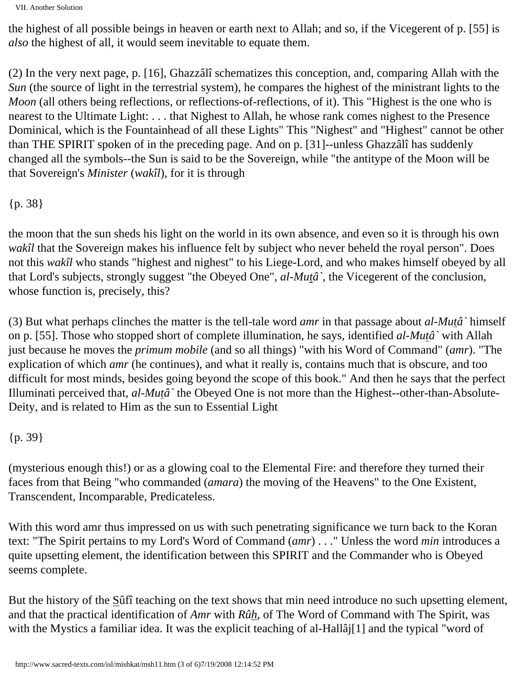VII. Another Solution

the highest of all possible beings in heaven or earth next to Allah; and so, if the Vicegerent of p. [55] is *also* the highest of all, it would seem inevitable to equate them.

(2) In the very next page, p. [16], Ghazzâlî schematizes this conception, and, comparing Allah with the *Sun* (the source of light in the terrestrial system), he compares the highest of the ministrant lights to the *Moon* (all others being reflections, or reflections-of-reflections, of it). This "Highest is the one who is nearest to the Ultimate Light: . . . that Nighest to Allah, he whose rank comes nighest to the Presence Dominical, which is the Fountainhead of all these Lights" This "Nighest" and "Highest" cannot be other than THE SPIRIT spoken of in the preceding page. And on p. [31]--unless Ghazzâlî has suddenly changed all the symbols--the Sun is said to be the Sovereign, while "the antitype of the Moon will be that Sovereign's *Minister* (*wakîl*), for it is through

{p. 38}

the moon that the sun sheds his light on the world in its own absence, and even so it is through his own *wakîl* that the Sovereign makes his influence felt by subject who never beheld the royal person". Does not this *wakîl* who stands "highest and nighest" to his Liege-Lord, and who makes himself obeyed by all that Lord's subjects, strongly suggest "the Obeyed One", *al-Mutâ`*, the Vicegerent of the conclusion, whose function is, precisely, this?

(3) But what perhaps clinches the matter is the tell-tale word *amr* in that passage about *al-Mutâ`* himself on p. [55]. Those who stopped short of complete illumination, he says, identified *al-Mutâ`* with Allah just because he moves the *primum mobile* (and so all things) "with his Word of Command" (*amr*). "The explication of which *amr* (he continues), and what it really is, contains much that is obscure, and too difficult for most minds, besides going beyond the scope of this book." And then he says that the perfect Illuminati perceived that, *al-Mutâ`* the Obeyed One is not more than the Highest--other-than-Absolute-Deity, and is related to Him as the sun to Essential Light

{p. 39}

(mysterious enough this!) or as a glowing coal to the Elemental Fire: and therefore they turned their faces from that Being "who commanded (*amara*) the moving of the Heavens" to the One Existent, Transcendent, Incomparable, Predicateless.

With this word amr thus impressed on us with such penetrating significance we turn back to the Koran text: "The Spirit pertains to my Lord's Word of Command (*amr*) . . ." Unless the word *min* introduces a quite upsetting element, the identification between this SPIRIT and the Commander who is Obeyed seems complete.

But the history of the Sûfî teaching on the text shows that min need introduce no such upsetting element, and that the practical identification of *Amr* with *Rûh*, of The Word of Command with The Spirit, was with the Mystics a familiar idea. It was the explicit teaching of al-Hallâj[1] and the typical "word of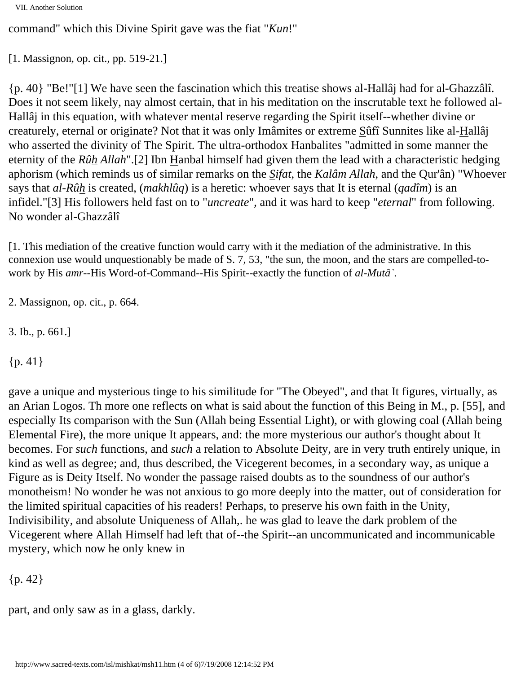```
VII. Another Solution
```
command" which this Divine Spirit gave was the fiat "*Kun*!"

```
[1. Massignon, op. cit., pp. 519-21.]
```
{p. 40} "Be!"[1] We have seen the fascination which this treatise shows al-Hallâj had for al-Ghazzâlî. Does it not seem likely, nay almost certain, that in his meditation on the inscrutable text he followed al-Hallâj in this equation, with whatever mental reserve regarding the Spirit itself--whether divine or creaturely, eternal or originate? Not that it was only Imâmites or extreme Sûfî Sunnites like al-Hallâj who asserted the divinity of The Spirit. The ultra-orthodox Hanbalites "admitted in some manner the eternity of the *Rûh Allah*".[2] Ibn Hanbal himself had given them the lead with a characteristic hedging aphorism (which reminds us of similar remarks on the *Sifat*, the *Kalâm Allah*, and the Qur'ân) "Whoever says that *al-Rûh* is created, (*makhlûq*) is a heretic: whoever says that It is eternal (*qadîm*) is an infidel."[3] His followers held fast on to "*uncreate*", and it was hard to keep "*eternal*" from following. No wonder al-Ghazzâlî

[1. This mediation of the creative function would carry with it the mediation of the administrative. In this connexion use would unquestionably be made of S. 7, 53, "the sun, the moon, and the stars are compelled-towork by His *amr*--His Word-of-Command--His Spirit--exactly the function of *al-Mutâ`*.

2. Massignon, op. cit., p. 664.

3. Ib., p. 661.]

 ${p. 41}$ 

gave a unique and mysterious tinge to his similitude for "The Obeyed", and that It figures, virtually, as an Arian Logos. Th more one reflects on what is said about the function of this Being in M., p. [55], and especially Its comparison with the Sun (Allah being Essential Light), or with glowing coal (Allah being Elemental Fire), the more unique It appears, and: the more mysterious our author's thought about It becomes. For *such* functions, and *such* a relation to Absolute Deity, are in very truth entirely unique, in kind as well as degree; and, thus described, the Vicegerent becomes, in a secondary way, as unique a Figure as is Deity Itself. No wonder the passage raised doubts as to the soundness of our author's monotheism! No wonder he was not anxious to go more deeply into the matter, out of consideration for the limited spiritual capacities of his readers! Perhaps, to preserve his own faith in the Unity, Indivisibility, and absolute Uniqueness of Allah,. he was glad to leave the dark problem of the Vicegerent where Allah Himself had left that of--the Spirit--an uncommunicated and incommunicable mystery, which now he only knew in

{p. 42}

part, and only saw as in a glass, darkly.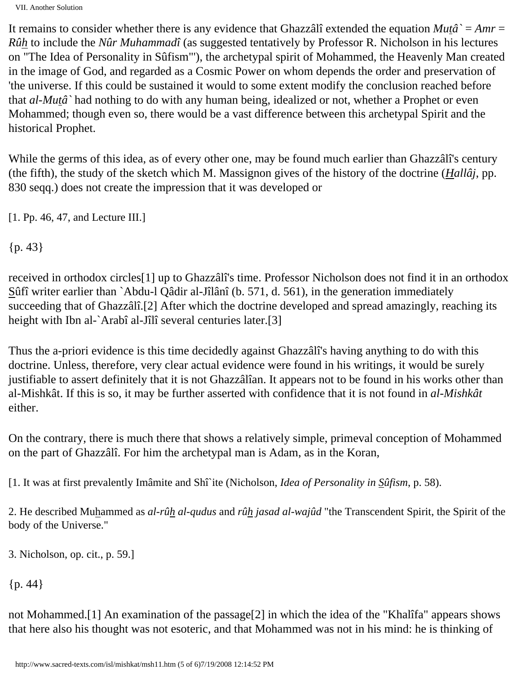VII. Another Solution

It remains to consider whether there is any evidence that Ghazzâlî extended the equation *Mutâ`* = *Amr* = *Rûh* to include the *Nûr Muhammadî* (as suggested tentatively by Professor R. Nicholson in his lectures on "The Idea of Personality in Sûfism"'), the archetypal spirit of Mohammed, the Heavenly Man created in the image of God, and regarded as a Cosmic Power on whom depends the order and preservation of 'the universe. If this could be sustained it would to some extent modify the conclusion reached before that *al-Mutâ`* had nothing to do with any human being, idealized or not, whether a Prophet or even Mohammed; though even so, there would be a vast difference between this archetypal Spirit and the historical Prophet.

While the germs of this idea, as of every other one, may be found much earlier than Ghazzâlî's century (the fifth), the study of the sketch which M. Massignon gives of the history of the doctrine (*Hallâj*, pp. 830 seqq.) does not create the impression that it was developed or

[1. Pp. 46, 47, and Lecture III.]

{p. 43}

received in orthodox circles[1] up to Ghazzâlî's time. Professor Nicholson does not find it in an orthodox Sûfî writer earlier than `Abdu-l Qâdir al-Jîlânî (b. 571, d. 561), in the generation immediately succeeding that of Ghazzâlî.[2] After which the doctrine developed and spread amazingly, reaching its height with Ibn al-`Arabî al-Jîlî several centuries later.[3]

Thus the a-priori evidence is this time decidedly against Ghazzâlî's having anything to do with this doctrine. Unless, therefore, very clear actual evidence were found in his writings, it would be surely justifiable to assert definitely that it is not Ghazzâlîan. It appears not to be found in his works other than al-Mishkât. If this is so, it may be further asserted with confidence that it is not found in *al-Mishkât* either.

On the contrary, there is much there that shows a relatively simple, primeval conception of Mohammed on the part of Ghazzâlî. For him the archetypal man is Adam, as in the Koran,

[1. It was at first prevalently Imâmite and Shî`ite (Nicholson, *Idea of Personality in Sûfism*, p. 58).

2. He described Muhammed as *al-rûh al-qudus* and *rûh jasad al-wajûd* "the Transcendent Spirit, the Spirit of the body of the Universe."

3. Nicholson, op. cit., p. 59.]

{p. 44}

not Mohammed.[1] An examination of the passage[2] in which the idea of the "Khalîfa" appears shows that here also his thought was not esoteric, and that Mohammed was not in his mind: he is thinking of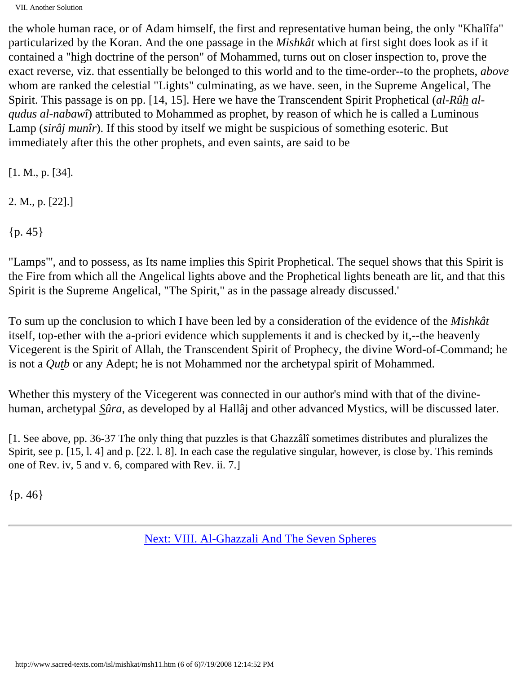VII. Another Solution

the whole human race, or of Adam himself, the first and representative human being, the only "Khalîfa" particularized by the Koran. And the one passage in the *Mishkât* which at first sight does look as if it contained a "high doctrine of the person" of Mohammed, turns out on closer inspection to, prove the exact reverse, viz. that essentially be belonged to this world and to the time-order--to the prophets, *above* whom are ranked the celestial "Lights" culminating, as we have. seen, in the Supreme Angelical, The Spirit. This passage is on pp. [14, 15]. Here we have the Transcendent Spirit Prophetical (*al-Rûh alqudus al-nabawî*) attributed to Mohammed as prophet, by reason of which he is called a Luminous Lamp (*sirâj munîr*). If this stood by itself we might be suspicious of something esoteric. But immediately after this the other prophets, and even saints, are said to be

[1. M., p. [34].

2. M., p. [22].]

 ${p. 45}$ 

"Lamps"', and to possess, as Its name implies this Spirit Prophetical. The sequel shows that this Spirit is the Fire from which all the Angelical lights above and the Prophetical lights beneath are lit, and that this Spirit is the Supreme Angelical, "The Spirit," as in the passage already discussed.'

To sum up the conclusion to which I have been led by a consideration of the evidence of the *Mishkât* itself, top-ether with the a-priori evidence which supplements it and is checked by it,--the heavenly Vicegerent is the Spirit of Allah, the Transcendent Spirit of Prophecy, the divine Word-of-Command; he is not a *Qutb* or any Adept; he is not Mohammed nor the archetypal spirit of Mohammed.

Whether this mystery of the Vicegerent was connected in our author's mind with that of the divinehuman, archetypal *Sûra*, as developed by al Hallâj and other advanced Mystics, will be discussed later.

[1. See above, pp. 36-37 The only thing that puzzles is that Ghazzâlî sometimes distributes and pluralizes the Spirit, see p. [15, l. 4] and p. [22. l. 8]. In each case the regulative singular, however, is close by. This reminds one of Rev. iv, 5 and v. 6, compared with Rev. ii. 7.]

{p. 46}

[Next: VIII. Al-Ghazzali And The Seven Spheres](#page-32-0)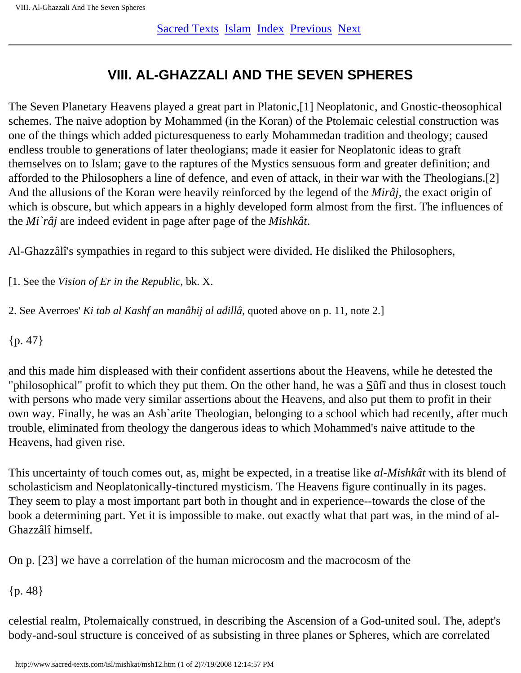## **VIII. AL-GHAZZALI AND THE SEVEN SPHERES**

<span id="page-32-0"></span>The Seven Planetary Heavens played a great part in Platonic,[1] Neoplatonic, and Gnostic-theosophical schemes. The naive adoption by Mohammed (in the Koran) of the Ptolemaic celestial construction was one of the things which added picturesqueness to early Mohammedan tradition and theology; caused endless trouble to generations of later theologians; made it easier for Neoplatonic ideas to graft themselves on to Islam; gave to the raptures of the Mystics sensuous form and greater definition; and afforded to the Philosophers a line of defence, and even of attack, in their war with the Theologians.[2] And the allusions of the Koran were heavily reinforced by the legend of the *Mirâj*, the exact origin of which is obscure, but which appears in a highly developed form almost from the first. The influences of the *Mi`râj* are indeed evident in page after page of the *Mishkât*.

Al-Ghazzâlî's sympathies in regard to this subject were divided. He disliked the Philosophers,

[1. See the *Vision of Er in the Republic*, bk. X.

2. See Averroes' *Ki tab al Kashf an manâhij al adillâ*, quoted above on p. 11, note 2.]

 ${p. 47}$ 

and this made him displeased with their confident assertions about the Heavens, while he detested the "philosophical" profit to which they put them. On the other hand, he was a Sûfî and thus in closest touch with persons who made very similar assertions about the Heavens, and also put them to profit in their own way. Finally, he was an Ash`arite Theologian, belonging to a school which had recently, after much trouble, eliminated from theology the dangerous ideas to which Mohammed's naive attitude to the Heavens, had given rise.

This uncertainty of touch comes out, as, might be expected, in a treatise like *al-Mishkât* with its blend of scholasticism and Neoplatonically-tinctured mysticism. The Heavens figure continually in its pages. They seem to play a most important part both in thought and in experience--towards the close of the book a determining part. Yet it is impossible to make. out exactly what that part was, in the mind of al-Ghazzâlî himself.

On p. [23] we have a correlation of the human microcosm and the macrocosm of the

{p. 48}

celestial realm, Ptolemaically construed, in describing the Ascension of a God-united soul. The, adept's body-and-soul structure is conceived of as subsisting in three planes or Spheres, which are correlated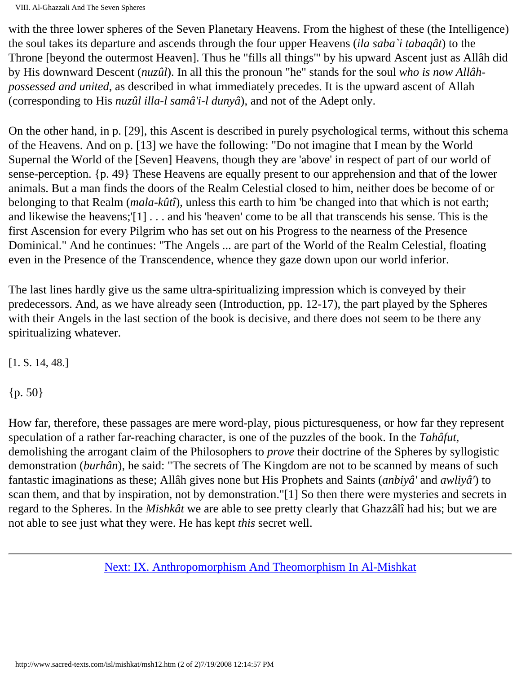VIII. Al-Ghazzali And The Seven Spheres

with the three lower spheres of the Seven Planetary Heavens. From the highest of these (the Intelligence) the soul takes its departure and ascends through the four upper Heavens (*ila saba`i tabaqât*) to the Throne [beyond the outermost Heaven]. Thus he "fills all things"' by his upward Ascent just as Allâh did by His downward Descent (*nuzûl*). In all this the pronoun "he" stands for the soul *who is now Allâhpossessed and united*, as described in what immediately precedes. It is the upward ascent of Allah (corresponding to His *nuzûl illa-l samâ'i-l dunyâ*), and not of the Adept only.

On the other hand, in p. [29], this Ascent is described in purely psychological terms, without this schema of the Heavens. And on p. [13] we have the following: "Do not imagine that I mean by the World Supernal the World of the [Seven] Heavens, though they are 'above' in respect of part of our world of sense-perception. {p. 49} These Heavens are equally present to our apprehension and that of the lower animals. But a man finds the doors of the Realm Celestial closed to him, neither does be become of or belonging to that Realm (*mala-kûtî*), unless this earth to him 'be changed into that which is not earth; and likewise the heavens;'[1] . . . and his 'heaven' come to be all that transcends his sense. This is the first Ascension for every Pilgrim who has set out on his Progress to the nearness of the Presence Dominical." And he continues: "The Angels ... are part of the World of the Realm Celestial, floating even in the Presence of the Transcendence, whence they gaze down upon our world inferior.

The last lines hardly give us the same ultra-spiritualizing impression which is conveyed by their predecessors. And, as we have already seen (Introduction, pp. 12-17), the part played by the Spheres with their Angels in the last section of the book is decisive, and there does not seem to be there any spiritualizing whatever.

[1. S. 14, 48.]

{p. 50}

How far, therefore, these passages are mere word-play, pious picturesqueness, or how far they represent speculation of a rather far-reaching character, is one of the puzzles of the book. In the *Tahâfut*, demolishing the arrogant claim of the Philosophers to *prove* their doctrine of the Spheres by syllogistic demonstration (*burhân*), he said: "The secrets of The Kingdom are not to be scanned by means of such fantastic imaginations as these; Allâh gives none but His Prophets and Saints (*anbiyâ'* and *awliyâ'*) to scan them, and that by inspiration, not by demonstration."[1] So then there were mysteries and secrets in regard to the Spheres. In the *Mishkât* we are able to see pretty clearly that Ghazzâlî had his; but we are not able to see just what they were. He has kept *this* secret well.

[Next: IX. Anthropomorphism And Theomorphism In Al-Mishkat](#page-34-0)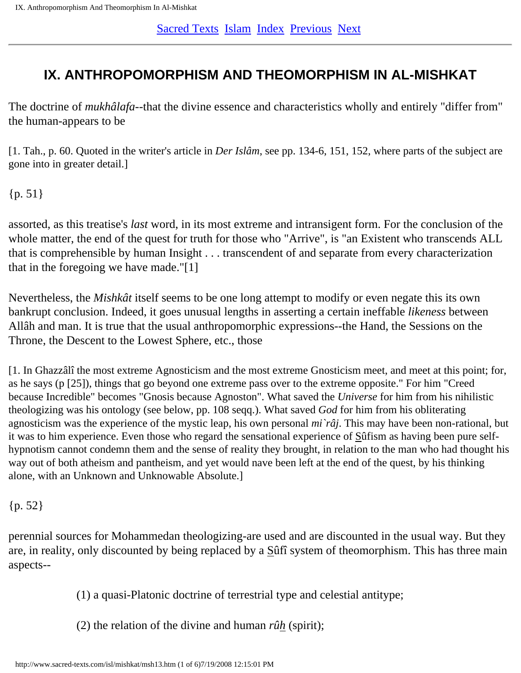## <span id="page-34-0"></span>**IX. ANTHROPOMORPHISM AND THEOMORPHISM IN AL-MISHKAT**

The doctrine of *mukhâlafa*--that the divine essence and characteristics wholly and entirely "differ from" the human-appears to be

[1. Tah., p. 60. Quoted in the writer's article in *Der Islâm*, see pp. 134-6, 151, 152, where parts of the subject are gone into in greater detail.]

 ${p. 51}$ 

assorted, as this treatise's *last* word, in its most extreme and intransigent form. For the conclusion of the whole matter, the end of the quest for truth for those who "Arrive", is "an Existent who transcends ALL that is comprehensible by human Insight . . . transcendent of and separate from every characterization that in the foregoing we have made."[1]

Nevertheless, the *Mishkât* itself seems to be one long attempt to modify or even negate this its own bankrupt conclusion. Indeed, it goes unusual lengths in asserting a certain ineffable *likeness* between Allâh and man. It is true that the usual anthropomorphic expressions--the Hand, the Sessions on the Throne, the Descent to the Lowest Sphere, etc., those

[1. In Ghazzâlî the most extreme Agnosticism and the most extreme Gnosticism meet, and meet at this point; for, as he says (p [25]), things that go beyond one extreme pass over to the extreme opposite." For him "Creed because Incredible" becomes "Gnosis because Agnoston". What saved the *Universe* for him from his nihilistic theologizing was his ontology (see below, pp. 108 seqq.). What saved *God* for him from his obliterating agnosticism was the experience of the mystic leap, his own personal *mi`râj*. This may have been non-rational, but it was to him experience. Even those who regard the sensational experience of Sûfism as having been pure selfhypnotism cannot condemn them and the sense of reality they brought, in relation to the man who had thought his way out of both atheism and pantheism, and yet would nave been left at the end of the quest, by his thinking alone, with an Unknown and Unknowable Absolute.]

### {p. 52}

perennial sources for Mohammedan theologizing-are used and are discounted in the usual way. But they are, in reality, only discounted by being replaced by a Sûfî system of theomorphism. This has three main aspects--

(1) a quasi-Platonic doctrine of terrestrial type and celestial antitype;

(2) the relation of the divine and human *rûh* (spirit);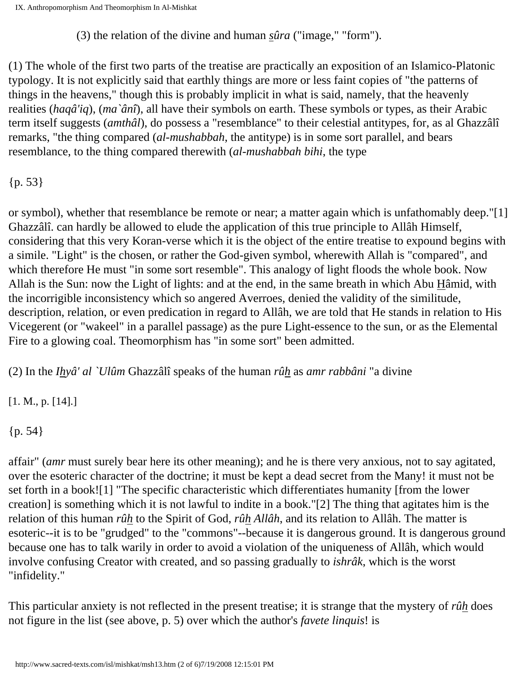(3) the relation of the divine and human *sûra* ("image," "form").

(1) The whole of the first two parts of the treatise are practically an exposition of an Islamico-Platonic typology. It is not explicitly said that earthly things are more or less faint copies of "the patterns of things in the heavens," though this is probably implicit in what is said, namely, that the heavenly realities (*haqâ'iq*), (*ma`ânî*), all have their symbols on earth. These symbols or types, as their Arabic term itself suggests (*amthâl*), do possess a "resemblance" to their celestial antitypes, for, as al Ghazzâlî remarks, "the thing compared (*al-mushabbah*, the antitype) is in some sort parallel, and bears resemblance, to the thing compared therewith (*al-mushabbah bihi*, the type

 ${p. 53}$ 

or symbol), whether that resemblance be remote or near; a matter again which is unfathomably deep."[1] Ghazzâlî. can hardly be allowed to elude the application of this true principle to Allâh Himself, considering that this very Koran-verse which it is the object of the entire treatise to expound begins with a simile. "Light" is the chosen, or rather the God-given symbol, wherewith Allah is "compared", and which therefore He must "in some sort resemble". This analogy of light floods the whole book. Now Allah is the Sun: now the Light of lights: and at the end, in the same breath in which Abu Hâmid, with the incorrigible inconsistency which so angered Averroes, denied the validity of the similitude, description, relation, or even predication in regard to Allâh, we are told that He stands in relation to His Vicegerent (or "wakeel" in a parallel passage) as the pure Light-essence to the sun, or as the Elemental Fire to a glowing coal. Theomorphism has "in some sort" been admitted.

(2) In the *Ihyâ' al `Ulûm* Ghazzâlî speaks of the human *rûh* as *amr rabbâni* "a divine

[1. M., p. [14].]

{p. 54}

affair" (*amr* must surely bear here its other meaning); and he is there very anxious, not to say agitated, over the esoteric character of the doctrine; it must be kept a dead secret from the Many! it must not be set forth in a book![1] "The specific characteristic which differentiates humanity [from the lower creation] is something which it is not lawful to indite in a book."[2] The thing that agitates him is the relation of this human *rûh* to the Spirit of God, *rûh Allâh*, and its relation to Allâh. The matter is esoteric--it is to be "grudged" to the "commons"--because it is dangerous ground. It is dangerous ground because one has to talk warily in order to avoid a violation of the uniqueness of Allâh, which would involve confusing Creator with created, and so passing gradually to *ishrâk*, which is the worst "infidelity."

This particular anxiety is not reflected in the present treatise; it is strange that the mystery of *rûh* does not figure in the list (see above, p. 5) over which the author's *favete linquis*! is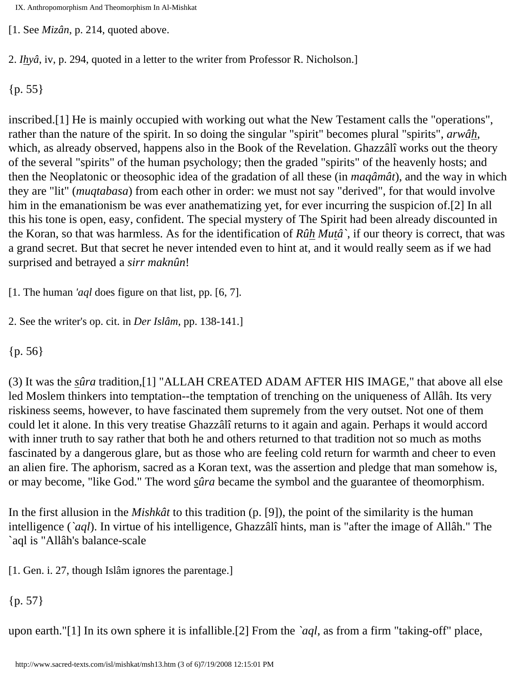IX. Anthropomorphism And Theomorphism In Al-Mishkat

[1. See *Mizân*, p. 214, quoted above.

2. *Ihyâ*, iv, p. 294, quoted in a letter to the writer from Professor R. Nicholson.]

 ${p. 55}$ 

inscribed.[1] He is mainly occupied with working out what the New Testament calls the "operations", rather than the nature of the spirit. In so doing the singular "spirit" becomes plural "spirits", *arwâh*, which, as already observed, happens also in the Book of the Revelation. Ghazzâlî works out the theory of the several "spirits" of the human psychology; then the graded "spirits" of the heavenly hosts; and then the Neoplatonic or theosophic idea of the gradation of all these (in *maqâmât*), and the way in which they are "lit" (*muqtabasa*) from each other in order: we must not say "derived", for that would involve him in the emanationism be was ever anathematizing yet, for ever incurring the suspicion of.[2] In all this his tone is open, easy, confident. The special mystery of The Spirit had been already discounted in the Koran, so that was harmless. As for the identification of *Rûh Mutâ`*, if our theory is correct, that was a grand secret. But that secret he never intended even to hint at, and it would really seem as if we had surprised and betrayed a *sirr maknûn*!

[1. The human *'aql* does figure on that list, pp. [6, 7].

2. See the writer's op. cit. in *Der Islâm*, pp. 138-141.]

{p. 56}

(3) It was the *sûra* tradition,[1] "ALLAH CREATED ADAM AFTER HIS IMAGE," that above all else led Moslem thinkers into temptation--the temptation of trenching on the uniqueness of Allâh. Its very riskiness seems, however, to have fascinated them supremely from the very outset. Not one of them could let it alone. In this very treatise Ghazzâlî returns to it again and again. Perhaps it would accord with inner truth to say rather that both he and others returned to that tradition not so much as moths fascinated by a dangerous glare, but as those who are feeling cold return for warmth and cheer to even an alien fire. The aphorism, sacred as a Koran text, was the assertion and pledge that man somehow is, or may become, "like God." The word *sûra* became the symbol and the guarantee of theomorphism.

In the first allusion in the *Mishkât* to this tradition (p. [9]), the point of the similarity is the human intelligence (*`aql*). In virtue of his intelligence, Ghazzâlî hints, man is "after the image of Allâh." The `aql is "Allâh's balance-scale

[1. Gen. i. 27, though Islâm ignores the parentage.]

{p. 57}

upon earth."[1] In its own sphere it is infallible.[2] From the *`aql*, as from a firm "taking-off" place,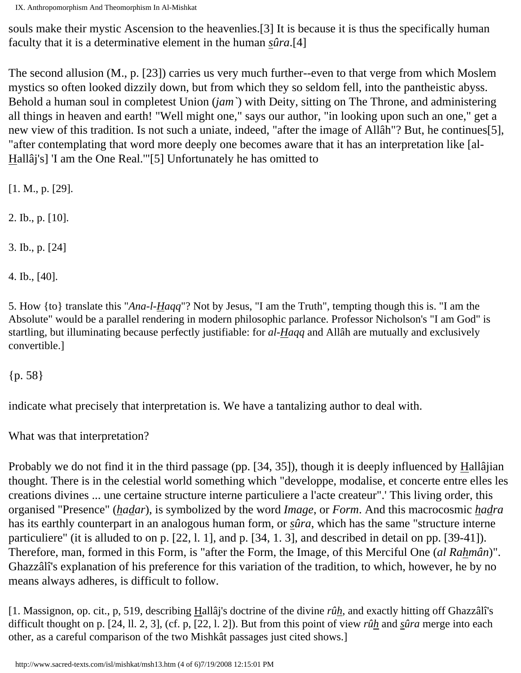IX. Anthropomorphism And Theomorphism In Al-Mishkat

souls make their mystic Ascension to the heavenlies.[3] It is because it is thus the specifically human faculty that it is a determinative element in the human *sûra*.[4]

The second allusion (M., p. [23]) carries us very much further--even to that verge from which Moslem mystics so often looked dizzily down, but from which they so seldom fell, into the pantheistic abyss. Behold a human soul in completest Union (*jam`*) with Deity, sitting on The Throne, and administering all things in heaven and earth! "Well might one," says our author, "in looking upon such an one," get a new view of this tradition. Is not such a uniate, indeed, "after the image of Allâh"? But, he continues[5], "after contemplating that word more deeply one becomes aware that it has an interpretation like [al-Hallâj's] 'I am the One Real.'"[5] Unfortunately he has omitted to

[1. M., p. [29].

2. Ib., p. [10].

3. Ib., p. [24]

4. Ib., [40].

5. How {to} translate this "*Ana-l-Haqq*"? Not by Jesus, "I am the Truth", tempting though this is. "I am the Absolute" would be a parallel rendering in modern philosophic parlance. Professor Nicholson's "I am God" is startling, but illuminating because perfectly justifiable: for *al-Haqq* and Allâh are mutually and exclusively convertible.]

{p. 58}

indicate what precisely that interpretation is. We have a tantalizing author to deal with.

What was that interpretation?

Probably we do not find it in the third passage (pp. [34, 35]), though it is deeply influenced by Hallâjian thought. There is in the celestial world something which "developpe, modalise, et concerte entre elles les creations divines ... une certaine structure interne particuliere a l'acte createur".' This living order, this organised "Presence" (*hadar*), is symbolized by the word *Image*, or *Form*. And this macrocosmic *hadra* has its earthly counterpart in an analogous human form, or *sûra*, which has the same "structure interne particuliere" (it is alluded to on p. [22, l. 1], and p. [34, 1. 3], and described in detail on pp. [39-41]). Therefore, man, formed in this Form, is "after the Form, the Image, of this Merciful One (*al Rahmân*)". Ghazzâlî's explanation of his preference for this variation of the tradition, to which, however, he by no means always adheres, is difficult to follow.

[1. Massignon, op. cit., p, 519, describing Hallâj's doctrine of the divine *rûh*, and exactly hitting off Ghazzâlî's difficult thought on p. [24, ll. 2, 3], (cf. p, [22, l. 2]). But from this point of view *rûh* and *sûra* merge into each other, as a careful comparison of the two Mishkât passages just cited shows.]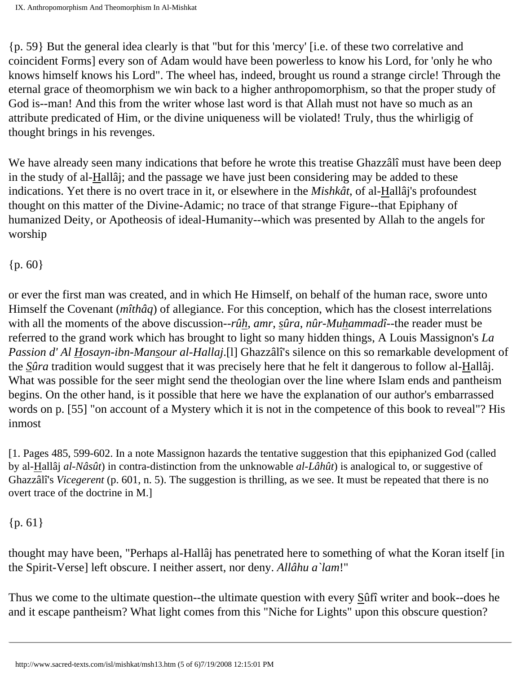{p. 59} But the general idea clearly is that "but for this 'mercy' [i.e. of these two correlative and coincident Forms] every son of Adam would have been powerless to know his Lord, for 'only he who knows himself knows his Lord". The wheel has, indeed, brought us round a strange circle! Through the eternal grace of theomorphism we win back to a higher anthropomorphism, so that the proper study of God is--man! And this from the writer whose last word is that Allah must not have so much as an attribute predicated of Him, or the divine uniqueness will be violated! Truly, thus the whirligig of thought brings in his revenges.

We have already seen many indications that before he wrote this treatise Ghazzâlî must have been deep in the study of al-Hallâj; and the passage we have just been considering may be added to these indications. Yet there is no overt trace in it, or elsewhere in the *Mishkât*, of al-Hallâj's profoundest thought on this matter of the Divine-Adamic; no trace of that strange Figure--that Epiphany of humanized Deity, or Apotheosis of ideal-Humanity--which was presented by Allah to the angels for worship

#### {p. 60}

or ever the first man was created, and in which He Himself, on behalf of the human race, swore unto Himself the Covenant (*mîthâq*) of allegiance. For this conception, which has the closest interrelations with all the moments of the above discussion--*rûh*, *amr*, *sûra*, *nûr-Muhammadî*--the reader must be referred to the grand work which has brought to light so many hidden things, A Louis Massignon's *La Passion d' Al Hosayn-ibn-Mansour al-Hallaj*.[l] Ghazzâlî's silence on this so remarkable development of the *Sûra* tradition would suggest that it was precisely here that he felt it dangerous to follow al-Hallâj. What was possible for the seer might send the theologian over the line where Islam ends and pantheism begins. On the other hand, is it possible that here we have the explanation of our author's embarrassed words on p. [55] "on account of a Mystery which it is not in the competence of this book to reveal"? His inmost

[1. Pages 485, 599-602. In a note Massignon hazards the tentative suggestion that this epiphanized God (called by al-Hallâj *al-Nâsût*) in contra-distinction from the unknowable *al-Lâhût*) is analogical to, or suggestive of Ghazzâlî's *Vicegerent* (p. 601, n. 5). The suggestion is thrilling, as we see. It must be repeated that there is no overt trace of the doctrine in M.]

#### {p. 61}

thought may have been, "Perhaps al-Hallâj has penetrated here to something of what the Koran itself [in the Spirit-Verse] left obscure. I neither assert, nor deny. *Allâhu a`lam*!"

Thus we come to the ultimate question--the ultimate question with every Sûfî writer and book--does he and it escape pantheism? What light comes from this "Niche for Lights" upon this obscure question?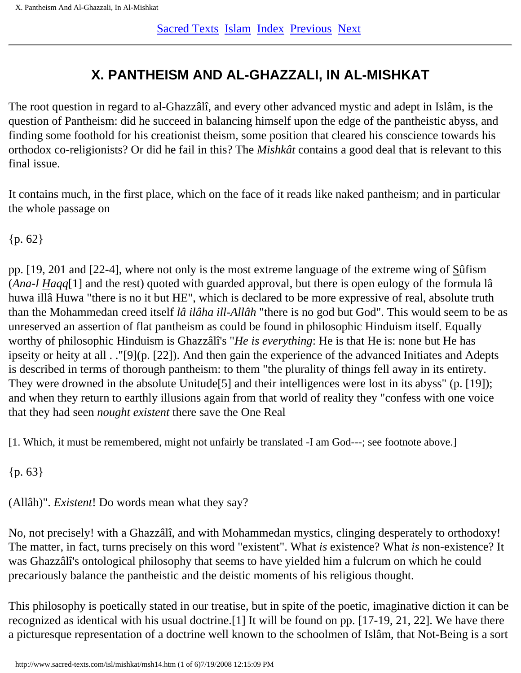# **X. PANTHEISM AND AL-GHAZZALI, IN AL-MISHKAT**

<span id="page-40-0"></span>The root question in regard to al-Ghazzâlî, and every other advanced mystic and adept in Islâm, is the question of Pantheism: did he succeed in balancing himself upon the edge of the pantheistic abyss, and finding some foothold for his creationist theism, some position that cleared his conscience towards his orthodox co-religionists? Or did he fail in this? The *Mishkât* contains a good deal that is relevant to this final issue.

It contains much, in the first place, which on the face of it reads like naked pantheism; and in particular the whole passage on

{p. 62}

pp. [19, 201 and [22-4], where not only is the most extreme language of the extreme wing of Sûfism (*Ana-l Haqq*[1] and the rest) quoted with guarded approval, but there is open eulogy of the formula lâ huwa illâ Huwa "there is no it but HE", which is declared to be more expressive of real, absolute truth than the Mohammedan creed itself *lâ ilâha ill-Allâh* "there is no god but God". This would seem to be as unreserved an assertion of flat pantheism as could be found in philosophic Hinduism itself. Equally worthy of philosophic Hinduism is Ghazzâlî's "*He is everything*: He is that He is: none but He has ipseity or heity at all . ."[9](p. [22]). And then gain the experience of the advanced Initiates and Adepts is described in terms of thorough pantheism: to them "the plurality of things fell away in its entirety. They were drowned in the absolute Unitude[5] and their intelligences were lost in its abyss" (p. [19]); and when they return to earthly illusions again from that world of reality they "confess with one voice that they had seen *nought existent* there save the One Real

[1. Which, it must be remembered, might not unfairly be translated -I am God---; see footnote above.]

{p. 63}

(Allâh)". *Existent*! Do words mean what they say?

No, not precisely! with a Ghazzâlî, and with Mohammedan mystics, clinging desperately to orthodoxy! The matter, in fact, turns precisely on this word "existent". What *is* existence? What *is* non-existence? It was Ghazzâlî's ontological philosophy that seems to have yielded him a fulcrum on which he could precariously balance the pantheistic and the deistic moments of his religious thought.

This philosophy is poetically stated in our treatise, but in spite of the poetic, imaginative diction it can be recognized as identical with his usual doctrine.[1] It will be found on pp. [17-19, 21, 22]. We have there a picturesque representation of a doctrine well known to the schoolmen of Islâm, that Not-Being is a sort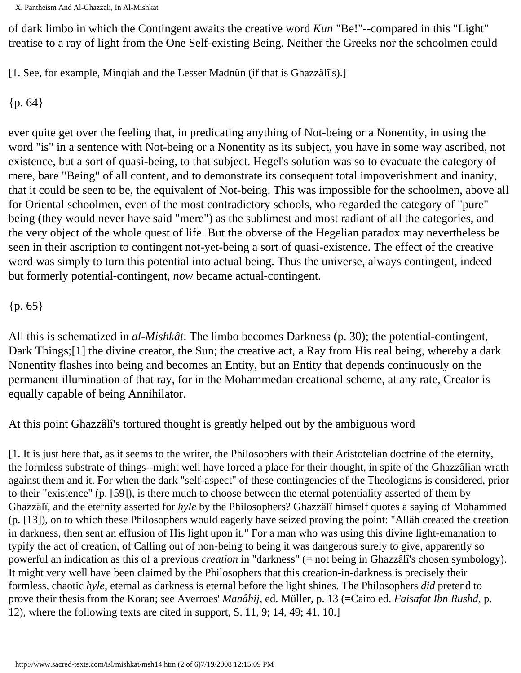of dark limbo in which the Contingent awaits the creative word *Kun* "Be!"--compared in this "Light" treatise to a ray of light from the One Self-existing Being. Neither the Greeks nor the schoolmen could

[1. See, for example, Minqiah and the Lesser Madnûn (if that is Ghazzâlî's).]

{p. 64}

ever quite get over the feeling that, in predicating anything of Not-being or a Nonentity, in using the word "is" in a sentence with Not-being or a Nonentity as its subject, you have in some way ascribed, not existence, but a sort of quasi-being, to that subject. Hegel's solution was so to evacuate the category of mere, bare "Being" of all content, and to demonstrate its consequent total impoverishment and inanity, that it could be seen to be, the equivalent of Not-being. This was impossible for the schoolmen, above all for Oriental schoolmen, even of the most contradictory schools, who regarded the category of "pure" being (they would never have said "mere") as the sublimest and most radiant of all the categories, and the very object of the whole quest of life. But the obverse of the Hegelian paradox may nevertheless be seen in their ascription to contingent not-yet-being a sort of quasi-existence. The effect of the creative word was simply to turn this potential into actual being. Thus the universe, always contingent, indeed but formerly potential-contingent, *now* became actual-contingent.

 ${p. 65}$ 

All this is schematized in *al-Mishkât*. The limbo becomes Darkness (p. 30); the potential-contingent, Dark Things;<sup>[1]</sup> the divine creator, the Sun; the creative act, a Ray from His real being, whereby a dark Nonentity flashes into being and becomes an Entity, but an Entity that depends continuously on the permanent illumination of that ray, for in the Mohammedan creational scheme, at any rate, Creator is equally capable of being Annihilator.

At this point Ghazzâlî's tortured thought is greatly helped out by the ambiguous word

[1. It is just here that, as it seems to the writer, the Philosophers with their Aristotelian doctrine of the eternity, the formless substrate of things--might well have forced a place for their thought, in spite of the Ghazzâlian wrath against them and it. For when the dark "self-aspect" of these contingencies of the Theologians is considered, prior to their "existence" (p. [59]), is there much to choose between the eternal potentiality asserted of them by Ghazzâlî, and the eternity asserted for *hyle* by the Philosophers? Ghazzâlî himself quotes a saying of Mohammed (p. [13]), on to which these Philosophers would eagerly have seized proving the point: "Allâh created the creation in darkness, then sent an effusion of His light upon it," For a man who was using this divine light-emanation to typify the act of creation, of Calling out of non-being to being it was dangerous surely to give, apparently so powerful an indication as this of a previous *creation* in "darkness" (= not being in Ghazzâlî's chosen symbology). It might very well have been claimed by the Philosophers that this creation-in-darkness is precisely their formless, chaotic *hyle*, eternal as darkness is eternal before the light shines. The Philosophers *did* pretend to prove their thesis from the Koran; see Averroes' *Manâhij*, ed. Müller, p. 13 (=Cairo ed. *Faisafat Ibn Rushd*, p. 12), where the following texts are cited in support, S. 11, 9; 14, 49; 41, 10.]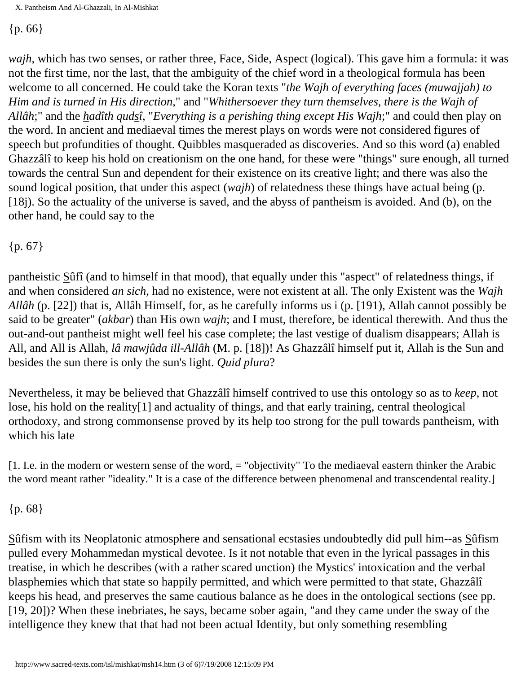{p. 66}

*wajh*, which has two senses, or rather three, Face, Side, Aspect (logical). This gave him a formula: it was not the first time, nor the last, that the ambiguity of the chief word in a theological formula has been welcome to all concerned. He could take the Koran texts "*the Wajh of everything faces (muwajjah) to Him and is turned in His direction*," and "*Whithersoever they turn themselves, there is the Wajh of Allâh*;" and the *hadîth qudsî*, "*Everything is a perishing thing except His Wajh*;" and could then play on the word. In ancient and mediaeval times the merest plays on words were not considered figures of speech but profundities of thought. Quibbles masqueraded as discoveries. And so this word (a) enabled Ghazzâlî to keep his hold on creationism on the one hand, for these were "things" sure enough, all turned towards the central Sun and dependent for their existence on its creative light; and there was also the sound logical position, that under this aspect (*wajh*) of relatedness these things have actual being (p. [18j). So the actuality of the universe is saved, and the abyss of pantheism is avoided. And (b), on the other hand, he could say to the

{p. 67}

pantheistic Sûfî (and to himself in that mood), that equally under this "aspect" of relatedness things, if and when considered *an sich*, had no existence, were not existent at all. The only Existent was the *Wajh Allâh* (p. [22]) that is, Allâh Himself, for, as he carefully informs us i (p. [191), Allah cannot possibly be said to be greater" (*akbar*) than His own *wajh*; and I must, therefore, be identical therewith. And thus the out-and-out pantheist might well feel his case complete; the last vestige of dualism disappears; Allah is All, and All is Allah, *lâ mawjûda ill-Allâh* (M. p. [18])! As Ghazzâlî himself put it, Allah is the Sun and besides the sun there is only the sun's light. *Quid plura*?

Nevertheless, it may be believed that Ghazzâlî himself contrived to use this ontology so as to *keep*, not lose, his hold on the reality[1] and actuality of things, and that early training, central theological orthodoxy, and strong commonsense proved by its help too strong for the pull towards pantheism, with which his late

[1. I.e. in the modern or western sense of the word, = "objectivity" To the mediaeval eastern thinker the Arabic the word meant rather "ideality." It is a case of the difference between phenomenal and transcendental reality.]

{p. 68}

Sûfism with its Neoplatonic atmosphere and sensational ecstasies undoubtedly did pull him--as Sûfism pulled every Mohammedan mystical devotee. Is it not notable that even in the lyrical passages in this treatise, in which he describes (with a rather scared unction) the Mystics' intoxication and the verbal blasphemies which that state so happily permitted, and which were permitted to that state, Ghazzâlî keeps his head, and preserves the same cautious balance as he does in the ontological sections (see pp. [19, 20])? When these inebriates, he says, became sober again, "and they came under the sway of the intelligence they knew that that had not been actual Identity, but only something resembling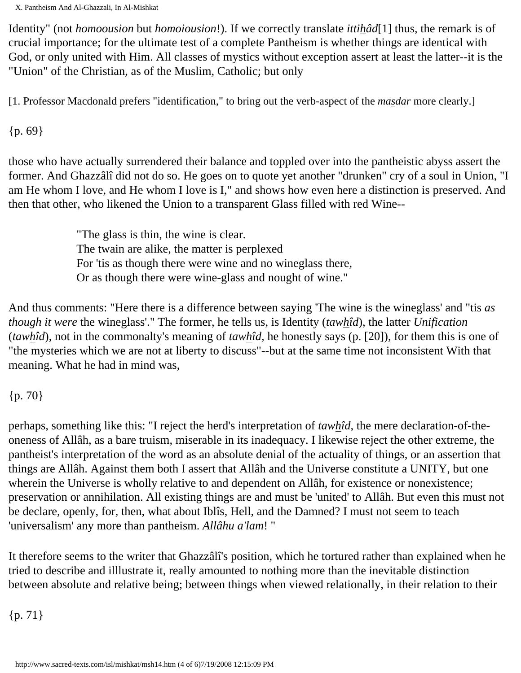Identity" (not *homoousion* but *homoiousion*!). If we correctly translate *ittihâd*[1] thus, the remark is of crucial importance; for the ultimate test of a complete Pantheism is whether things are identical with God, or only united with Him. All classes of mystics without exception assert at least the latter--it is the "Union" of the Christian, as of the Muslim, Catholic; but only

[1. Professor Macdonald prefers "identification," to bring out the verb-aspect of the *masdar* more clearly.]

{p. 69}

those who have actually surrendered their balance and toppled over into the pantheistic abyss assert the former. And Ghazzâlî did not do so. He goes on to quote yet another "drunken" cry of a soul in Union, "I am He whom I love, and He whom I love is I," and shows how even here a distinction is preserved. And then that other, who likened the Union to a transparent Glass filled with red Wine--

> "The glass is thin, the wine is clear. The twain are alike, the matter is perplexed For 'tis as though there were wine and no wineglass there, Or as though there were wine-glass and nought of wine."

And thus comments: "Here there is a difference between saying 'The wine is the wineglass' and "tis *as though it were* the wineglass'." The former, he tells us, is Identity (*tawhîd*), the latter *Unification* (*tawhîd*), not in the commonalty's meaning of *tawhîd*, he honestly says (p. [20]), for them this is one of "the mysteries which we are not at liberty to discuss"--but at the same time not inconsistent With that meaning. What he had in mind was,

{p. 70}

perhaps, something like this: "I reject the herd's interpretation of *tawhîd*, the mere declaration-of-theoneness of Allâh, as a bare truism, miserable in its inadequacy. I likewise reject the other extreme, the pantheist's interpretation of the word as an absolute denial of the actuality of things, or an assertion that things are Allâh. Against them both I assert that Allâh and the Universe constitute a UNITY, but one wherein the Universe is wholly relative to and dependent on Allâh, for existence or nonexistence; preservation or annihilation. All existing things are and must be 'united' to Allâh. But even this must not be declare, openly, for, then, what about Iblîs, Hell, and the Damned? I must not seem to teach 'universalism' any more than pantheism. *Allâhu a'lam*! "

It therefore seems to the writer that Ghazzâlî's position, which he tortured rather than explained when he tried to describe and illlustrate it, really amounted to nothing more than the inevitable distinction between absolute and relative being; between things when viewed relationally, in their relation to their

{p. 71}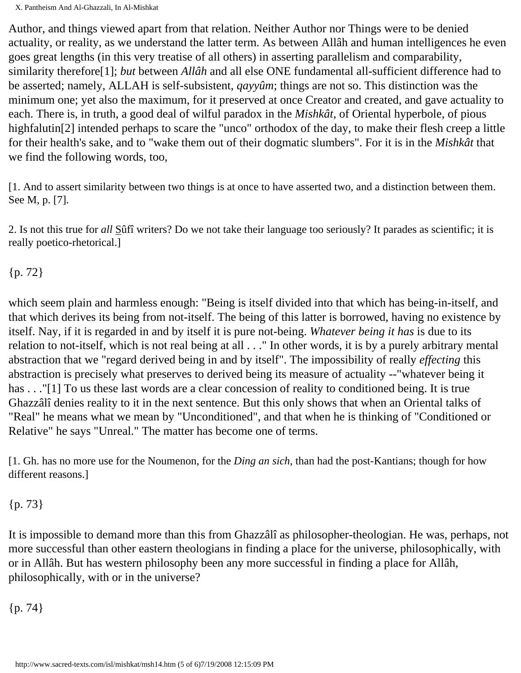Author, and things viewed apart from that relation. Neither Author nor Things were to be denied actuality, or reality, as we understand the latter term. As between Allâh and human intelligences he even goes great lengths (in this very treatise of all others) in asserting parallelism and comparability, similarity therefore[1]; *but* between *Allâh* and all else ONE fundamental all-sufficient difference had to be asserted; namely, ALLAH is self-subsistent, *qayyûm*; things are not so. This distinction was the minimum one; yet also the maximum, for it preserved at once Creator and created, and gave actuality to each. There is, in truth, a good deal of wilful paradox in the *Mishkât*, of Oriental hyperbole, of pious highfalutin<sup>[2]</sup> intended perhaps to scare the "unco" orthodox of the day, to make their flesh creep a little for their health's sake, and to "wake them out of their dogmatic slumbers". For it is in the *Mishkât* that we find the following words, too,

[1. And to assert similarity between two things is at once to have asserted two, and a distinction between them. See M, p. [7].

2. Is not this true for *all* Sûfî writers? Do we not take their language too seriously? It parades as scientific; it is really poetico-rhetorical.]

{p. 72}

which seem plain and harmless enough: "Being is itself divided into that which has being-in-itself, and that which derives its being from not-itself. The being of this latter is borrowed, having no existence by itself. Nay, if it is regarded in and by itself it is pure not-being. *Whatever being it has* is due to its relation to not-itself, which is not real being at all . . ." In other words, it is by a purely arbitrary mental abstraction that we "regard derived being in and by itself". The impossibility of really *effecting* this abstraction is precisely what preserves to derived being its measure of actuality --"whatever being it has . . ."[1] To us these last words are a clear concession of reality to conditioned being. It is true Ghazzâlî denies reality to it in the next sentence. But this only shows that when an Oriental talks of "Real" he means what we mean by "Unconditioned", and that when he is thinking of "Conditioned or Relative" he says "Unreal." The matter has become one of terms.

[1. Gh. has no more use for the Noumenon, for the *Ding an sich*, than had the post-Kantians; though for how different reasons.]

#### {p. 73}

It is impossible to demand more than this from Ghazzâlî as philosopher-theologian. He was, perhaps, not more successful than other eastern theologians in finding a place for the universe, philosophically, with or in Allâh. But has western philosophy been any more successful in finding a place for Allâh, philosophically, with or in the universe?

{p. 74}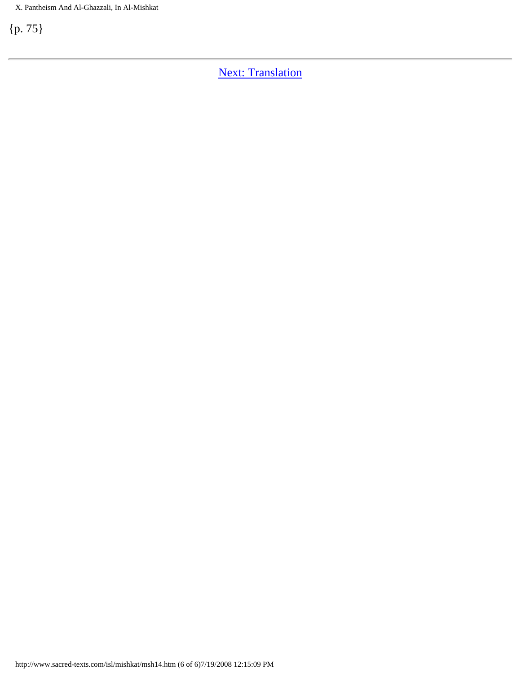**[Next: Translation](#page-46-0)**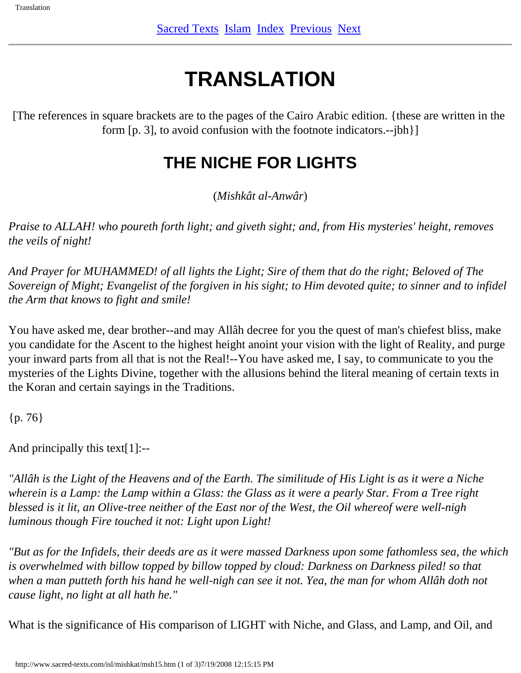# **TRANSLATION**

<span id="page-46-0"></span>[The references in square brackets are to the pages of the Cairo Arabic edition. {these are written in the form [p. 3], to avoid confusion with the footnote indicators.--jbh}]

# **THE NICHE FOR LIGHTS**

(*Mishkât al-Anwâr*)

*Praise to ALLAH! who poureth forth light; and giveth sight; and, from His mysteries' height, removes the veils of night!*

*And Prayer for MUHAMMED! of all lights the Light; Sire of them that do the right; Beloved of The Sovereign of Might; Evangelist of the forgiven in his sight; to Him devoted quite; to sinner and to infidel the Arm that knows to fight and smile!*

You have asked me, dear brother--and may Allâh decree for you the quest of man's chiefest bliss, make you candidate for the Ascent to the highest height anoint your vision with the light of Reality, and purge your inward parts from all that is not the Real!--You have asked me, I say, to communicate to you the mysteries of the Lights Divine, together with the allusions behind the literal meaning of certain texts in the Koran and certain sayings in the Traditions.

{p. 76}

And principally this text[1]:--

*"Allâh is the Light of the Heavens and of the Earth. The similitude of His Light is as it were a Niche wherein is a Lamp: the Lamp within a Glass: the Glass as it were a pearly Star. From a Tree right blessed is it lit, an Olive-tree neither of the East nor of the West, the Oil whereof were well-nigh luminous though Fire touched it not: Light upon Light!*

*"But as for the Infidels, their deeds are as it were massed Darkness upon some fathomless sea, the which is overwhelmed with billow topped by billow topped by cloud: Darkness on Darkness piled! so that when a man putteth forth his hand he well-nigh can see it not. Yea, the man for whom Allâh doth not cause light, no light at all hath he."*

What is the significance of His comparison of LIGHT with Niche, and Glass, and Lamp, and Oil, and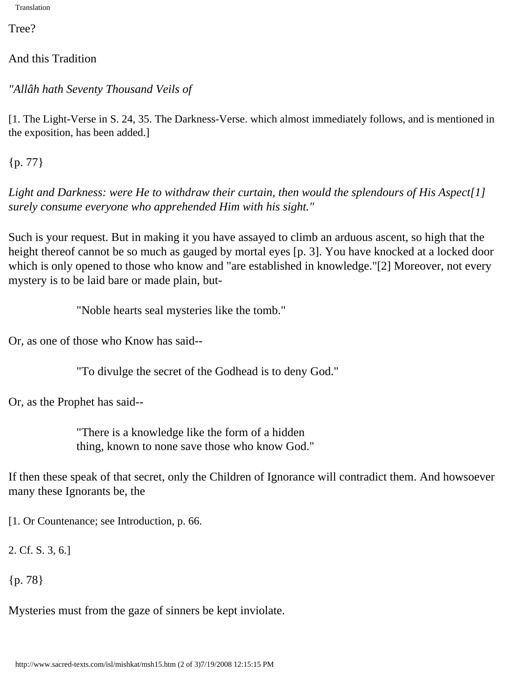Translation

Tree?

And this Tradition

*"Allâh hath Seventy Thousand Veils of*

[1. The Light-Verse in S. 24, 35. The Darkness-Verse. which almost immediately follows, and is mentioned in the exposition, has been added.]

{p. 77}

*Light and Darkness: were He to withdraw their curtain, then would the splendours of His Aspect[1] surely consume everyone who apprehended Him with his sight."*

Such is your request. But in making it you have assayed to climb an arduous ascent, so high that the height thereof cannot be so much as gauged by mortal eyes [p. 3]. You have knocked at a locked door which is only opened to those who know and "are established in knowledge."[2] Moreover, not every mystery is to be laid bare or made plain, but-

"Noble hearts seal mysteries like the tomb."

Or, as one of those who Know has said--

"To divulge the secret of the Godhead is to deny God."

Or, as the Prophet has said--

"There is a knowledge like the form of a hidden thing, known to none save those who know God."

If then these speak of that secret, only the Children of Ignorance will contradict them. And howsoever many these Ignorants be, the

[1. Or Countenance; see Introduction, p. 66.

2. Cf. S. 3, 6.]

{p. 78}

Mysteries must from the gaze of sinners be kept inviolate.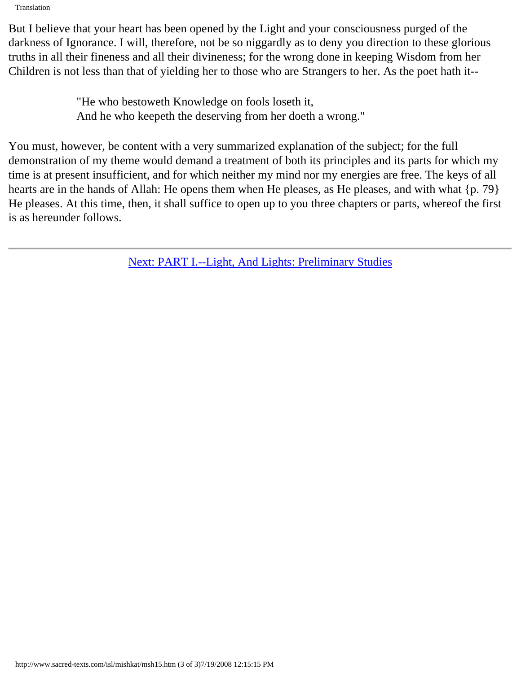Translation

But I believe that your heart has been opened by the Light and your consciousness purged of the darkness of Ignorance. I will, therefore, not be so niggardly as to deny you direction to these glorious truths in all their fineness and all their divineness; for the wrong done in keeping Wisdom from her Children is not less than that of yielding her to those who are Strangers to her. As the poet hath it--

> "He who bestoweth Knowledge on fools loseth it, And he who keepeth the deserving from her doeth a wrong."

You must, however, be content with a very summarized explanation of the subject; for the full demonstration of my theme would demand a treatment of both its principles and its parts for which my time is at present insufficient, and for which neither my mind nor my energies are free. The keys of all hearts are in the hands of Allah: He opens them when He pleases, as He pleases, and with what {p. 79} He pleases. At this time, then, it shall suffice to open up to you three chapters or parts, whereof the first is as hereunder follows.

[Next: PART I.--Light, And Lights: Preliminary Studies](#page-49-0)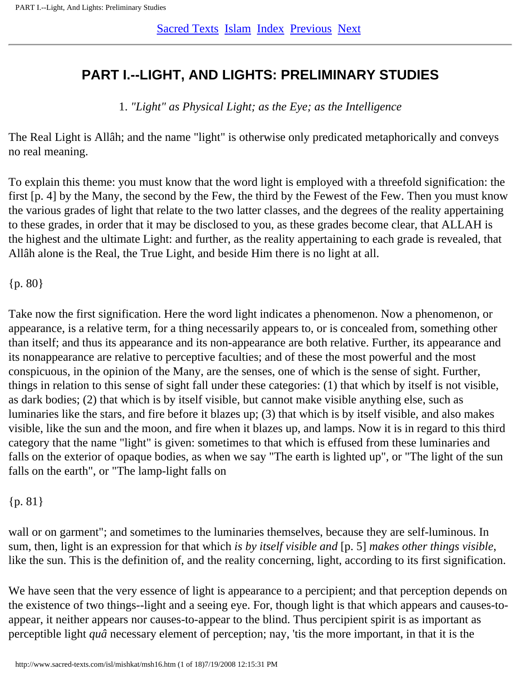## <span id="page-49-0"></span>**PART I.--LIGHT, AND LIGHTS: PRELIMINARY STUDIES**

1. *"Light" as Physical Light; as the Eye; as the Intelligence*

The Real Light is Allâh; and the name "light" is otherwise only predicated metaphorically and conveys no real meaning.

To explain this theme: you must know that the word light is employed with a threefold signification: the first [p. 4] by the Many, the second by the Few, the third by the Fewest of the Few. Then you must know the various grades of light that relate to the two latter classes, and the degrees of the reality appertaining to these grades, in order that it may be disclosed to you, as these grades become clear, that ALLAH is the highest and the ultimate Light: and further, as the reality appertaining to each grade is revealed, that Allâh alone is the Real, the True Light, and beside Him there is no light at all.

{p. 80}

Take now the first signification. Here the word light indicates a phenomenon. Now a phenomenon, or appearance, is a relative term, for a thing necessarily appears to, or is concealed from, something other than itself; and thus its appearance and its non-appearance are both relative. Further, its appearance and its nonappearance are relative to perceptive faculties; and of these the most powerful and the most conspicuous, in the opinion of the Many, are the senses, one of which is the sense of sight. Further, things in relation to this sense of sight fall under these categories: (1) that which by itself is not visible, as dark bodies; (2) that which is by itself visible, but cannot make visible anything else, such as luminaries like the stars, and fire before it blazes up; (3) that which is by itself visible, and also makes visible, like the sun and the moon, and fire when it blazes up, and lamps. Now it is in regard to this third category that the name "light" is given: sometimes to that which is effused from these luminaries and falls on the exterior of opaque bodies, as when we say "The earth is lighted up", or "The light of the sun falls on the earth", or "The lamp-light falls on

#### {p. 81}

wall or on garment"; and sometimes to the luminaries themselves, because they are self-luminous. In sum, then, light is an expression for that which *is by itself visible and* [p. 5] *makes other things visible*, like the sun. This is the definition of, and the reality concerning, light, according to its first signification.

We have seen that the very essence of light is appearance to a percipient; and that perception depends on the existence of two things--light and a seeing eye. For, though light is that which appears and causes-toappear, it neither appears nor causes-to-appear to the blind. Thus percipient spirit is as important as perceptible light *quâ* necessary element of perception; nay, 'tis the more important, in that it is the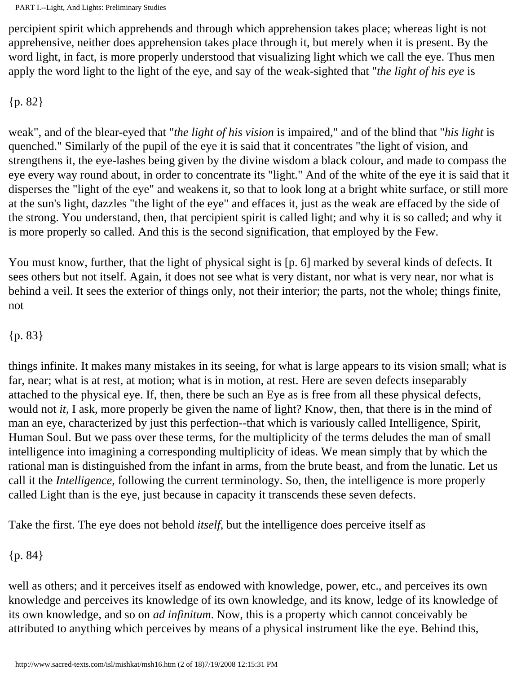percipient spirit which apprehends and through which apprehension takes place; whereas light is not apprehensive, neither does apprehension takes place through it, but merely when it is present. By the word light, in fact, is more properly understood that visualizing light which we call the eye. Thus men apply the word light to the light of the eye, and say of the weak-sighted that "*the light of his eye* is

{p. 82}

weak", and of the blear-eyed that "*the light of his vision* is impaired," and of the blind that "*his light* is quenched." Similarly of the pupil of the eye it is said that it concentrates "the light of vision, and strengthens it, the eye-lashes being given by the divine wisdom a black colour, and made to compass the eye every way round about, in order to concentrate its "light." And of the white of the eye it is said that it disperses the "light of the eye" and weakens it, so that to look long at a bright white surface, or still more at the sun's light, dazzles "the light of the eye" and effaces it, just as the weak are effaced by the side of the strong. You understand, then, that percipient spirit is called light; and why it is so called; and why it is more properly so called. And this is the second signification, that employed by the Few.

You must know, further, that the light of physical sight is [p. 6] marked by several kinds of defects. It sees others but not itself. Again, it does not see what is very distant, nor what is very near, nor what is behind a veil. It sees the exterior of things only, not their interior; the parts, not the whole; things finite, not

#### {p. 83}

things infinite. It makes many mistakes in its seeing, for what is large appears to its vision small; what is far, near; what is at rest, at motion; what is in motion, at rest. Here are seven defects inseparably attached to the physical eye. If, then, there be such an Eye as is free from all these physical defects, would not *it*, I ask, more properly be given the name of light? Know, then, that there is in the mind of man an eye, characterized by just this perfection--that which is variously called Intelligence, Spirit, Human Soul. But we pass over these terms, for the multiplicity of the terms deludes the man of small intelligence into imagining a corresponding multiplicity of ideas. We mean simply that by which the rational man is distinguished from the infant in arms, from the brute beast, and from the lunatic. Let us call it the *Intelligence*, following the current terminology. So, then, the intelligence is more properly called Light than is the eye, just because in capacity it transcends these seven defects.

Take the first. The eye does not behold *itself*, but the intelligence does perceive itself as

{p. 84}

well as others; and it perceives itself as endowed with knowledge, power, etc., and perceives its own knowledge and perceives its knowledge of its own knowledge, and its know, ledge of its knowledge of its own knowledge, and so on *ad infinitum*. Now, this is a property which cannot conceivably be attributed to anything which perceives by means of a physical instrument like the eye. Behind this,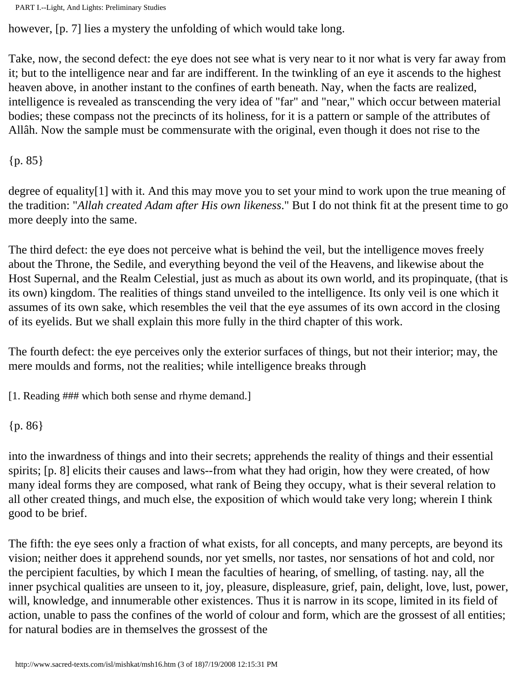```
PART I.--Light, And Lights: Preliminary Studies
```
however, [p. 7] lies a mystery the unfolding of which would take long.

Take, now, the second defect: the eye does not see what is very near to it nor what is very far away from it; but to the intelligence near and far are indifferent. In the twinkling of an eye it ascends to the highest heaven above, in another instant to the confines of earth beneath. Nay, when the facts are realized, intelligence is revealed as transcending the very idea of "far" and "near," which occur between material bodies; these compass not the precincts of its holiness, for it is a pattern or sample of the attributes of Allâh. Now the sample must be commensurate with the original, even though it does not rise to the

{p. 85}

degree of equality[1] with it. And this may move you to set your mind to work upon the true meaning of the tradition: "*Allah created Adam after His own likeness*." But I do not think fit at the present time to go more deeply into the same.

The third defect: the eye does not perceive what is behind the veil, but the intelligence moves freely about the Throne, the Sedile, and everything beyond the veil of the Heavens, and likewise about the Host Supernal, and the Realm Celestial, just as much as about its own world, and its propinquate, (that is its own) kingdom. The realities of things stand unveiled to the intelligence. Its only veil is one which it assumes of its own sake, which resembles the veil that the eye assumes of its own accord in the closing of its eyelids. But we shall explain this more fully in the third chapter of this work.

The fourth defect: the eye perceives only the exterior surfaces of things, but not their interior; may, the mere moulds and forms, not the realities; while intelligence breaks through

[1. Reading ### which both sense and rhyme demand.]

```
{p. 86}
```
into the inwardness of things and into their secrets; apprehends the reality of things and their essential spirits; [p. 8] elicits their causes and laws--from what they had origin, how they were created, of how many ideal forms they are composed, what rank of Being they occupy, what is their several relation to all other created things, and much else, the exposition of which would take very long; wherein I think good to be brief.

The fifth: the eye sees only a fraction of what exists, for all concepts, and many percepts, are beyond its vision; neither does it apprehend sounds, nor yet smells, nor tastes, nor sensations of hot and cold, nor the percipient faculties, by which I mean the faculties of hearing, of smelling, of tasting. nay, all the inner psychical qualities are unseen to it, joy, pleasure, displeasure, grief, pain, delight, love, lust, power, will, knowledge, and innumerable other existences. Thus it is narrow in its scope, limited in its field of action, unable to pass the confines of the world of colour and form, which are the grossest of all entities; for natural bodies are in themselves the grossest of the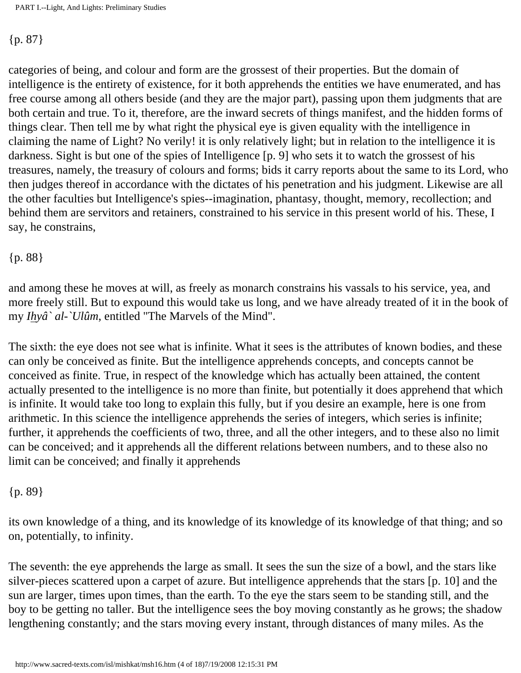#### {p. 87}

categories of being, and colour and form are the grossest of their properties. But the domain of intelligence is the entirety of existence, for it both apprehends the entities we have enumerated, and has free course among all others beside (and they are the major part), passing upon them judgments that are both certain and true. To it, therefore, are the inward secrets of things manifest, and the hidden forms of things clear. Then tell me by what right the physical eye is given equality with the intelligence in claiming the name of Light? No verily! it is only relatively light; but in relation to the intelligence it is darkness. Sight is but one of the spies of Intelligence [p. 9] who sets it to watch the grossest of his treasures, namely, the treasury of colours and forms; bids it carry reports about the same to its Lord, who then judges thereof in accordance with the dictates of his penetration and his judgment. Likewise are all the other faculties but Intelligence's spies--imagination, phantasy, thought, memory, recollection; and behind them are servitors and retainers, constrained to his service in this present world of his. These, I say, he constrains,

#### {p. 88}

and among these he moves at will, as freely as monarch constrains his vassals to his service, yea, and more freely still. But to expound this would take us long, and we have already treated of it in the book of my *Ihyâ` al-`Ulûm*, entitled "The Marvels of the Mind".

The sixth: the eye does not see what is infinite. What it sees is the attributes of known bodies, and these can only be conceived as finite. But the intelligence apprehends concepts, and concepts cannot be conceived as finite. True, in respect of the knowledge which has actually been attained, the content actually presented to the intelligence is no more than finite, but potentially it does apprehend that which is infinite. It would take too long to explain this fully, but if you desire an example, here is one from arithmetic. In this science the intelligence apprehends the series of integers, which series is infinite; further, it apprehends the coefficients of two, three, and all the other integers, and to these also no limit can be conceived; and it apprehends all the different relations between numbers, and to these also no limit can be conceived; and finally it apprehends

#### {p. 89}

its own knowledge of a thing, and its knowledge of its knowledge of its knowledge of that thing; and so on, potentially, to infinity.

The seventh: the eye apprehends the large as small. It sees the sun the size of a bowl, and the stars like silver-pieces scattered upon a carpet of azure. But intelligence apprehends that the stars [p. 10] and the sun are larger, times upon times, than the earth. To the eye the stars seem to be standing still, and the boy to be getting no taller. But the intelligence sees the boy moving constantly as he grows; the shadow lengthening constantly; and the stars moving every instant, through distances of many miles. As the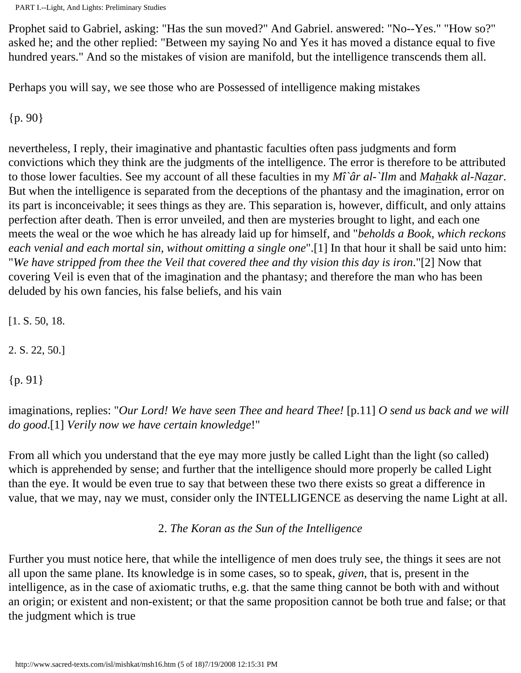Prophet said to Gabriel, asking: "Has the sun moved?" And Gabriel. answered: "No--Yes." "How so?" asked he; and the other replied: "Between my saying No and Yes it has moved a distance equal to five hundred years." And so the mistakes of vision are manifold, but the intelligence transcends them all.

Perhaps you will say, we see those who are Possessed of intelligence making mistakes

{p. 90}

nevertheless, I reply, their imaginative and phantastic faculties often pass judgments and form convictions which they think are the judgments of the intelligence. The error is therefore to be attributed to those lower faculties. See my account of all these faculties in my *Mî`âr al-`Ilm* and *Mahakk al-Nazar*. But when the intelligence is separated from the deceptions of the phantasy and the imagination, error on its part is inconceivable; it sees things as they are. This separation is, however, difficult, and only attains perfection after death. Then is error unveiled, and then are mysteries brought to light, and each one meets the weal or the woe which he has already laid up for himself, and "*beholds a Book, which reckons each venial and each mortal sin, without omitting a single one*".[1] In that hour it shall be said unto him: "*We have stripped from thee the Veil that covered thee and thy vision this day is iron*."[2] Now that covering Veil is even that of the imagination and the phantasy; and therefore the man who has been deluded by his own fancies, his false beliefs, and his vain

[1. S. 50, 18.

2. S. 22, 50.]

{p. 91}

imaginations, replies: "*Our Lord! We have seen Thee and heard Thee!* [p.11] *O send us back and we will do good*.[1] *Verily now we have certain knowledge*!"

From all which you understand that the eye may more justly be called Light than the light (so called) which is apprehended by sense; and further that the intelligence should more properly be called Light than the eye. It would be even true to say that between these two there exists so great a difference in value, that we may, nay we must, consider only the INTELLIGENCE as deserving the name Light at all.

2. *The Koran as the Sun of the Intelligence*

Further you must notice here, that while the intelligence of men does truly see, the things it sees are not all upon the same plane. Its knowledge is in some cases, so to speak, *given*, that is, present in the intelligence, as in the case of axiomatic truths, e.g. that the same thing cannot be both with and without an origin; or existent and non-existent; or that the same proposition cannot be both true and false; or that the judgment which is true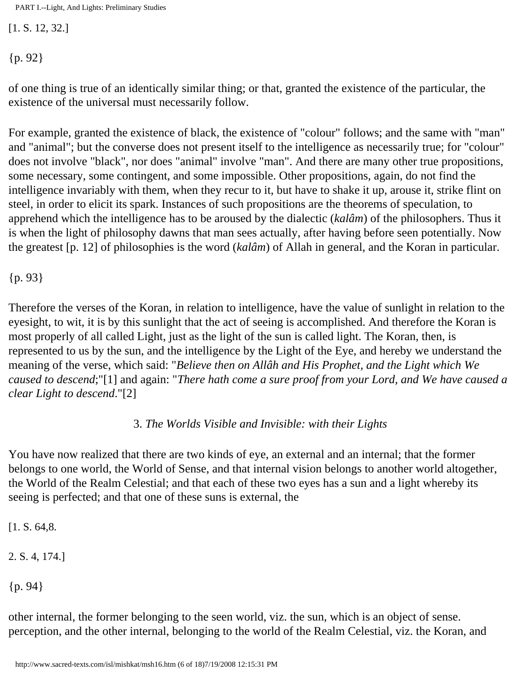[1. S. 12, 32.]

{p. 92}

of one thing is true of an identically similar thing; or that, granted the existence of the particular, the existence of the universal must necessarily follow.

For example, granted the existence of black, the existence of "colour" follows; and the same with "man" and "animal"; but the converse does not present itself to the intelligence as necessarily true; for "colour" does not involve "black", nor does "animal" involve "man". And there are many other true propositions, some necessary, some contingent, and some impossible. Other propositions, again, do not find the intelligence invariably with them, when they recur to it, but have to shake it up, arouse it, strike flint on steel, in order to elicit its spark. Instances of such propositions are the theorems of speculation, to apprehend which the intelligence has to be aroused by the dialectic (*kalâm*) of the philosophers. Thus it is when the light of philosophy dawns that man sees actually, after having before seen potentially. Now the greatest [p. 12] of philosophies is the word (*kalâm*) of Allah in general, and the Koran in particular.

{p. 93}

Therefore the verses of the Koran, in relation to intelligence, have the value of sunlight in relation to the eyesight, to wit, it is by this sunlight that the act of seeing is accomplished. And therefore the Koran is most properly of all called Light, just as the light of the sun is called light. The Koran, then, is represented to us by the sun, and the intelligence by the Light of the Eye, and hereby we understand the meaning of the verse, which said: "*Believe then on Allâh and His Prophet, and the Light which We caused to descend*;"[1] and again: "*There hath come a sure proof from your Lord, and We have caused a clear Light to descend*."[2]

3. *The Worlds Visible and Invisible: with their Lights*

You have now realized that there are two kinds of eye, an external and an internal; that the former belongs to one world, the World of Sense, and that internal vision belongs to another world altogether, the World of the Realm Celestial; and that each of these two eyes has a sun and a light whereby its seeing is perfected; and that one of these suns is external, the

[1. S. 64,8.]

2. S. 4, 174.]

{p. 94}

other internal, the former belonging to the seen world, viz. the sun, which is an object of sense. perception, and the other internal, belonging to the world of the Realm Celestial, viz. the Koran, and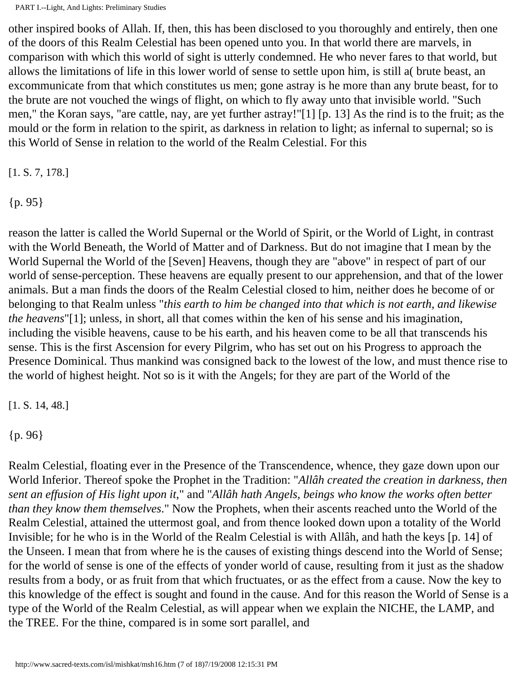other inspired books of Allah. If, then, this has been disclosed to you thoroughly and entirely, then one of the doors of this Realm Celestial has been opened unto you. In that world there are marvels, in comparison with which this world of sight is utterly condemned. He who never fares to that world, but allows the limitations of life in this lower world of sense to settle upon him, is still a( brute beast, an excommunicate from that which constitutes us men; gone astray is he more than any brute beast, for to the brute are not vouched the wings of flight, on which to fly away unto that invisible world. "Such men," the Koran says, "are cattle, nay, are yet further astray!"[1] [p. 13] As the rind is to the fruit; as the mould or the form in relation to the spirit, as darkness in relation to light; as infernal to supernal; so is this World of Sense in relation to the world of the Realm Celestial. For this

[1. S. 7, 178.]

{p. 95}

reason the latter is called the World Supernal or the World of Spirit, or the World of Light, in contrast with the World Beneath, the World of Matter and of Darkness. But do not imagine that I mean by the World Supernal the World of the [Seven] Heavens, though they are "above" in respect of part of our world of sense-perception. These heavens are equally present to our apprehension, and that of the lower animals. But a man finds the doors of the Realm Celestial closed to him, neither does he become of or belonging to that Realm unless "*this earth to him be changed into that which is not earth, and likewise the heavens*"[1]; unless, in short, all that comes within the ken of his sense and his imagination, including the visible heavens, cause to be his earth, and his heaven come to be all that transcends his sense. This is the first Ascension for every Pilgrim, who has set out on his Progress to approach the Presence Dominical. Thus mankind was consigned back to the lowest of the low, and must thence rise to the world of highest height. Not so is it with the Angels; for they are part of the World of the

[1. S. 14, 48.]

{p. 96}

Realm Celestial, floating ever in the Presence of the Transcendence, whence, they gaze down upon our World Inferior. Thereof spoke the Prophet in the Tradition: "*Allâh created the creation in darkness, then sent an effusion of His light upon it*," and "*Allâh hath Angels, beings who know the works often better than they know them themselves*." Now the Prophets, when their ascents reached unto the World of the Realm Celestial, attained the uttermost goal, and from thence looked down upon a totality of the World Invisible; for he who is in the World of the Realm Celestial is with Allâh, and hath the keys [p. 14] of the Unseen. I mean that from where he is the causes of existing things descend into the World of Sense; for the world of sense is one of the effects of yonder world of cause, resulting from it just as the shadow results from a body, or as fruit from that which fructuates, or as the effect from a cause. Now the key to this knowledge of the effect is sought and found in the cause. And for this reason the World of Sense is a type of the World of the Realm Celestial, as will appear when we explain the NICHE, the LAMP, and the TREE. For the thine, compared is in some sort parallel, and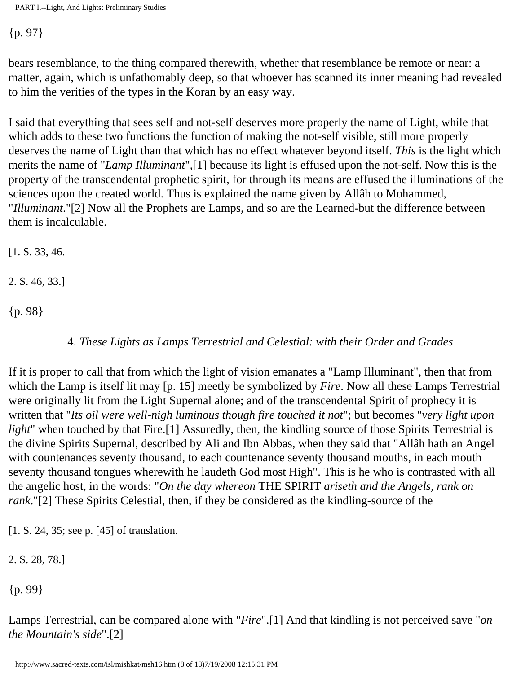{p. 97}

bears resemblance, to the thing compared therewith, whether that resemblance be remote or near: a matter, again, which is unfathomably deep, so that whoever has scanned its inner meaning had revealed to him the verities of the types in the Koran by an easy way.

I said that everything that sees self and not-self deserves more properly the name of Light, while that which adds to these two functions the function of making the not-self visible, still more properly deserves the name of Light than that which has no effect whatever beyond itself. *This* is the light which merits the name of "*Lamp Illuminant*",[1] because its light is effused upon the not-self. Now this is the property of the transcendental prophetic spirit, for through its means are effused the illuminations of the sciences upon the created world. Thus is explained the name given by Allâh to Mohammed, "*Illuminant*."[2] Now all the Prophets are Lamps, and so are the Learned-but the difference between them is incalculable.

[1. S. 33, 46.

2. S. 46, 33.]

{p. 98}

4. *These Lights as Lamps Terrestrial and Celestial: with their Order and Grades*

If it is proper to call that from which the light of vision emanates a "Lamp Illuminant", then that from which the Lamp is itself lit may [p. 15] meetly be symbolized by *Fire*. Now all these Lamps Terrestrial were originally lit from the Light Supernal alone; and of the transcendental Spirit of prophecy it is written that "*Its oil were well-nigh luminous though fire touched it not*"; but becomes "*very light upon light*" when touched by that Fire.[1] Assuredly, then, the kindling source of those Spirits Terrestrial is the divine Spirits Supernal, described by Ali and Ibn Abbas, when they said that "Allâh hath an Angel with countenances seventy thousand, to each countenance seventy thousand mouths, in each mouth seventy thousand tongues wherewith he laudeth God most High". This is he who is contrasted with all the angelic host, in the words: "*On the day whereon* THE SPIRIT *ariseth and the Angels, rank on rank*."[2] These Spirits Celestial, then, if they be considered as the kindling-source of the

[1. S. 24, 35; see p. [45] of translation.

2. S. 28, 78.]

{p. 99}

Lamps Terrestrial, can be compared alone with "*Fire*".[1] And that kindling is not perceived save "*on the Mountain's side*".[2]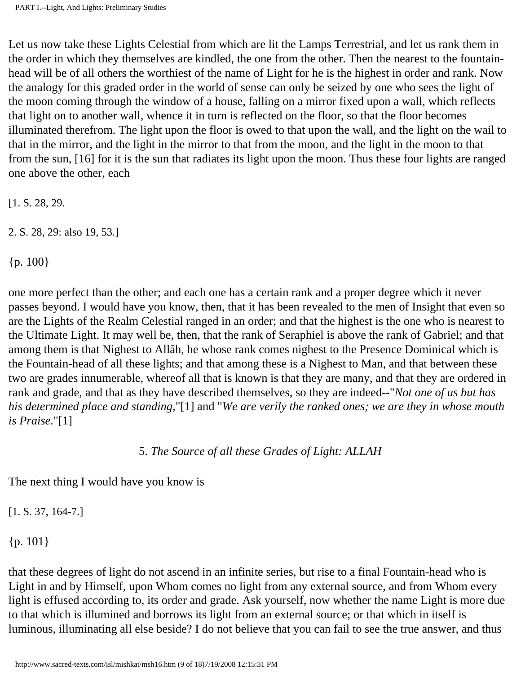Let us now take these Lights Celestial from which are lit the Lamps Terrestrial, and let us rank them in the order in which they themselves are kindled, the one from the other. Then the nearest to the fountainhead will be of all others the worthiest of the name of Light for he is the highest in order and rank. Now the analogy for this graded order in the world of sense can only be seized by one who sees the light of the moon coming through the window of a house, falling on a mirror fixed upon a wall, which reflects that light on to another wall, whence it in turn is reflected on the floor, so that the floor becomes illuminated therefrom. The light upon the floor is owed to that upon the wall, and the light on the wail to that in the mirror, and the light in the mirror to that from the moon, and the light in the moon to that from the sun, [16] for it is the sun that radiates its light upon the moon. Thus these four lights are ranged one above the other, each

[1. S. 28, 29.

2. S. 28, 29: also 19, 53.]

{p. 100}

one more perfect than the other; and each one has a certain rank and a proper degree which it never passes beyond. I would have you know, then, that it has been revealed to the men of Insight that even so are the Lights of the Realm Celestial ranged in an order; and that the highest is the one who is nearest to the Ultimate Light. It may well be, then, that the rank of Seraphiel is above the rank of Gabriel; and that among them is that Nighest to Allâh, he whose rank comes nighest to the Presence Dominical which is the Fountain-head of all these lights; and that among these is a Nighest to Man, and that between these two are grades innumerable, whereof all that is known is that they are many, and that they are ordered in rank and grade, and that as they have described themselves, so they are indeed--"*Not one of us but has his determined place and standing*,"[1] and "*We are verily the ranked ones; we are they in whose mouth is Praise*."[1]

#### 5. *The Source of all these Grades of Light: ALLAH*

The next thing I would have you know is

[1. S. 37, 164-7.]

 ${p. 101}$ 

that these degrees of light do not ascend in an infinite series, but rise to a final Fountain-head who is Light in and by Himself, upon Whom comes no light from any external source, and from Whom every light is effused according to, its order and grade. Ask yourself, now whether the name Light is more due to that which is illumined and borrows its light from an external source; or that which in itself is luminous, illuminating all else beside? I do not believe that you can fail to see the true answer, and thus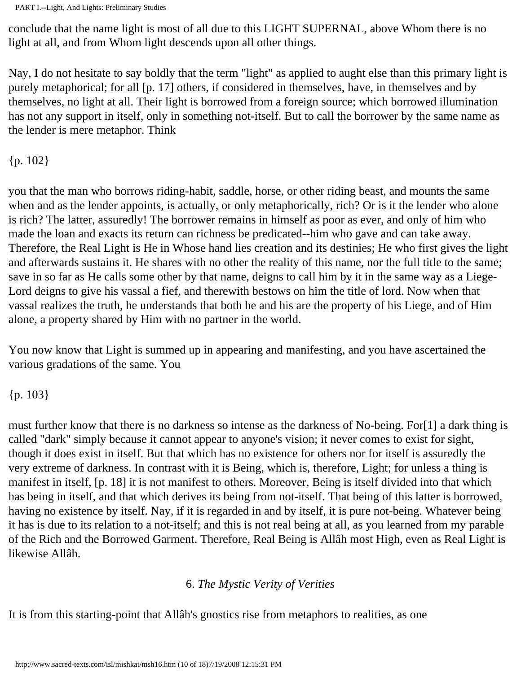conclude that the name light is most of all due to this LIGHT SUPERNAL, above Whom there is no light at all, and from Whom light descends upon all other things.

Nay, I do not hesitate to say boldly that the term "light" as applied to aught else than this primary light is purely metaphorical; for all [p. 17] others, if considered in themselves, have, in themselves and by themselves, no light at all. Their light is borrowed from a foreign source; which borrowed illumination has not any support in itself, only in something not-itself. But to call the borrower by the same name as the lender is mere metaphor. Think

{p. 102}

you that the man who borrows riding-habit, saddle, horse, or other riding beast, and mounts the same when and as the lender appoints, is actually, or only metaphorically, rich? Or is it the lender who alone is rich? The latter, assuredly! The borrower remains in himself as poor as ever, and only of him who made the loan and exacts its return can richness be predicated--him who gave and can take away. Therefore, the Real Light is He in Whose hand lies creation and its destinies; He who first gives the light and afterwards sustains it. He shares with no other the reality of this name, nor the full title to the same; save in so far as He calls some other by that name, deigns to call him by it in the same way as a Liege-Lord deigns to give his vassal a fief, and therewith bestows on him the title of lord. Now when that vassal realizes the truth, he understands that both he and his are the property of his Liege, and of Him alone, a property shared by Him with no partner in the world.

You now know that Light is summed up in appearing and manifesting, and you have ascertained the various gradations of the same. You

{p. 103}

must further know that there is no darkness so intense as the darkness of No-being. For[1] a dark thing is called "dark" simply because it cannot appear to anyone's vision; it never comes to exist for sight, though it does exist in itself. But that which has no existence for others nor for itself is assuredly the very extreme of darkness. In contrast with it is Being, which is, therefore, Light; for unless a thing is manifest in itself, [p. 18] it is not manifest to others. Moreover, Being is itself divided into that which has being in itself, and that which derives its being from not-itself. That being of this latter is borrowed, having no existence by itself. Nay, if it is regarded in and by itself, it is pure not-being. Whatever being it has is due to its relation to a not-itself; and this is not real being at all, as you learned from my parable of the Rich and the Borrowed Garment. Therefore, Real Being is Allâh most High, even as Real Light is likewise Allâh.

#### 6. *The Mystic Verity of Verities*

It is from this starting-point that Allâh's gnostics rise from metaphors to realities, as one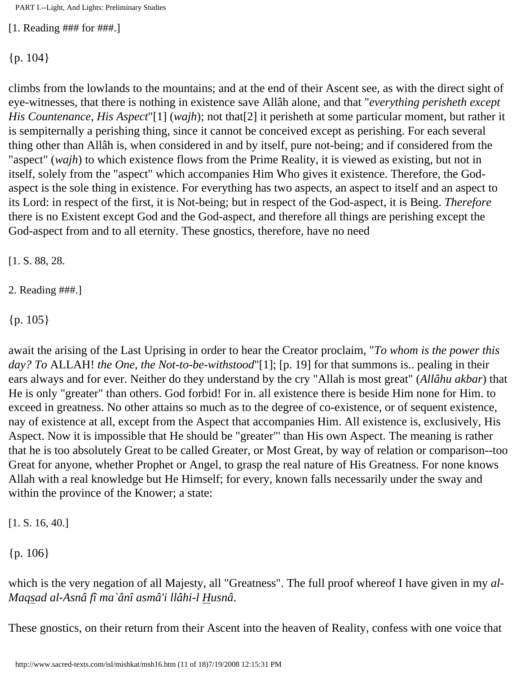[1. Reading ### for ###.]

 ${p. 104}$ 

climbs from the lowlands to the mountains; and at the end of their Ascent see, as with the direct sight of eye-witnesses, that there is nothing in existence save Allâh alone, and that "*everything perisheth except His Countenance, His Aspect*"[1] (*wajh*); not that[2] it perisheth at some particular moment, but rather it is sempiternally a perishing thing, since it cannot be conceived except as perishing. For each several thing other than Allâh is, when considered in and by itself, pure not-being; and if considered from the "aspect" (*wajh*) to which existence flows from the Prime Reality, it is viewed as existing, but not in itself, solely from the "aspect" which accompanies Him Who gives it existence. Therefore, the Godaspect is the sole thing in existence. For everything has two aspects, an aspect to itself and an aspect to its Lord: in respect of the first, it is Not-being; but in respect of the God-aspect, it is Being. *Therefore* there is no Existent except God and the God-aspect, and therefore all things are perishing except the God-aspect from and to all eternity. These gnostics, therefore, have no need

[1. S. 88, 28.

2. Reading ###.]

{p. 105}

await the arising of the Last Uprising in order to hear the Creator proclaim, "*To whom is the power this day? To* ALLAH! *the One, the Not-to-be-withstood*"[1]; [p. 19] for that summons is.. pealing in their ears always and for ever. Neither do they understand by the cry "Allah is most great" (*Allâhu akbar*) that He is only "greater" than others. God forbid! For in. all existence there is beside Him none for Him. to exceed in greatness. No other attains so much as to the degree of co-existence, or of sequent existence, nay of existence at all, except from the Aspect that accompanies Him. All existence is, exclusively, His Aspect. Now it is impossible that He should be "greater"' than His own Aspect. The meaning is rather that he is too absolutely Great to be called Greater, or Most Great, by way of relation or comparison--too Great for anyone, whether Prophet or Angel, to grasp the real nature of His Greatness. For none knows Allah with a real knowledge but He Himself; for every, known falls necessarily under the sway and within the province of the Knower; a state:

[1. S. 16, 40.]

{p. 106}

which is the very negation of all Majesty, all "Greatness". The full proof whereof I have given in my *al-Maqsad al-Asnâ fî ma`ânî asmâ'i llâhi-l Husnâ*.

These gnostics, on their return from their Ascent into the heaven of Reality, confess with one voice that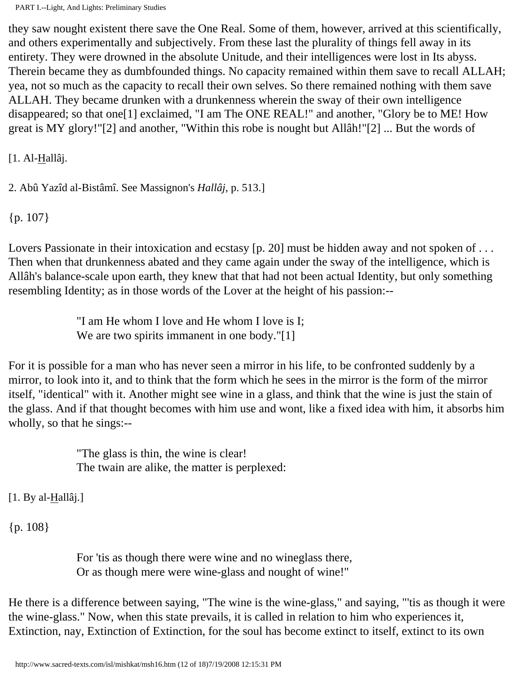they saw nought existent there save the One Real. Some of them, however, arrived at this scientifically, and others experimentally and subjectively. From these last the plurality of things fell away in its entirety. They were drowned in the absolute Unitude, and their intelligences were lost in Its abyss. Therein became they as dumbfounded things. No capacity remained within them save to recall ALLAH; yea, not so much as the capacity to recall their own selves. So there remained nothing with them save ALLAH. They became drunken with a drunkenness wherein the sway of their own intelligence disappeared; so that one[1] exclaimed, "I am The ONE REAL!" and another, "Glory be to ME! How great is MY glory!"[2] and another, "Within this robe is nought but Allâh!"[2] ... But the words of

[1. Al-Hallâj.

2. Abû Yazîd al-Bistâmî. See Massignon's *Hallâj*, p. 513.]

{p. 107}

Lovers Passionate in their intoxication and ecstasy [p. 20] must be hidden away and not spoken of ... Then when that drunkenness abated and they came again under the sway of the intelligence, which is Allâh's balance-scale upon earth, they knew that that had not been actual Identity, but only something resembling Identity; as in those words of the Lover at the height of his passion:--

> "I am He whom I love and He whom I love is I; We are two spirits immanent in one body."[1]

For it is possible for a man who has never seen a mirror in his life, to be confronted suddenly by a mirror, to look into it, and to think that the form which he sees in the mirror is the form of the mirror itself, "identical" with it. Another might see wine in a glass, and think that the wine is just the stain of the glass. And if that thought becomes with him use and wont, like a fixed idea with him, it absorbs him wholly, so that he sings:--

> "The glass is thin, the wine is clear! The twain are alike, the matter is perplexed:

 $[1. By al-Hallâj.]$ 

{p. 108}

For 'tis as though there were wine and no wineglass there, Or as though mere were wine-glass and nought of wine!"

He there is a difference between saying, "The wine is the wine-glass," and saying, "'tis as though it were the wine-glass." Now, when this state prevails, it is called in relation to him who experiences it, Extinction, nay, Extinction of Extinction, for the soul has become extinct to itself, extinct to its own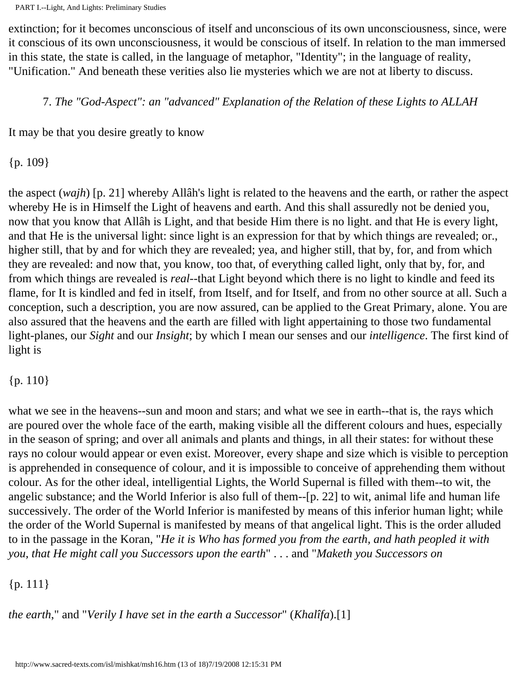extinction; for it becomes unconscious of itself and unconscious of its own unconsciousness, since, were it conscious of its own unconsciousness, it would be conscious of itself. In relation to the man immersed in this state, the state is called, in the language of metaphor, "Identity"; in the language of reality, "Unification." And beneath these verities also lie mysteries which we are not at liberty to discuss.

7. *The "God-Aspect": an "advanced" Explanation of the Relation of these Lights to ALLAH*

It may be that you desire greatly to know

{p. 109}

the aspect (*wajh*) [p. 21] whereby Allâh's light is related to the heavens and the earth, or rather the aspect whereby He is in Himself the Light of heavens and earth. And this shall assuredly not be denied you, now that you know that Allâh is Light, and that beside Him there is no light. and that He is every light, and that He is the universal light: since light is an expression for that by which things are revealed; or., higher still, that by and for which they are revealed; yea, and higher still, that by, for, and from which they are revealed: and now that, you know, too that, of everything called light, only that by, for, and from which things are revealed is *real*--that Light beyond which there is no light to kindle and feed its flame, for It is kindled and fed in itself, from Itself, and for Itself, and from no other source at all. Such a conception, such a description, you are now assured, can be applied to the Great Primary, alone. You are also assured that the heavens and the earth are filled with light appertaining to those two fundamental light-planes, our *Sight* and our *Insight*; by which I mean our senses and our *intelligence*. The first kind of light is

#### ${p. 110}$

what we see in the heavens--sun and moon and stars; and what we see in earth--that is, the rays which are poured over the whole face of the earth, making visible all the different colours and hues, especially in the season of spring; and over all animals and plants and things, in all their states: for without these rays no colour would appear or even exist. Moreover, every shape and size which is visible to perception is apprehended in consequence of colour, and it is impossible to conceive of apprehending them without colour. As for the other ideal, intelligential Lights, the World Supernal is filled with them--to wit, the angelic substance; and the World Inferior is also full of them--[p. 22] to wit, animal life and human life successively. The order of the World Inferior is manifested by means of this inferior human light; while the order of the World Supernal is manifested by means of that angelical light. This is the order alluded to in the passage in the Koran, "*He it is Who has formed you from the earth, and hath peopled it with you, that He might call you Successors upon the earth*" . . . and "*Maketh you Successors on*

#### {p. 111}

*the earth*," and "*Verily I have set in the earth a Successor*" (*Khalîfa*).[1]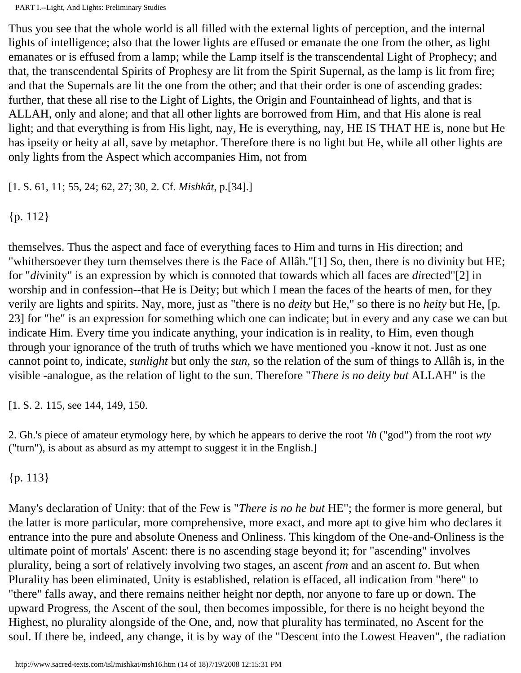Thus you see that the whole world is all filled with the external lights of perception, and the internal lights of intelligence; also that the lower lights are effused or emanate the one from the other, as light emanates or is effused from a lamp; while the Lamp itself is the transcendental Light of Prophecy; and that, the transcendental Spirits of Prophesy are lit from the Spirit Supernal, as the lamp is lit from fire; and that the Supernals are lit the one from the other; and that their order is one of ascending grades: further, that these all rise to the Light of Lights, the Origin and Fountainhead of lights, and that is ALLAH, only and alone; and that all other lights are borrowed from Him, and that His alone is real light; and that everything is from His light, nay, He is everything, nay, HE IS THAT HE is, none but He has ipseity or heity at all, save by metaphor. Therefore there is no light but He, while all other lights are only lights from the Aspect which accompanies Him, not from

[1. S. 61, 11; 55, 24; 62, 27; 30, 2. Cf. *Mishkât*, p.[34].]

{p. 112}

themselves. Thus the aspect and face of everything faces to Him and turns in His direction; and "whithersoever they turn themselves there is the Face of Allâh."[1] So, then, there is no divinity but HE; for "*di*vinity" is an expression by which is connoted that towards which all faces are *di*rected"[2] in worship and in confession--that He is Deity; but which I mean the faces of the hearts of men, for they verily are lights and spirits. Nay, more, just as "there is no *deity* but He," so there is no *heity* but He, [p. 23] for "he" is an expression for something which one can indicate; but in every and any case we can but indicate Him. Every time you indicate anything, your indication is in reality, to Him, even though through your ignorance of the truth of truths which we have mentioned you -know it not. Just as one cannot point to, indicate, *sunlight* but only the *sun*, so the relation of the sum of things to Allâh is, in the visible -analogue, as the relation of light to the sun. Therefore "*There is no deity but* ALLAH" is the

[1. S. 2. 115, see 144, 149, 150.

2. Gh.'s piece of amateur etymology here, by which he appears to derive the root *'lh* ("god") from the root *wty* ("turn"), is about as absurd as my attempt to suggest it in the English.]

{p. 113}

Many's declaration of Unity: that of the Few is "*There is no he but* HE"; the former is more general, but the latter is more particular, more comprehensive, more exact, and more apt to give him who declares it entrance into the pure and absolute Oneness and Onliness. This kingdom of the One-and-Onliness is the ultimate point of mortals' Ascent: there is no ascending stage beyond it; for "ascending" involves plurality, being a sort of relatively involving two stages, an ascent *from* and an ascent *to*. But when Plurality has been eliminated, Unity is established, relation is effaced, all indication from "here" to "there" falls away, and there remains neither height nor depth, nor anyone to fare up or down. The upward Progress, the Ascent of the soul, then becomes impossible, for there is no height beyond the Highest, no plurality alongside of the One, and, now that plurality has terminated, no Ascent for the soul. If there be, indeed, any change, it is by way of the "Descent into the Lowest Heaven", the radiation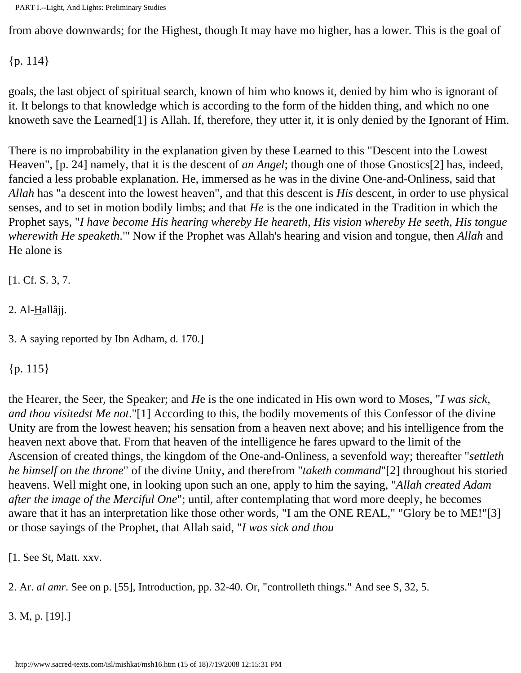from above downwards; for the Highest, though It may have mo higher, has a lower. This is the goal of

{p. 114}

goals, the last object of spiritual search, known of him who knows it, denied by him who is ignorant of it. It belongs to that knowledge which is according to the form of the hidden thing, and which no one knoweth save the Learned[1] is Allah. If, therefore, they utter it, it is only denied by the Ignorant of Him.

There is no improbability in the explanation given by these Learned to this "Descent into the Lowest Heaven", [p. 24] namely, that it is the descent of *an Angel*; though one of those Gnostics[2] has, indeed, fancied a less probable explanation. He, immersed as he was in the divine One-and-Onliness, said that *Allah* has "a descent into the lowest heaven", and that this descent is *His* descent, in order to use physical senses, and to set in motion bodily limbs; and that *He* is the one indicated in the Tradition in which the Prophet says, "*I have become His hearing whereby He heareth, His vision whereby He seeth, His tongue wherewith He speaketh*."' Now if the Prophet was Allah's hearing and vision and tongue, then *Allah* and He alone is

[1. Cf. S. 3, 7.

 $2.$  Al- $\text{Hall}\hat{a}$ jj.

3. A saying reported by Ibn Adham, d. 170.]

{p. 115}

the Hearer, the Seer, the Speaker; and *H*e is the one indicated in His own word to Moses, "*I was sick, and thou visitedst Me not*."[1] According to this, the bodily movements of this Confessor of the divine Unity are from the lowest heaven; his sensation from a heaven next above; and his intelligence from the heaven next above that. From that heaven of the intelligence he fares upward to the limit of the Ascension of created things, the kingdom of the One-and-Onliness, a sevenfold way; thereafter "*settleth he himself on the throne*" of the divine Unity, and therefrom "*taketh command*"[2] throughout his storied heavens. Well might one, in looking upon such an one, apply to him the saying, "*Allah created Adam after the image of the Merciful One*"; until, after contemplating that word more deeply, he becomes aware that it has an interpretation like those other words, "I am the ONE REAL," "Glory be to ME!"[3] or those sayings of the Prophet, that Allah said, "*I was sick and thou*

[1. See St, Matt. xxv.

2. Ar. *al amr*. See on p. [55], Introduction, pp. 32-40. Or, "controlleth things." And see S, 32, 5.

3. M, p. [19].]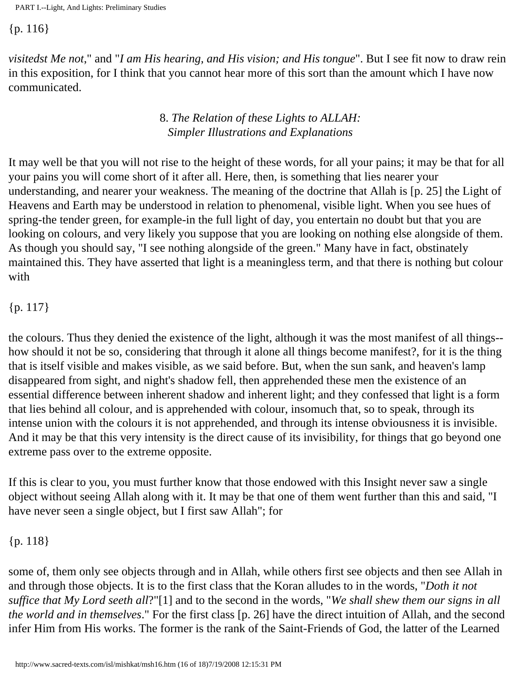{p. 116}

*visitedst Me not*," and "*I am His hearing, and His vision; and His tongue*". But I see fit now to draw rein in this exposition, for I think that you cannot hear more of this sort than the amount which I have now communicated.

#### 8. *The Relation of these Lights to ALLAH: Simpler Illustrations and Explanations*

It may well be that you will not rise to the height of these words, for all your pains; it may be that for all your pains you will come short of it after all. Here, then, is something that lies nearer your understanding, and nearer your weakness. The meaning of the doctrine that Allah is [p. 25] the Light of Heavens and Earth may be understood in relation to phenomenal, visible light. When you see hues of spring-the tender green, for example-in the full light of day, you entertain no doubt but that you are looking on colours, and very likely you suppose that you are looking on nothing else alongside of them. As though you should say, "I see nothing alongside of the green." Many have in fact, obstinately maintained this. They have asserted that light is a meaningless term, and that there is nothing but colour with

#### {p. 117}

the colours. Thus they denied the existence of the light, although it was the most manifest of all things- how should it not be so, considering that through it alone all things become manifest?, for it is the thing that is itself visible and makes visible, as we said before. But, when the sun sank, and heaven's lamp disappeared from sight, and night's shadow fell, then apprehended these men the existence of an essential difference between inherent shadow and inherent light; and they confessed that light is a form that lies behind all colour, and is apprehended with colour, insomuch that, so to speak, through its intense union with the colours it is not apprehended, and through its intense obviousness it is invisible. And it may be that this very intensity is the direct cause of its invisibility, for things that go beyond one extreme pass over to the extreme opposite.

If this is clear to you, you must further know that those endowed with this Insight never saw a single object without seeing Allah along with it. It may be that one of them went further than this and said, "I have never seen a single object, but I first saw Allah"; for

#### {p. 118}

some of, them only see objects through and in Allah, while others first see objects and then see Allah in and through those objects. It is to the first class that the Koran alludes to in the words, "*Doth it not suffice that My Lord seeth all*?"[1] and to the second in the words, "*We shall shew them our signs in all the world and in themselves*." For the first class [p. 26] have the direct intuition of Allah, and the second infer Him from His works. The former is the rank of the Saint-Friends of God, the latter of the Learned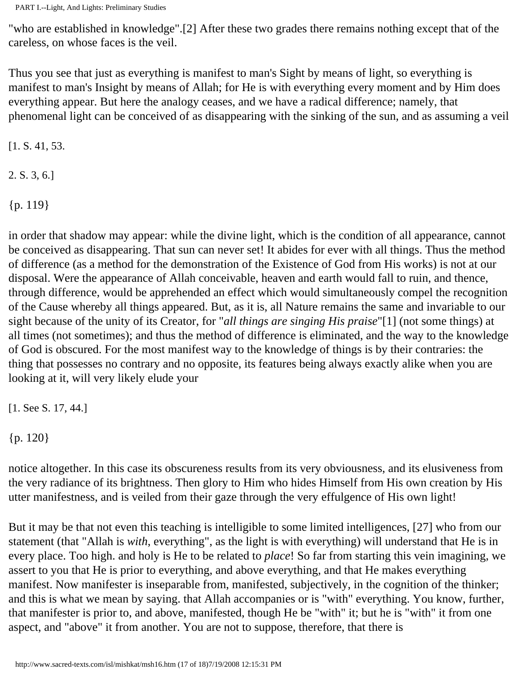"who are established in knowledge".[2] After these two grades there remains nothing except that of the careless, on whose faces is the veil.

Thus you see that just as everything is manifest to man's Sight by means of light, so everything is manifest to man's Insight by means of Allah; for He is with everything every moment and by Him does everything appear. But here the analogy ceases, and we have a radical difference; namely, that phenomenal light can be conceived of as disappearing with the sinking of the sun, and as assuming a veil

[1. S. 41, 53.

2. S. 3, 6.]

{p. 119}

in order that shadow may appear: while the divine light, which is the condition of all appearance, cannot be conceived as disappearing. That sun can never set! It abides for ever with all things. Thus the method of difference (as a method for the demonstration of the Existence of God from His works) is not at our disposal. Were the appearance of Allah conceivable, heaven and earth would fall to ruin, and thence, through difference, would be apprehended an effect which would simultaneously compel the recognition of the Cause whereby all things appeared. But, as it is, all Nature remains the same and invariable to our sight because of the unity of its Creator, for "*all things are singing His praise*"[1] (not some things) at all times (not sometimes); and thus the method of difference is eliminated, and the way to the knowledge of God is obscured. For the most manifest way to the knowledge of things is by their contraries: the thing that possesses no contrary and no opposite, its features being always exactly alike when you are looking at it, will very likely elude your

[1. See S. 17, 44.]

{p. 120}

notice altogether. In this case its obscureness results from its very obviousness, and its elusiveness from the very radiance of its brightness. Then glory to Him who hides Himself from His own creation by His utter manifestness, and is veiled from their gaze through the very effulgence of His own light!

But it may be that not even this teaching is intelligible to some limited intelligences, [27] who from our statement (that "Allah is *with*, everything", as the light is with everything) will understand that He is in every place. Too high. and holy is He to be related to *place*! So far from starting this vein imagining, we assert to you that He is prior to everything, and above everything, and that He makes everything manifest. Now manifester is inseparable from, manifested, subjectively, in the cognition of the thinker; and this is what we mean by saying. that Allah accompanies or is "with" everything. You know, further, that manifester is prior to, and above, manifested, though He be "with" it; but he is "with" it from one aspect, and "above" it from another. You are not to suppose, therefore, that there is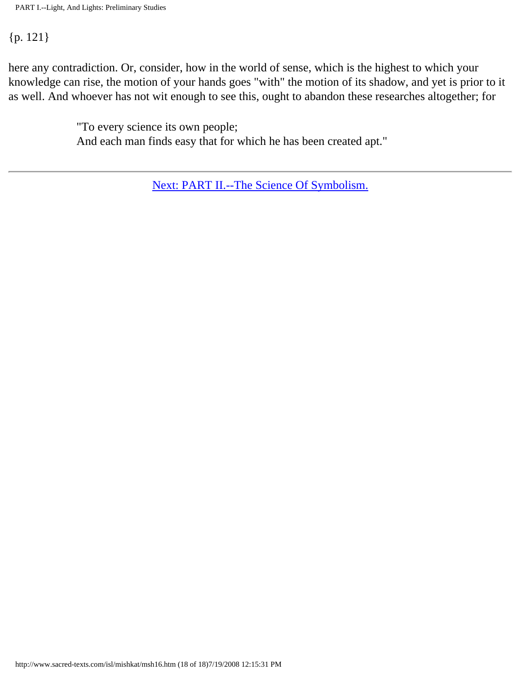#### {p. 121}

here any contradiction. Or, consider, how in the world of sense, which is the highest to which your knowledge can rise, the motion of your hands goes "with" the motion of its shadow, and yet is prior to it as well. And whoever has not wit enough to see this, ought to abandon these researches altogether; for

> "To every science its own people; And each man finds easy that for which he has been created apt."

> > [Next: PART II.--The Science Of Symbolism.](#page-67-0)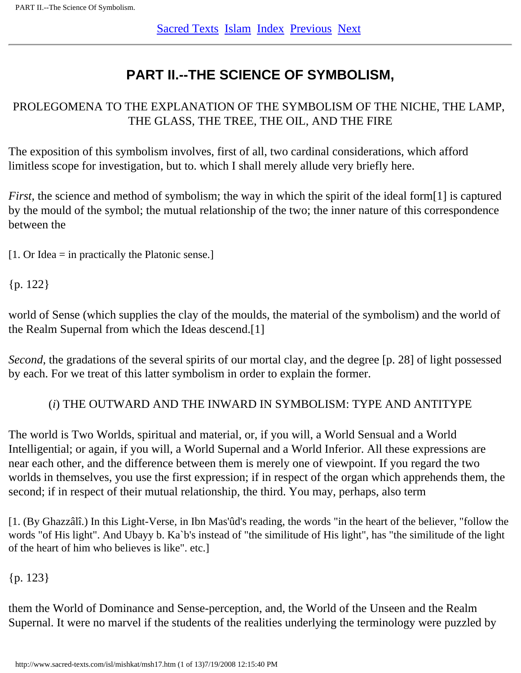### **PART II.--THE SCIENCE OF SYMBOLISM,**

#### <span id="page-67-0"></span>PROLEGOMENA TO THE EXPLANATION OF THE SYMBOLISM OF THE NICHE, THE LAMP, THE GLASS, THE TREE, THE OIL, AND THE FIRE

The exposition of this symbolism involves, first of all, two cardinal considerations, which afford limitless scope for investigation, but to. which I shall merely allude very briefly here.

*First*, the science and method of symbolism; the way in which the spirit of the ideal form[1] is captured by the mould of the symbol; the mutual relationship of the two; the inner nature of this correspondence between the

 $[1. Or]$  Idea = in practically the Platonic sense.]

{p. 122}

world of Sense (which supplies the clay of the moulds, the material of the symbolism) and the world of the Realm Supernal from which the Ideas descend.[1]

*Second*, the gradations of the several spirits of our mortal clay, and the degree [p. 28] of light possessed by each. For we treat of this latter symbolism in order to explain the former.

#### (*i*) THE OUTWARD AND THE INWARD IN SYMBOLISM: TYPE AND ANTITYPE

The world is Two Worlds, spiritual and material, or, if you will, a World Sensual and a World Intelligential; or again, if you will, a World Supernal and a World Inferior. All these expressions are near each other, and the difference between them is merely one of viewpoint. If you regard the two worlds in themselves, you use the first expression; if in respect of the organ which apprehends them, the second; if in respect of their mutual relationship, the third. You may, perhaps, also term

[1. (By Ghazzâlî.) In this Light-Verse, in Ibn Mas'ûd's reading, the words "in the heart of the believer, "follow the words "of His light". And Ubayy b. Ka`b's instead of "the similitude of His light", has "the similitude of the light of the heart of him who believes is like". etc.]

{p. 123}

them the World of Dominance and Sense-perception, and, the World of the Unseen and the Realm Supernal. It were no marvel if the students of the realities underlying the terminology were puzzled by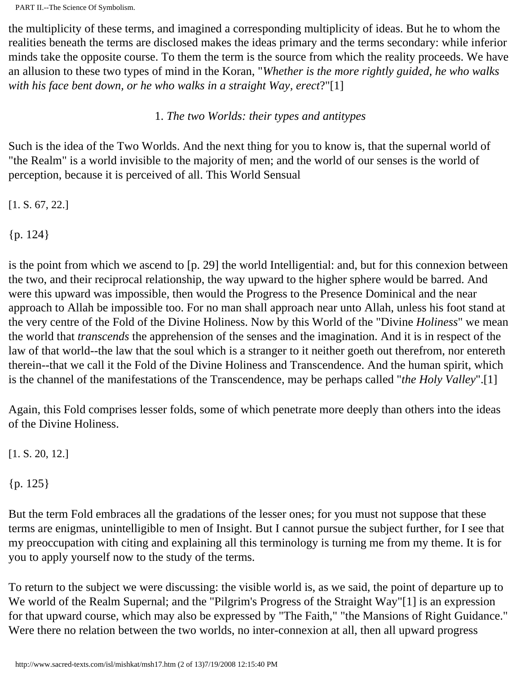the multiplicity of these terms, and imagined a corresponding multiplicity of ideas. But he to whom the realities beneath the terms are disclosed makes the ideas primary and the terms secondary: while inferior minds take the opposite course. To them the term is the source from which the reality proceeds. We have an allusion to these two types of mind in the Koran, "*Whether is the more rightly guided, he who walks with his face bent down, or he who walks in a straight Way, erect*?"[1]

#### 1. *The two Worlds: their types and antitypes*

Such is the idea of the Two Worlds. And the next thing for you to know is, that the supernal world of "the Realm" is a world invisible to the majority of men; and the world of our senses is the world of perception, because it is perceived of all. This World Sensual

[1. S. 67, 22.]

{p. 124}

is the point from which we ascend to [p. 29] the world Intelligential: and, but for this connexion between the two, and their reciprocal relationship, the way upward to the higher sphere would be barred. And were this upward was impossible, then would the Progress to the Presence Dominical and the near approach to Allah be impossible too. For no man shall approach near unto Allah, unless his foot stand at the very centre of the Fold of the Divine Holiness. Now by this World of the "Divine *Holiness*" we mean the world that *transcends* the apprehension of the senses and the imagination. And it is in respect of the law of that world--the law that the soul which is a stranger to it neither goeth out therefrom, nor entereth therein--that we call it the Fold of the Divine Holiness and Transcendence. And the human spirit, which is the channel of the manifestations of the Transcendence, may be perhaps called "*the Holy Valley*".[1]

Again, this Fold comprises lesser folds, some of which penetrate more deeply than others into the ideas of the Divine Holiness.

[1. S. 20, 12.]

{p. 125}

But the term Fold embraces all the gradations of the lesser ones; for you must not suppose that these terms are enigmas, unintelligible to men of Insight. But I cannot pursue the subject further, for I see that my preoccupation with citing and explaining all this terminology is turning me from my theme. It is for you to apply yourself now to the study of the terms.

To return to the subject we were discussing: the visible world is, as we said, the point of departure up to We world of the Realm Supernal; and the "Pilgrim's Progress of the Straight Way"[1] is an expression for that upward course, which may also be expressed by "The Faith," "the Mansions of Right Guidance." Were there no relation between the two worlds, no inter-connexion at all, then all upward progress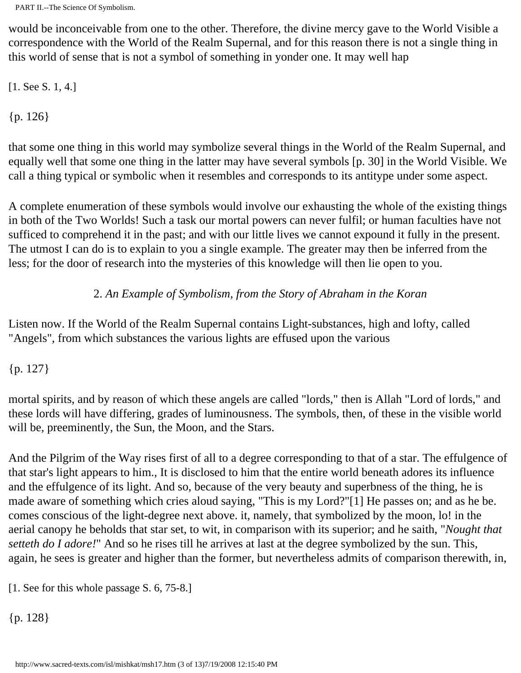would be inconceivable from one to the other. Therefore, the divine mercy gave to the World Visible a correspondence with the World of the Realm Supernal, and for this reason there is not a single thing in this world of sense that is not a symbol of something in yonder one. It may well hap

[1. See S. 1, 4.]

{p. 126}

that some one thing in this world may symbolize several things in the World of the Realm Supernal, and equally well that some one thing in the latter may have several symbols [p. 30] in the World Visible. We call a thing typical or symbolic when it resembles and corresponds to its antitype under some aspect.

A complete enumeration of these symbols would involve our exhausting the whole of the existing things in both of the Two Worlds! Such a task our mortal powers can never fulfil; or human faculties have not sufficed to comprehend it in the past; and with our little lives we cannot expound it fully in the present. The utmost I can do is to explain to you a single example. The greater may then be inferred from the less; for the door of research into the mysteries of this knowledge will then lie open to you.

#### 2. *An Example of Symbolism, from the Story of Abraham in the Koran*

Listen now. If the World of the Realm Supernal contains Light-substances, high and lofty, called "Angels", from which substances the various lights are effused upon the various

#### {p. 127}

mortal spirits, and by reason of which these angels are called "lords," then is Allah "Lord of lords," and these lords will have differing, grades of luminousness. The symbols, then, of these in the visible world will be, preeminently, the Sun, the Moon, and the Stars.

And the Pilgrim of the Way rises first of all to a degree corresponding to that of a star. The effulgence of that star's light appears to him., It is disclosed to him that the entire world beneath adores its influence and the effulgence of its light. And so, because of the very beauty and superbness of the thing, he is made aware of something which cries aloud saying, "This is my Lord?"[1] He passes on; and as he be. comes conscious of the light-degree next above. it, namely, that symbolized by the moon, lo! in the aerial canopy he beholds that star set, to wit, in comparison with its superior; and he saith, "*Nought that setteth do I adore!*" And so he rises till he arrives at last at the degree symbolized by the sun. This, again, he sees is greater and higher than the former, but nevertheless admits of comparison therewith, in,

[1. See for this whole passage S. 6, 75-8.]

{p. 128}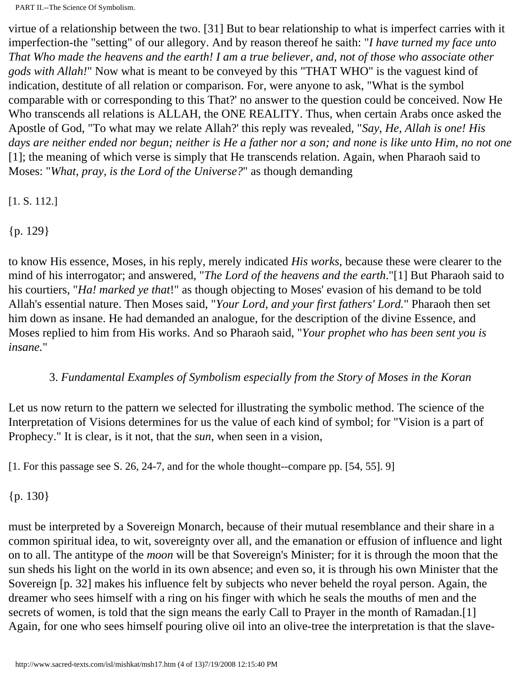virtue of a relationship between the two. [31] But to bear relationship to what is imperfect carries with it imperfection-the "setting" of our allegory. And by reason thereof he saith: "*I have turned my face unto That Who made the heavens and the earth! I am a true believer, and, not of those who associate other gods with Allah!*" Now what is meant to be conveyed by this "THAT WHO" is the vaguest kind of indication, destitute of all relation or comparison. For, were anyone to ask, "What is the symbol comparable with or corresponding to this That?' no answer to the question could be conceived. Now He Who transcends all relations is ALLAH, the ONE REALITY. Thus, when certain Arabs once asked the Apostle of God, "To what may we relate Allah?' this reply was revealed, "*Say, He, Allah is one! His days are neither ended nor begun; neither is He a father nor a son; and none is like unto Him, no not one* [1]; the meaning of which verse is simply that He transcends relation. Again, when Pharaoh said to Moses: "*What, pray, is the Lord of the Universe?*" as though demanding

[1. S. 112.]

{p. 129}

to know His essence, Moses, in his reply, merely indicated *His works*, because these were clearer to the mind of his interrogator; and answered, "*The Lord of the heavens and the earth*."[1] But Pharaoh said to his courtiers, "*Ha! marked ye that*!" as though objecting to Moses' evasion of his demand to be told Allah's essential nature. Then Moses said, "*Your Lord, and your first fathers' Lord.*" Pharaoh then set him down as insane. He had demanded an analogue, for the description of the divine Essence, and Moses replied to him from His works. And so Pharaoh said, "*Your prophet who has been sent you is insane.*"

#### 3. *Fundamental Examples of Symbolism especially from the Story of Moses in the Koran*

Let us now return to the pattern we selected for illustrating the symbolic method. The science of the Interpretation of Visions determines for us the value of each kind of symbol; for "Vision is a part of Prophecy." It is clear, is it not, that the *sun*, when seen in a vision,

[1. For this passage see S. 26, 24-7, and for the whole thought--compare pp. [54, 55]. 9]

{p. 130}

must be interpreted by a Sovereign Monarch, because of their mutual resemblance and their share in a common spiritual idea, to wit, sovereignty over all, and the emanation or effusion of influence and light on to all. The antitype of the *moon* will be that Sovereign's Minister; for it is through the moon that the sun sheds his light on the world in its own absence; and even so, it is through his own Minister that the Sovereign [p. 32] makes his influence felt by subjects who never beheld the royal person. Again, the dreamer who sees himself with a ring on his finger with which he seals the mouths of men and the secrets of women, is told that the sign means the early Call to Prayer in the month of Ramadan.[1] Again, for one who sees himself pouring olive oil into an olive-tree the interpretation is that the slave-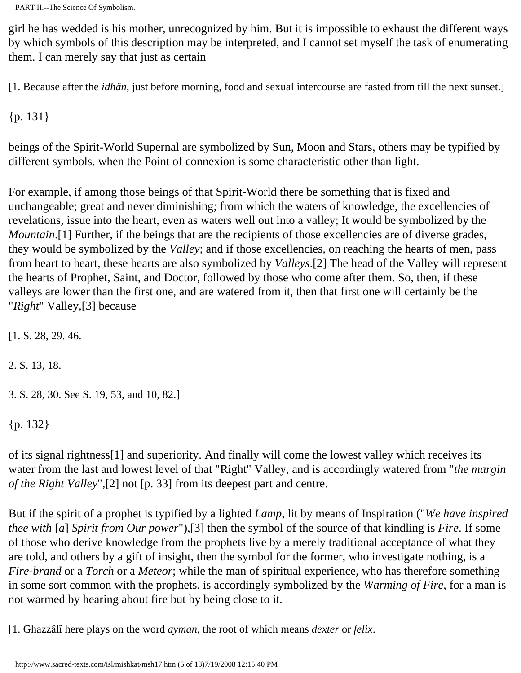girl he has wedded is his mother, unrecognized by him. But it is impossible to exhaust the different ways by which symbols of this description may be interpreted, and I cannot set myself the task of enumerating them. I can merely say that just as certain

[1. Because after the *idhân*, just before morning, food and sexual intercourse are fasted from till the next sunset.]

{p. 131}

beings of the Spirit-World Supernal are symbolized by Sun, Moon and Stars, others may be typified by different symbols. when the Point of connexion is some characteristic other than light.

For example, if among those beings of that Spirit-World there be something that is fixed and unchangeable; great and never diminishing; from which the waters of knowledge, the excellencies of revelations, issue into the heart, even as waters well out into a valley; It would be symbolized by the *Mountain*.[1] Further, if the beings that are the recipients of those excellencies are of diverse grades, they would be symbolized by the *Valley*; and if those excellencies, on reaching the hearts of men, pass from heart to heart, these hearts are also symbolized by *Valleys*.[2] The head of the Valley will represent the hearts of Prophet, Saint, and Doctor, followed by those who come after them. So, then, if these valleys are lower than the first one, and are watered from it, then that first one will certainly be the "*Right*" Valley,[3] because

[1. S. 28, 29. 46.

2. S. 13, 18.

3. S. 28, 30. See S. 19, 53, and 10, 82.]

{p. 132}

of its signal rightness[1] and superiority. And finally will come the lowest valley which receives its water from the last and lowest level of that "Right" Valley, and is accordingly watered from "*the margin of the Right Valley*",[2] not [p. 33] from its deepest part and centre.

But if the spirit of a prophet is typified by a lighted *Lamp*, lit by means of Inspiration ("*We have inspired thee with* [*a*] *Spirit from Our power*"),[3] then the symbol of the source of that kindling is *Fire*. If some of those who derive knowledge from the prophets live by a merely traditional acceptance of what they are told, and others by a gift of insight, then the symbol for the former, who investigate nothing, is a *Fire-brand* or a *Torch* or a *Meteor*; while the man of spiritual experience, who has therefore something in some sort common with the prophets, is accordingly symbolized by the *Warming of Fire*, for a man is not warmed by hearing about fire but by being close to it.

[1. Ghazzâlî here plays on the word *ayman*, the root of which means *dexter* or *felix*.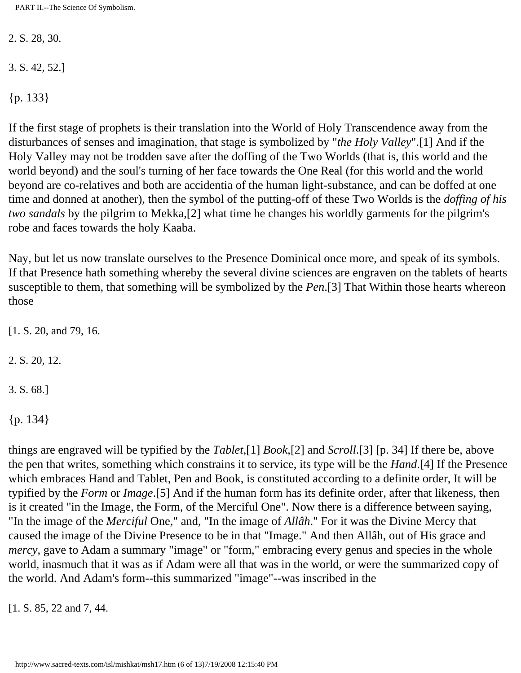2. S. 28, 30.

3. S. 42, 52.]

{p. 133}

If the first stage of prophets is their translation into the World of Holy Transcendence away from the disturbances of senses and imagination, that stage is symbolized by "*the Holy Valley*".[1] And if the Holy Valley may not be trodden save after the doffing of the Two Worlds (that is, this world and the world beyond) and the soul's turning of her face towards the One Real (for this world and the world beyond are co-relatives and both are accidentia of the human light-substance, and can be doffed at one time and donned at another), then the symbol of the putting-off of these Two Worlds is the *doffing of his two sandals* by the pilgrim to Mekka,[2] what time he changes his worldly garments for the pilgrim's robe and faces towards the holy Kaaba.

Nay, but let us now translate ourselves to the Presence Dominical once more, and speak of its symbols. If that Presence hath something whereby the several divine sciences are engraven on the tablets of hearts susceptible to them, that something will be symbolized by the *Pen*.[3] That Within those hearts whereon those

[1. S. 20, and 79, 16.

2. S. 20, 12.

3. S. 68.]

{p. 134}

things are engraved will be typified by the *Tablet*,[1] *Book*,[2] and *Scroll*.[3] [p. 34] If there be, above the pen that writes, something which constrains it to service, its type will be the *Hand*.[4] If the Presence which embraces Hand and Tablet, Pen and Book, is constituted according to a definite order, It will be typified by the *Form* or *Image*.[5] And if the human form has its definite order, after that likeness, then is it created "in the Image, the Form, of the Merciful One". Now there is a difference between saying, "In the image of the *Merciful* One," and, "In the image of *Allâh*." For it was the Divine Mercy that caused the image of the Divine Presence to be in that "Image." And then Allâh, out of His grace and *mercy*, gave to Adam a summary "image" or "form," embracing every genus and species in the whole world, inasmuch that it was as if Adam were all that was in the world, or were the summarized copy of the world. And Adam's form--this summarized "image"--was inscribed in the

[1. S. 85, 22 and 7, 44.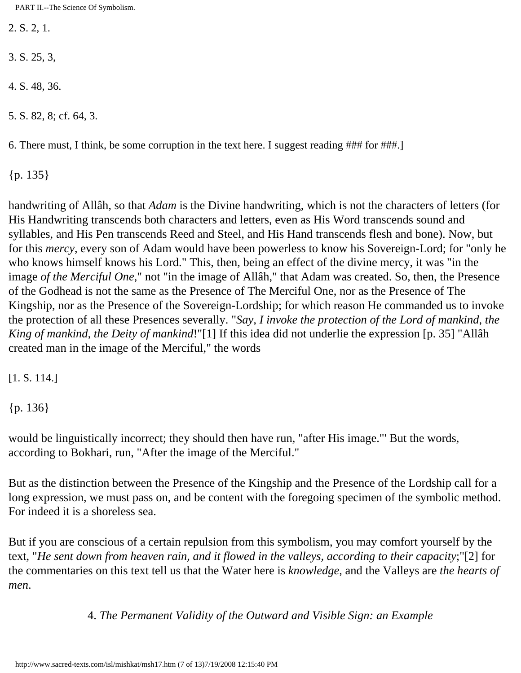2. S. 2, 1.

3. S. 25, 3,

4. S. 48, 36.

5. S. 82, 8; cf. 64, 3.

6. There must, I think, be some corruption in the text here. I suggest reading ### for ###.]

{p. 135}

handwriting of Allâh, so that *Adam* is the Divine handwriting, which is not the characters of letters (for His Handwriting transcends both characters and letters, even as His Word transcends sound and syllables, and His Pen transcends Reed and Steel, and His Hand transcends flesh and bone). Now, but for this *mercy*, every son of Adam would have been powerless to know his Sovereign-Lord; for "only he who knows himself knows his Lord." This, then, being an effect of the divine mercy, it was "in the image *of the Merciful One*," not "in the image of Allâh," that Adam was created. So, then, the Presence of the Godhead is not the same as the Presence of The Merciful One, nor as the Presence of The Kingship, nor as the Presence of the Sovereign-Lordship; for which reason He commanded us to invoke the protection of all these Presences severally. "*Say, I invoke the protection of the Lord of mankind, the King of mankind, the Deity of mankind*!"[1] If this idea did not underlie the expression [p. 35] "Allâh created man in the image of the Merciful," the words

[1. S. 114.]

{p. 136}

would be linguistically incorrect; they should then have run, "after His image."' But the words, according to Bokhari, run, "After the image of the Merciful."

But as the distinction between the Presence of the Kingship and the Presence of the Lordship call for a long expression, we must pass on, and be content with the foregoing specimen of the symbolic method. For indeed it is a shoreless sea.

But if you are conscious of a certain repulsion from this symbolism, you may comfort yourself by the text, "*He sent down from heaven rain, and it flowed in the valleys, according to their capacity*;"[2] for the commentaries on this text tell us that the Water here is *knowledge*, and the Valleys are *the hearts of men*.

4. *The Permanent Validity of the Outward and Visible Sign: an Example*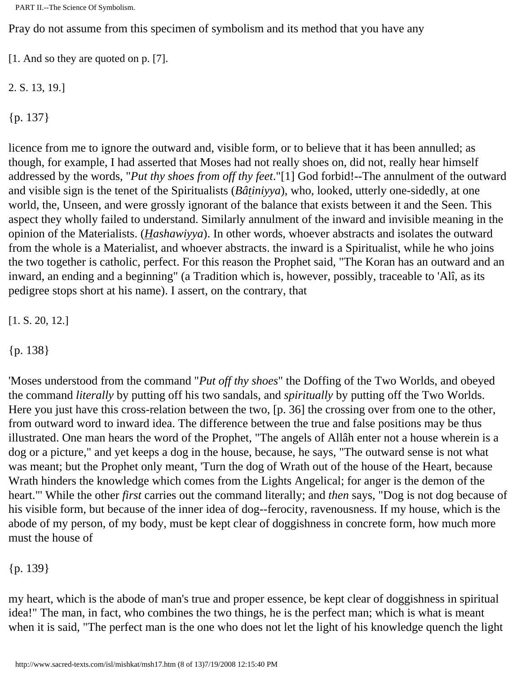Pray do not assume from this specimen of symbolism and its method that you have any

[1. And so they are quoted on p. [7].

2. S. 13, 19.]

{p. 137}

licence from me to ignore the outward and, visible form, or to believe that it has been annulled; as though, for example, I had asserted that Moses had not really shoes on, did not, really hear himself addressed by the words, "*Put thy shoes from off thy feet*."[1] God forbid!--The annulment of the outward and visible sign is the tenet of the Spiritualists (*Bâtiniyya*), who, looked, utterly one-sidedly, at one world, the, Unseen, and were grossly ignorant of the balance that exists between it and the Seen. This aspect they wholly failed to understand. Similarly annulment of the inward and invisible meaning in the opinion of the Materialists. (*Hashawiyya*). In other words, whoever abstracts and isolates the outward from the whole is a Materialist, and whoever abstracts. the inward is a Spiritualist, while he who joins the two together is catholic, perfect. For this reason the Prophet said, "The Koran has an outward and an inward, an ending and a beginning" (a Tradition which is, however, possibly, traceable to 'Alî, as its pedigree stops short at his name). I assert, on the contrary, that

[1. S. 20, 12.]

{p. 138}

'Moses understood from the command "*Put off thy shoes*" the Doffing of the Two Worlds, and obeyed the command *literally* by putting off his two sandals, and *spiritually* by putting off the Two Worlds. Here you just have this cross-relation between the two, [p. 36] the crossing over from one to the other, from outward word to inward idea. The difference between the true and false positions may be thus illustrated. One man hears the word of the Prophet, "The angels of Allâh enter not a house wherein is a dog or a picture," and yet keeps a dog in the house, because, he says, "The outward sense is not what was meant; but the Prophet only meant, 'Turn the dog of Wrath out of the house of the Heart, because Wrath hinders the knowledge which comes from the Lights Angelical; for anger is the demon of the heart."' While the other *first* carries out the command literally; and *then* says, "Dog is not dog because of his visible form, but because of the inner idea of dog--ferocity, ravenousness. If my house, which is the abode of my person, of my body, must be kept clear of doggishness in concrete form, how much more must the house of

{p. 139}

my heart, which is the abode of man's true and proper essence, be kept clear of doggishness in spiritual idea!" The man, in fact, who combines the two things, he is the perfect man; which is what is meant when it is said, "The perfect man is the one who does not let the light of his knowledge quench the light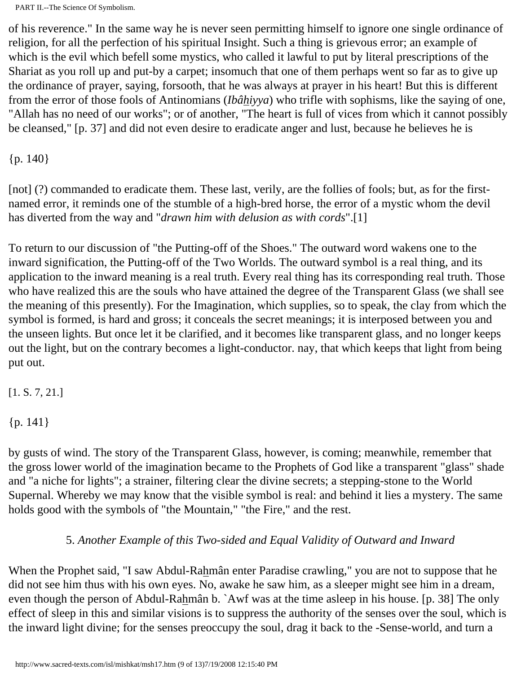of his reverence." In the same way he is never seen permitting himself to ignore one single ordinance of religion, for all the perfection of his spiritual Insight. Such a thing is grievous error; an example of which is the evil which befell some mystics, who called it lawful to put by literal prescriptions of the Shariat as you roll up and put-by a carpet; insomuch that one of them perhaps went so far as to give up the ordinance of prayer, saying, forsooth, that he was always at prayer in his heart! But this is different from the error of those fools of Antinomians (*Ibâhiyya*) who trifle with sophisms, like the saying of one, "Allah has no need of our works"; or of another, "The heart is full of vices from which it cannot possibly be cleansed," [p. 37] and did not even desire to eradicate anger and lust, because he believes he is

{p. 140}

[not] (?) commanded to eradicate them. These last, verily, are the follies of fools; but, as for the firstnamed error, it reminds one of the stumble of a high-bred horse, the error of a mystic whom the devil has diverted from the way and "*drawn him with delusion as with cords*".[1]

To return to our discussion of "the Putting-off of the Shoes." The outward word wakens one to the inward signification, the Putting-off of the Two Worlds. The outward symbol is a real thing, and its application to the inward meaning is a real truth. Every real thing has its corresponding real truth. Those who have realized this are the souls who have attained the degree of the Transparent Glass (we shall see the meaning of this presently). For the Imagination, which supplies, so to speak, the clay from which the symbol is formed, is hard and gross; it conceals the secret meanings; it is interposed between you and the unseen lights. But once let it be clarified, and it becomes like transparent glass, and no longer keeps out the light, but on the contrary becomes a light-conductor. nay, that which keeps that light from being put out.

[1. S. 7, 21.]

{p. 141}

by gusts of wind. The story of the Transparent Glass, however, is coming; meanwhile, remember that the gross lower world of the imagination became to the Prophets of God like a transparent "glass" shade and "a niche for lights"; a strainer, filtering clear the divine secrets; a stepping-stone to the World Supernal. Whereby we may know that the visible symbol is real: and behind it lies a mystery. The same holds good with the symbols of "the Mountain," "the Fire," and the rest.

## 5. *Another Example of this Two-sided and Equal Validity of Outward and Inward*

When the Prophet said, "I saw Abdul-Rahmân enter Paradise crawling," you are not to suppose that he did not see him thus with his own eyes. No, awake he saw him, as a sleeper might see him in a dream, even though the person of Abdul-Rahmân b. `Awf was at the time asleep in his house. [p. 38] The only effect of sleep in this and similar visions is to suppress the authority of the senses over the soul, which is the inward light divine; for the senses preoccupy the soul, drag it back to the -Sense-world, and turn a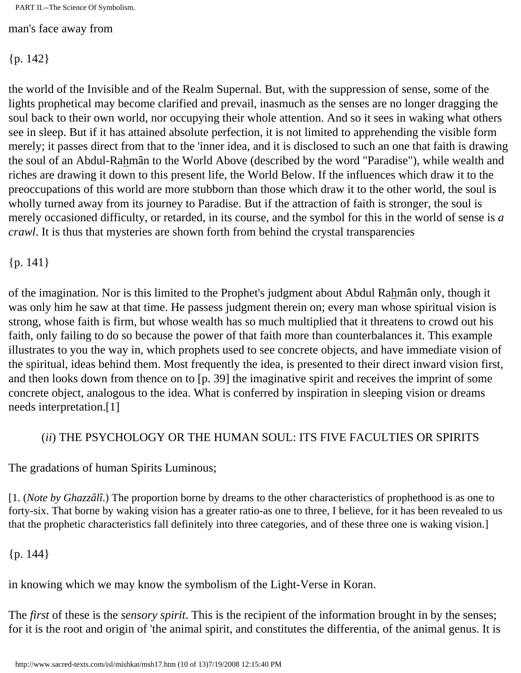man's face away from

{p. 142}

the world of the Invisible and of the Realm Supernal. But, with the suppression of sense, some of the lights prophetical may become clarified and prevail, inasmuch as the senses are no longer dragging the soul back to their own world, nor occupying their whole attention. And so it sees in waking what others see in sleep. But if it has attained absolute perfection, it is not limited to apprehending the visible form merely; it passes direct from that to the 'inner idea, and it is disclosed to such an one that faith is drawing the soul of an Abdul-Rahmân to the World Above (described by the word "Paradise"), while wealth and riches are drawing it down to this present life, the World Below. If the influences which draw it to the preoccupations of this world are more stubborn than those which draw it to the other world, the soul is wholly turned away from its journey to Paradise. But if the attraction of faith is stronger, the soul is merely occasioned difficulty, or retarded, in its course, and the symbol for this in the world of sense is *a crawl*. It is thus that mysteries are shown forth from behind the crystal transparencies

#### {p. 141}

of the imagination. Nor is this limited to the Prophet's judgment about Abdul Rahmân only, though it was only him he saw at that time. He passess judgment therein on; every man whose spiritual vision is strong, whose faith is firm, but whose wealth has so much multiplied that it threatens to crowd out his faith, only failing to do so because the power of that faith more than counterbalances it. This example illustrates to you the way in, which prophets used to see concrete objects, and have immediate vision of the spiritual, ideas behind them. Most frequently the idea, is presented to their direct inward vision first, and then looks down from thence on to [p. 39] the imaginative spirit and receives the imprint of some concrete object, analogous to the idea. What is conferred by inspiration in sleeping vision or dreams needs interpretation.[1]

#### (*ii*) THE PSYCHOLOGY OR THE HUMAN SOUL: ITS FIVE FACULTIES OR SPIRITS

The gradations of human Spirits Luminous;

[1. (*Note by Ghazzâlî*.) The proportion borne by dreams to the other characteristics of prophethood is as one to forty-six. That borne by waking vision has a greater ratio-as one to three, I believe, for it has been revealed to us that the prophetic characteristics fall definitely into three categories, and of these three one is waking vision.]

{p. 144}

in knowing which we may know the symbolism of the Light-Verse in Koran.

The *first* of these is the *sensory spirit*. This is the recipient of the information brought in by the senses; for it is the root and origin of 'the animal spirit, and constitutes the differentia, of the animal genus. It is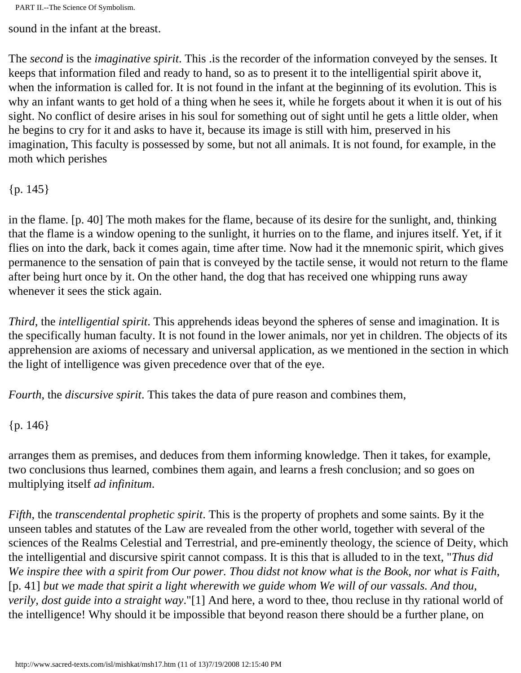sound in the infant at the breast.

The *second* is the *imaginative spirit*. This .is the recorder of the information conveyed by the senses. It keeps that information filed and ready to hand, so as to present it to the intelligential spirit above it, when the information is called for. It is not found in the infant at the beginning of its evolution. This is why an infant wants to get hold of a thing when he sees it, while he forgets about it when it is out of his sight. No conflict of desire arises in his soul for something out of sight until he gets a little older, when he begins to cry for it and asks to have it, because its image is still with him, preserved in his imagination, This faculty is possessed by some, but not all animals. It is not found, for example, in the moth which perishes

{p. 145}

in the flame. [p. 40] The moth makes for the flame, because of its desire for the sunlight, and, thinking that the flame is a window opening to the sunlight, it hurries on to the flame, and injures itself. Yet, if it flies on into the dark, back it comes again, time after time. Now had it the mnemonic spirit, which gives permanence to the sensation of pain that is conveyed by the tactile sense, it would not return to the flame after being hurt once by it. On the other hand, the dog that has received one whipping runs away whenever it sees the stick again.

*Third*, the *intelligential spirit*. This apprehends ideas beyond the spheres of sense and imagination. It is the specifically human faculty. It is not found in the lower animals, nor yet in children. The objects of its apprehension are axioms of necessary and universal application, as we mentioned in the section in which the light of intelligence was given precedence over that of the eye.

*Fourth*, the *discursive spirit*. This takes the data of pure reason and combines them,

{p. 146}

arranges them as premises, and deduces from them informing knowledge. Then it takes, for example, two conclusions thus learned, combines them again, and learns a fresh conclusion; and so goes on multiplying itself *ad infinitum*.

*Fifth*, the *transcendental prophetic spirit*. This is the property of prophets and some saints. By it the unseen tables and statutes of the Law are revealed from the other world, together with several of the sciences of the Realms Celestial and Terrestrial, and pre-eminently theology, the science of Deity, which the intelligential and discursive spirit cannot compass. It is this that is alluded to in the text, "*Thus did We inspire thee with a spirit from Our power. Thou didst not know what is the Book, nor what is Faith*, [p. 41] *but we made that spirit a light wherewith we guide whom We will of our vassals. And thou, verily, dost guide into a straight way*."[1] And here, a word to thee, thou recluse in thy rational world of the intelligence! Why should it be impossible that beyond reason there should be a further plane, on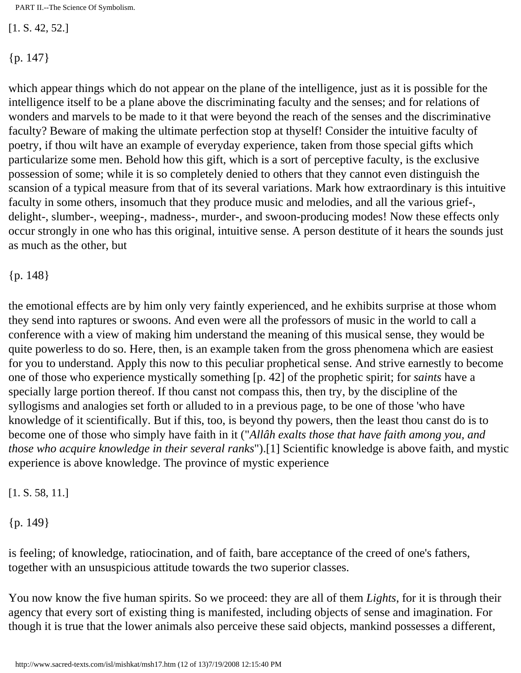[1. S. 42, 52.]

 ${p. 147}$ 

which appear things which do not appear on the plane of the intelligence, just as it is possible for the intelligence itself to be a plane above the discriminating faculty and the senses; and for relations of wonders and marvels to be made to it that were beyond the reach of the senses and the discriminative faculty? Beware of making the ultimate perfection stop at thyself! Consider the intuitive faculty of poetry, if thou wilt have an example of everyday experience, taken from those special gifts which particularize some men. Behold how this gift, which is a sort of perceptive faculty, is the exclusive possession of some; while it is so completely denied to others that they cannot even distinguish the scansion of a typical measure from that of its several variations. Mark how extraordinary is this intuitive faculty in some others, insomuch that they produce music and melodies, and all the various grief-, delight-, slumber-, weeping-, madness-, murder-, and swoon-producing modes! Now these effects only occur strongly in one who has this original, intuitive sense. A person destitute of it hears the sounds just as much as the other, but

{p. 148}

the emotional effects are by him only very faintly experienced, and he exhibits surprise at those whom they send into raptures or swoons. And even were all the professors of music in the world to call a conference with a view of making him understand the meaning of this musical sense, they would be quite powerless to do so. Here, then, is an example taken from the gross phenomena which are easiest for you to understand. Apply this now to this peculiar prophetical sense. And strive earnestly to become one of those who experience mystically something [p. 42] of the prophetic spirit; for *saints* have a specially large portion thereof. If thou canst not compass this, then try, by the discipline of the syllogisms and analogies set forth or alluded to in a previous page, to be one of those 'who have knowledge of it scientifically. But if this, too, is beyond thy powers, then the least thou canst do is to become one of those who simply have faith in it ("*Allâh exalts those that have faith among you, and those who acquire knowledge in their several ranks*").[1] Scientific knowledge is above faith, and mystic experience is above knowledge. The province of mystic experience

#### [1. S. 58, 11.]

{p. 149}

is feeling; of knowledge, ratiocination, and of faith, bare acceptance of the creed of one's fathers, together with an unsuspicious attitude towards the two superior classes.

You now know the five human spirits. So we proceed: they are all of them *Lights*, for it is through their agency that every sort of existing thing is manifested, including objects of sense and imagination. For though it is true that the lower animals also perceive these said objects, mankind possesses a different,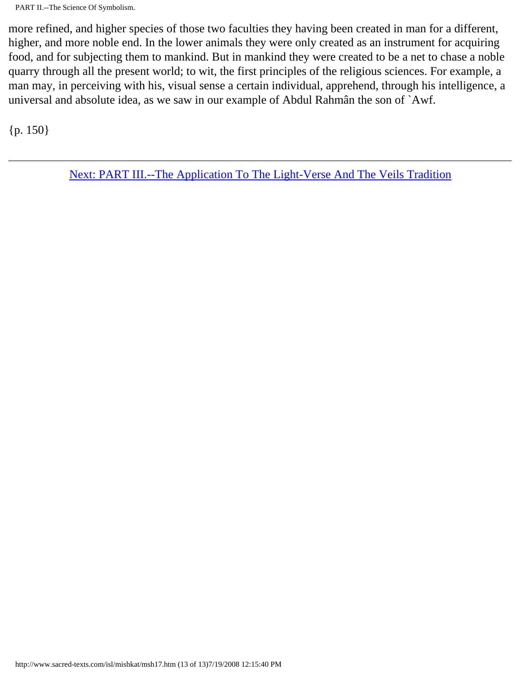more refined, and higher species of those two faculties they having been created in man for a different, higher, and more noble end. In the lower animals they were only created as an instrument for acquiring food, and for subjecting them to mankind. But in mankind they were created to be a net to chase a noble quarry through all the present world; to wit, the first principles of the religious sciences. For example, a man may, in perceiving with his, visual sense a certain individual, apprehend, through his intelligence, a universal and absolute idea, as we saw in our example of Abdul Rahmân the son of `Awf.

{p. 150}

[Next: PART III.--The Application To The Light-Verse And The Veils Tradition](#page-80-0)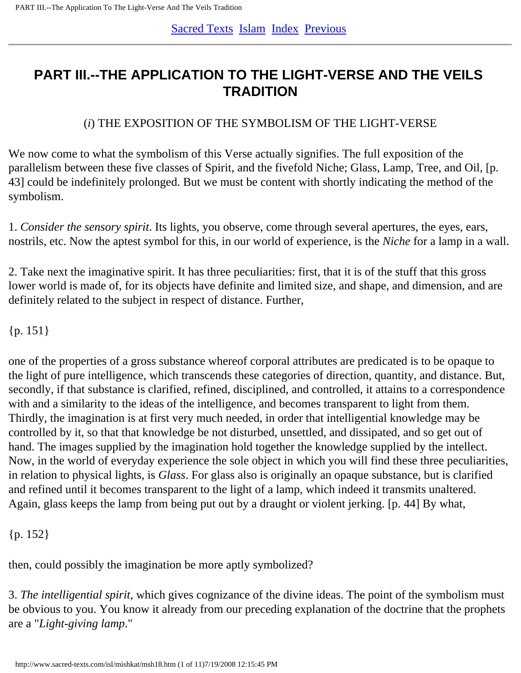# <span id="page-80-0"></span>**PART III.--THE APPLICATION TO THE LIGHT-VERSE AND THE VEILS TRADITION**

# (*i*) THE EXPOSITION OF THE SYMBOLISM OF THE LIGHT-VERSE

We now come to what the symbolism of this Verse actually signifies. The full exposition of the parallelism between these five classes of Spirit, and the fivefold Niche; Glass, Lamp, Tree, and Oil, [p. 43] could be indefinitely prolonged. But we must be content with shortly indicating the method of the symbolism.

1. *Consider the sensory spirit*. Its lights, you observe, come through several apertures, the eyes, ears, nostrils, etc. Now the aptest symbol for this, in our world of experience, is the *Niche* for a lamp in a wall.

2. Take next the imaginative spirit. It has three peculiarities: first, that it is of the stuff that this gross lower world is made of, for its objects have definite and limited size, and shape, and dimension, and are definitely related to the subject in respect of distance. Further,

 ${p. 151}$ 

one of the properties of a gross substance whereof corporal attributes are predicated is to be opaque to the light of pure intelligence, which transcends these categories of direction, quantity, and distance. But, secondly, if that substance is clarified, refined, disciplined, and controlled, it attains to a correspondence with and a similarity to the ideas of the intelligence, and becomes transparent to light from them. Thirdly, the imagination is at first very much needed, in order that intelligential knowledge may be controlled by it, so that that knowledge be not disturbed, unsettled, and dissipated, and so get out of hand. The images supplied by the imagination hold together the knowledge supplied by the intellect. Now, in the world of everyday experience the sole object in which you will find these three peculiarities, in relation to physical lights, is *Glass*. For glass also is originally an opaque substance, but is clarified and refined until it becomes transparent to the light of a lamp, which indeed it transmits unaltered. Again, glass keeps the lamp from being put out by a draught or violent jerking. [p. 44] By what,

{p. 152}

then, could possibly the imagination be more aptly symbolized?

3. *The intelligential spirit*, which gives cognizance of the divine ideas. The point of the symbolism must be obvious to you. You know it already from our preceding explanation of the doctrine that the prophets are a "*Light-giving lamp*."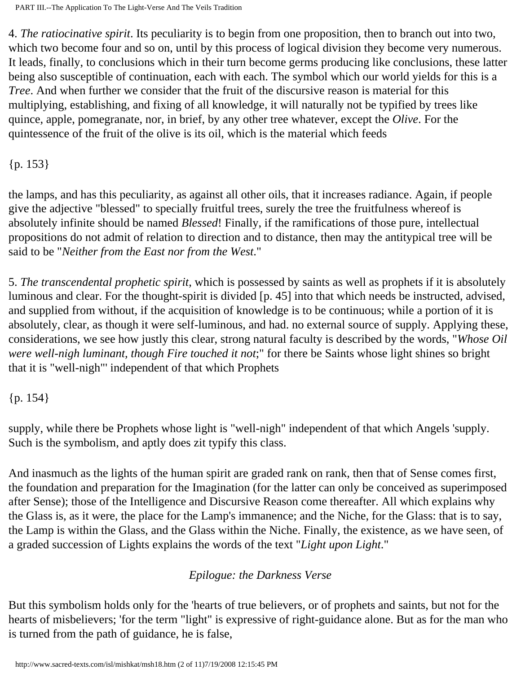4. *The ratiocinative spirit*. Its peculiarity is to begin from one proposition, then to branch out into two, which two become four and so on, until by this process of logical division they become very numerous. It leads, finally, to conclusions which in their turn become germs producing like conclusions, these latter being also susceptible of continuation, each with each. The symbol which our world yields for this is a *Tree*. And when further we consider that the fruit of the discursive reason is material for this multiplying, establishing, and fixing of all knowledge, it will naturally not be typified by trees like quince, apple, pomegranate, nor, in brief, by any other tree whatever, except the *Olive*. For the quintessence of the fruit of the olive is its oil, which is the material which feeds

{p. 153}

the lamps, and has this peculiarity, as against all other oils, that it increases radiance. Again, if people give the adjective "blessed" to specially fruitful trees, surely the tree the fruitfulness whereof is absolutely infinite should be named *Blessed*! Finally, if the ramifications of those pure, intellectual propositions do not admit of relation to direction and to distance, then may the antitypical tree will be said to be "*Neither from the East nor from the West*."

5. *The transcendental prophetic spirit*, which is possessed by saints as well as prophets if it is absolutely luminous and clear. For the thought-spirit is divided [p. 45] into that which needs be instructed, advised, and supplied from without, if the acquisition of knowledge is to be continuous; while a portion of it is absolutely, clear, as though it were self-luminous, and had. no external source of supply. Applying these, considerations, we see how justly this clear, strong natural faculty is described by the words, "*Whose Oil were well-nigh luminant, though Fire touched it not*;" for there be Saints whose light shines so bright that it is "well-nigh"' independent of that which Prophets

 ${p. 154}$ 

supply, while there be Prophets whose light is "well-nigh" independent of that which Angels 'supply. Such is the symbolism, and aptly does zit typify this class.

And inasmuch as the lights of the human spirit are graded rank on rank, then that of Sense comes first, the foundation and preparation for the Imagination (for the latter can only be conceived as superimposed after Sense); those of the Intelligence and Discursive Reason come thereafter. All which explains why the Glass is, as it were, the place for the Lamp's immanence; and the Niche, for the Glass: that is to say, the Lamp is within the Glass, and the Glass within the Niche. Finally, the existence, as we have seen, of a graded succession of Lights explains the words of the text "*Light upon Light*."

# *Epilogue: the Darkness Verse*

But this symbolism holds only for the 'hearts of true believers, or of prophets and saints, but not for the hearts of misbelievers; 'for the term "light" is expressive of right-guidance alone. But as for the man who is turned from the path of guidance, he is false,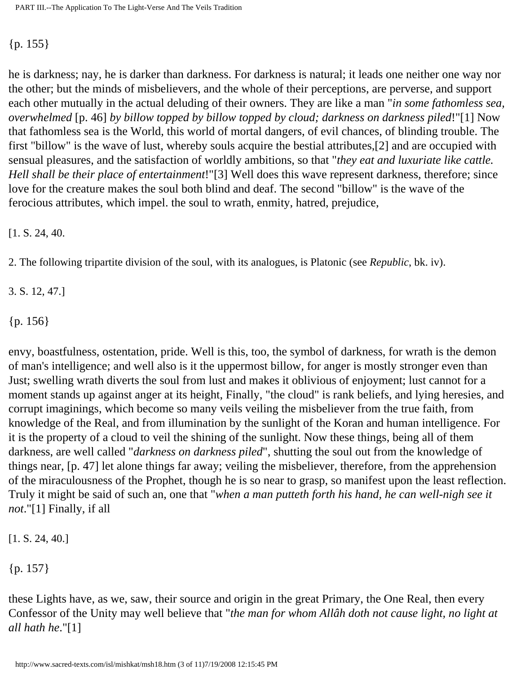#### {p. 155}

he is darkness; nay, he is darker than darkness. For darkness is natural; it leads one neither one way nor the other; but the minds of misbelievers, and the whole of their perceptions, are perverse, and support each other mutually in the actual deluding of their owners. They are like a man "*in some fathomless sea, overwhelmed* [p. 46] *by billow topped by billow topped by cloud; darkness on darkness piled*!"[1] Now that fathomless sea is the World, this world of mortal dangers, of evil chances, of blinding trouble. The first "billow" is the wave of lust, whereby souls acquire the bestial attributes,[2] and are occupied with sensual pleasures, and the satisfaction of worldly ambitions, so that "*they eat and luxuriate like cattle. Hell shall be their place of entertainment*!"[3] Well does this wave represent darkness, therefore; since love for the creature makes the soul both blind and deaf. The second "billow" is the wave of the ferocious attributes, which impel. the soul to wrath, enmity, hatred, prejudice,

[1. S. 24, 40.

2. The following tripartite division of the soul, with its analogues, is Platonic (see *Republic*, bk. iv).

3. S. 12, 47.]

{p. 156}

envy, boastfulness, ostentation, pride. Well is this, too, the symbol of darkness, for wrath is the demon of man's intelligence; and well also is it the uppermost billow, for anger is mostly stronger even than Just; swelling wrath diverts the soul from lust and makes it oblivious of enjoyment; lust cannot for a moment stands up against anger at its height, Finally, "the cloud" is rank beliefs, and lying heresies, and corrupt imaginings, which become so many veils veiling the misbeliever from the true faith, from knowledge of the Real, and from illumination by the sunlight of the Koran and human intelligence. For it is the property of a cloud to veil the shining of the sunlight. Now these things, being all of them darkness, are well called "*darkness on darkness piled*", shutting the soul out from the knowledge of things near, [p. 47] let alone things far away; veiling the misbeliever, therefore, from the apprehension of the miraculousness of the Prophet, though he is so near to grasp, so manifest upon the least reflection. Truly it might be said of such an, one that "*when a man putteth forth his hand, he can well-nigh see it not*."[1] Finally, if all

[1. S. 24, 40.]

{p. 157}

these Lights have, as we, saw, their source and origin in the great Primary, the One Real, then every Confessor of the Unity may well believe that "*the man for whom Allâh doth not cause light, no light at all hath he*."[1]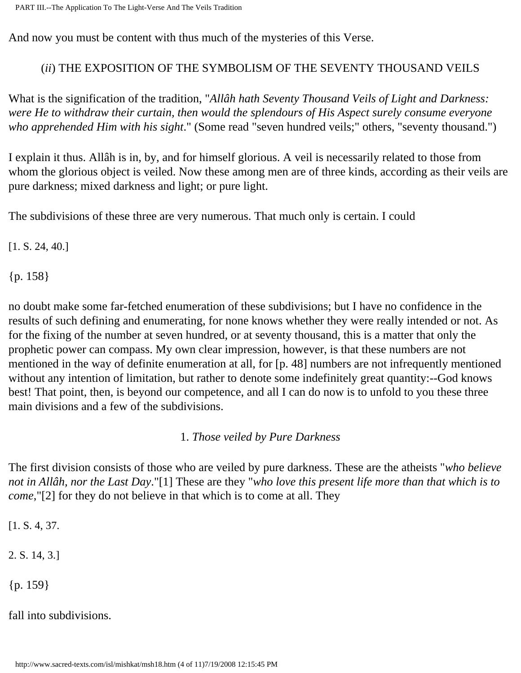And now you must be content with thus much of the mysteries of this Verse.

#### (*ii*) THE EXPOSITION OF THE SYMBOLISM OF THE SEVENTY THOUSAND VEILS

What is the signification of the tradition, "*Allâh hath Seventy Thousand Veils of Light and Darkness: were He to withdraw their curtain, then would the splendours of His Aspect surely consume everyone who apprehended Him with his sight*." (Some read "seven hundred veils;" others, "seventy thousand.")

I explain it thus. Allâh is in, by, and for himself glorious. A veil is necessarily related to those from whom the glorious object is veiled. Now these among men are of three kinds, according as their veils are pure darkness; mixed darkness and light; or pure light.

The subdivisions of these three are very numerous. That much only is certain. I could

[1. S. 24, 40.]

{p. 158}

no doubt make some far-fetched enumeration of these subdivisions; but I have no confidence in the results of such defining and enumerating, for none knows whether they were really intended or not. As for the fixing of the number at seven hundred, or at seventy thousand, this is a matter that only the prophetic power can compass. My own clear impression, however, is that these numbers are not mentioned in the way of definite enumeration at all, for [p. 48] numbers are not infrequently mentioned without any intention of limitation, but rather to denote some indefinitely great quantity:--God knows best! That point, then, is beyond our competence, and all I can do now is to unfold to you these three main divisions and a few of the subdivisions.

1. *Those veiled by Pure Darkness*

The first division consists of those who are veiled by pure darkness. These are the atheists "*who believe not in Allâh, nor the Last Day*."[1] These are they "*who love this present life more than that which is to come*,"[2] for they do not believe in that which is to come at all. They

[1. S. 4, 37.

2. S. 14, 3.]

{p. 159}

fall into subdivisions.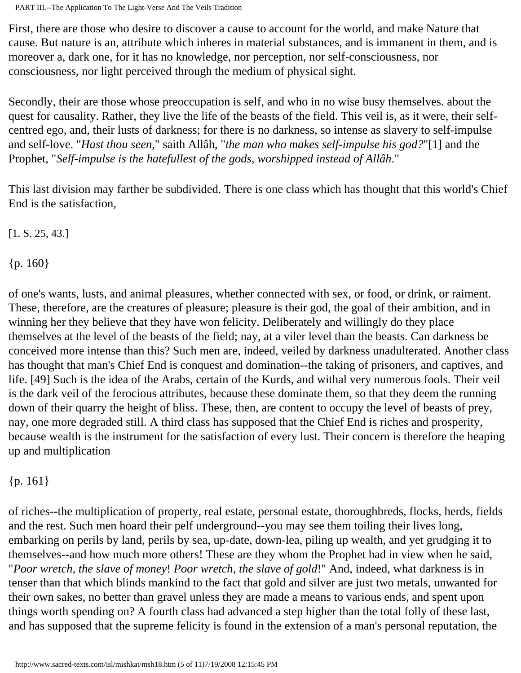First, there are those who desire to discover a cause to account for the world, and make Nature that cause. But nature is an, attribute which inheres in material substances, and is immanent in them, and is moreover a, dark one, for it has no knowledge, nor perception, nor self-consciousness, nor consciousness, nor light perceived through the medium of physical sight.

Secondly, their are those whose preoccupation is self, and who in no wise busy themselves. about the quest for causality. Rather, they live the life of the beasts of the field. This veil is, as it were, their selfcentred ego, and, their lusts of darkness; for there is no darkness, so intense as slavery to self-impulse and self-love. "*Hast thou seen*," saith Allâh, "*the man who makes self-impulse his god?*"[1] and the Prophet, "*Self-impulse is the hatefullest of the gods, worshipped instead of Allâh*."

This last division may farther be subdivided. There is one class which has thought that this world's Chief End is the satisfaction,

[1. S. 25, 43.]

 ${p. 160}$ 

of one's wants, lusts, and animal pleasures, whether connected with sex, or food, or drink, or raiment. These, therefore, are the creatures of pleasure; pleasure is their god, the goal of their ambition, and in winning her they believe that they have won felicity. Deliberately and willingly do they place themselves at the level of the beasts of the field; nay, at a viler level than the beasts. Can darkness be conceived more intense than this? Such men are, indeed, veiled by darkness unadulterated. Another class has thought that man's Chief End is conquest and domination--the taking of prisoners, and captives, and life. [49] Such is the idea of the Arabs, certain of the Kurds, and withal very numerous fools. Their veil is the dark veil of the ferocious attributes, because these dominate them, so that they deem the running down of their quarry the height of bliss. These, then, are content to occupy the level of beasts of prey, nay, one more degraded still. A third class has supposed that the Chief End is riches and prosperity, because wealth is the instrument for the satisfaction of every lust. Their concern is therefore the heaping up and multiplication

# {p. 161}

of riches--the multiplication of property, real estate, personal estate, thoroughbreds, flocks, herds, fields and the rest. Such men hoard their pelf underground--you may see them toiling their lives long, embarking on perils by land, perils by sea, up-date, down-lea, piling up wealth, and yet grudging it to themselves--and how much more others! These are they whom the Prophet had in view when he said, "*Poor wretch, the slave of money*! *Poor wretch, the slave of gold*!" And, indeed, what darkness is in tenser than that which blinds mankind to the fact that gold and silver are just two metals, unwanted for their own sakes, no better than gravel unless they are made a means to various ends, and spent upon things worth spending on? A fourth class had advanced a step higher than the total folly of these last, and has supposed that the supreme felicity is found in the extension of a man's personal reputation, the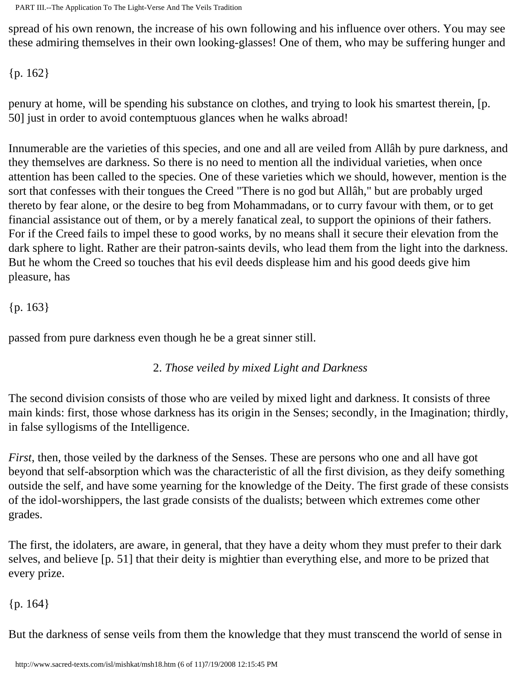PART III.--The Application To The Light-Verse And The Veils Tradition

spread of his own renown, the increase of his own following and his influence over others. You may see these admiring themselves in their own looking-glasses! One of them, who may be suffering hunger and

{p. 162}

penury at home, will be spending his substance on clothes, and trying to look his smartest therein, [p. 50] just in order to avoid contemptuous glances when he walks abroad!

Innumerable are the varieties of this species, and one and all are veiled from Allâh by pure darkness, and they themselves are darkness. So there is no need to mention all the individual varieties, when once attention has been called to the species. One of these varieties which we should, however, mention is the sort that confesses with their tongues the Creed "There is no god but Allâh," but are probably urged thereto by fear alone, or the desire to beg from Mohammadans, or to curry favour with them, or to get financial assistance out of them, or by a merely fanatical zeal, to support the opinions of their fathers. For if the Creed fails to impel these to good works, by no means shall it secure their elevation from the dark sphere to light. Rather are their patron-saints devils, who lead them from the light into the darkness. But he whom the Creed so touches that his evil deeds displease him and his good deeds give him pleasure, has

{p. 163}

passed from pure darkness even though he be a great sinner still.

## 2. *Those veiled by mixed Light and Darkness*

The second division consists of those who are veiled by mixed light and darkness. It consists of three main kinds: first, those whose darkness has its origin in the Senses; secondly, in the Imagination; thirdly, in false syllogisms of the Intelligence.

*First*, then, those veiled by the darkness of the Senses. These are persons who one and all have got beyond that self-absorption which was the characteristic of all the first division, as they deify something outside the self, and have some yearning for the knowledge of the Deity. The first grade of these consists of the idol-worshippers, the last grade consists of the dualists; between which extremes come other grades.

The first, the idolaters, are aware, in general, that they have a deity whom they must prefer to their dark selves, and believe [p. 51] that their deity is mightier than everything else, and more to be prized that every prize.

 ${p. 164}$ 

But the darkness of sense veils from them the knowledge that they must transcend the world of sense in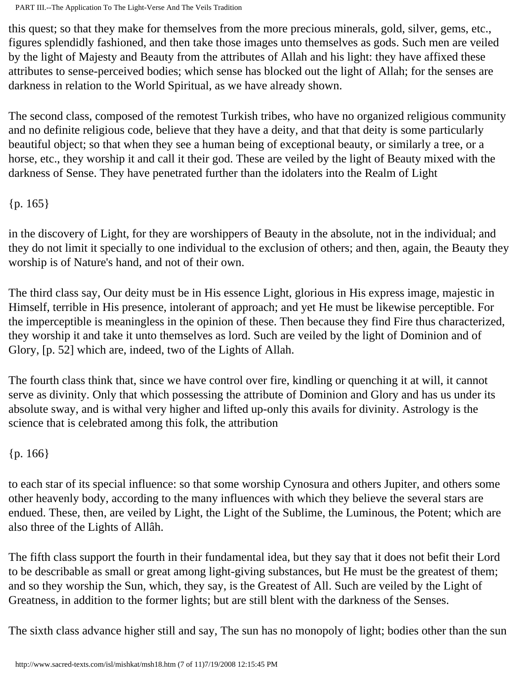this quest; so that they make for themselves from the more precious minerals, gold, silver, gems, etc., figures splendidly fashioned, and then take those images unto themselves as gods. Such men are veiled by the light of Majesty and Beauty from the attributes of Allah and his light: they have affixed these attributes to sense-perceived bodies; which sense has blocked out the light of Allah; for the senses are darkness in relation to the World Spiritual, as we have already shown.

The second class, composed of the remotest Turkish tribes, who have no organized religious community and no definite religious code, believe that they have a deity, and that that deity is some particularly beautiful object; so that when they see a human being of exceptional beauty, or similarly a tree, or a horse, etc., they worship it and call it their god. These are veiled by the light of Beauty mixed with the darkness of Sense. They have penetrated further than the idolaters into the Realm of Light

 ${p. 165}$ 

in the discovery of Light, for they are worshippers of Beauty in the absolute, not in the individual; and they do not limit it specially to one individual to the exclusion of others; and then, again, the Beauty they worship is of Nature's hand, and not of their own.

The third class say, Our deity must be in His essence Light, glorious in His express image, majestic in Himself, terrible in His presence, intolerant of approach; and yet He must be likewise perceptible. For the imperceptible is meaningless in the opinion of these. Then because they find Fire thus characterized, they worship it and take it unto themselves as lord. Such are veiled by the light of Dominion and of Glory, [p. 52] which are, indeed, two of the Lights of Allah.

The fourth class think that, since we have control over fire, kindling or quenching it at will, it cannot serve as divinity. Only that which possessing the attribute of Dominion and Glory and has us under its absolute sway, and is withal very higher and lifted up-only this avails for divinity. Astrology is the science that is celebrated among this folk, the attribution

{p. 166}

to each star of its special influence: so that some worship Cynosura and others Jupiter, and others some other heavenly body, according to the many influences with which they believe the several stars are endued. These, then, are veiled by Light, the Light of the Sublime, the Luminous, the Potent; which are also three of the Lights of Allâh.

The fifth class support the fourth in their fundamental idea, but they say that it does not befit their Lord to be describable as small or great among light-giving substances, but He must be the greatest of them; and so they worship the Sun, which, they say, is the Greatest of All. Such are veiled by the Light of Greatness, in addition to the former lights; but are still blent with the darkness of the Senses.

The sixth class advance higher still and say, The sun has no monopoly of light; bodies other than the sun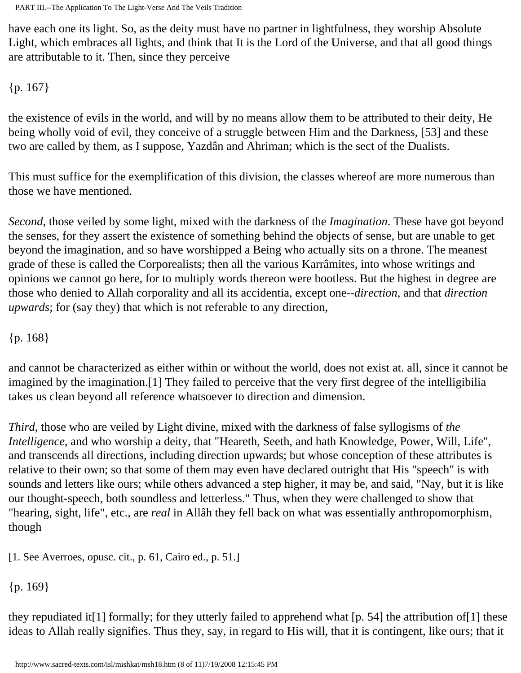have each one its light. So, as the deity must have no partner in lightfulness, they worship Absolute Light, which embraces all lights, and think that It is the Lord of the Universe, and that all good things are attributable to it. Then, since they perceive

{p. 167}

the existence of evils in the world, and will by no means allow them to be attributed to their deity, He being wholly void of evil, they conceive of a struggle between Him and the Darkness, [53] and these two are called by them, as I suppose, Yazdân and Ahriman; which is the sect of the Dualists.

This must suffice for the exemplification of this division, the classes whereof are more numerous than those we have mentioned.

*Second*, those veiled by some light, mixed with the darkness of the *Imagination*. These have got beyond the senses, for they assert the existence of something behind the objects of sense, but are unable to get beyond the imagination, and so have worshipped a Being who actually sits on a throne. The meanest grade of these is called the Corporealists; then all the various Karrâmites, into whose writings and opinions we cannot go here, for to multiply words thereon were bootless. But the highest in degree are those who denied to Allah corporality and all its accidentia, except one--*direction*, and that *direction upwards*; for (say they) that which is not referable to any direction,

{p. 168}

and cannot be characterized as either within or without the world, does not exist at. all, since it cannot be imagined by the imagination.[1] They failed to perceive that the very first degree of the intelligibilia takes us clean beyond all reference whatsoever to direction and dimension.

*Third*, those who are veiled by Light divine, mixed with the darkness of false syllogisms of *the Intelligence*, and who worship a deity, that "Heareth, Seeth, and hath Knowledge, Power, Will, Life", and transcends all directions, including direction upwards; but whose conception of these attributes is relative to their own; so that some of them may even have declared outright that His "speech" is with sounds and letters like ours; while others advanced a step higher, it may be, and said, "Nay, but it is like our thought-speech, both soundless and letterless." Thus, when they were challenged to show that "hearing, sight, life", etc., are *real* in Allâh they fell back on what was essentially anthropomorphism, though

[1. See Averroes, opusc. cit., p. 61, Cairo ed., p. 51.]

{p. 169}

they repudiated it[1] formally; for they utterly failed to apprehend what [p. 54] the attribution of[1] these ideas to Allah really signifies. Thus they, say, in regard to His will, that it is contingent, like ours; that it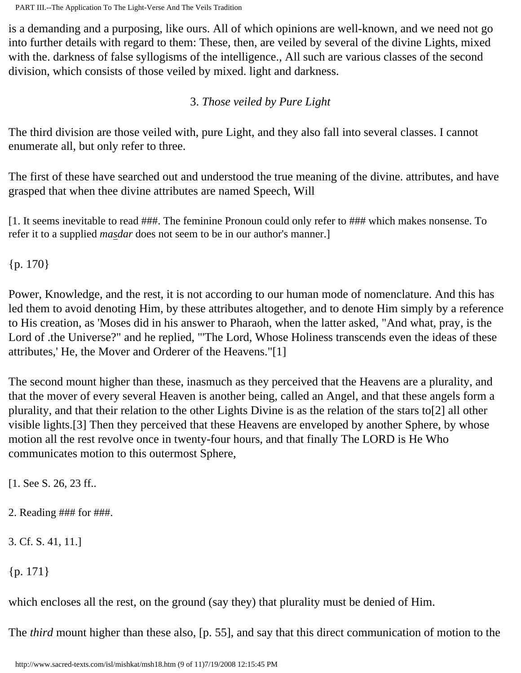is a demanding and a purposing, like ours. All of which opinions are well-known, and we need not go into further details with regard to them: These, then, are veiled by several of the divine Lights, mixed with the. darkness of false syllogisms of the intelligence., All such are various classes of the second division, which consists of those veiled by mixed. light and darkness.

## 3. *Those veiled by Pure Light*

The third division are those veiled with, pure Light, and they also fall into several classes. I cannot enumerate all, but only refer to three.

The first of these have searched out and understood the true meaning of the divine. attributes, and have grasped that when thee divine attributes are named Speech, Will

[1. It seems inevitable to read ###. The feminine Pronoun could only refer to ### which makes nonsense. To refer it to a supplied *masdar* does not seem to be in our author's manner.]

{p. 170}

Power, Knowledge, and the rest, it is not according to our human mode of nomenclature. And this has led them to avoid denoting Him, by these attributes altogether, and to denote Him simply by a reference to His creation, as 'Moses did in his answer to Pharaoh, when the latter asked, "And what, pray, is the Lord of .the Universe?" and he replied, "'The Lord, Whose Holiness transcends even the ideas of these attributes,' He, the Mover and Orderer of the Heavens."[1]

The second mount higher than these, inasmuch as they perceived that the Heavens are a plurality, and that the mover of every several Heaven is another being, called an Angel, and that these angels form a plurality, and that their relation to the other Lights Divine is as the relation of the stars to[2] all other visible lights.[3] Then they perceived that these Heavens are enveloped by another Sphere, by whose motion all the rest revolve once in twenty-four hours, and that finally The LORD is He Who communicates motion to this outermost Sphere,

[1. See S. 26, 23 ff..

- 2. Reading ### for ###.
- 3. Cf. S. 41, 11.]

{p. 171}

which encloses all the rest, on the ground (say they) that plurality must be denied of Him.

The *third* mount higher than these also, [p. 55], and say that this direct communication of motion to the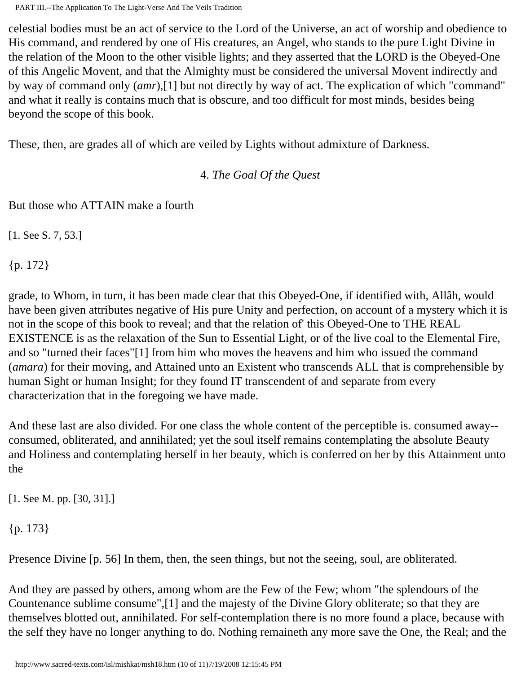celestial bodies must be an act of service to the Lord of the Universe, an act of worship and obedience to His command, and rendered by one of His creatures, an Angel, who stands to the pure Light Divine in the relation of the Moon to the other visible lights; and they asserted that the LORD is the Obeyed-One of this Angelic Movent, and that the Almighty must be considered the universal Movent indirectly and by way of command only (*amr*),[1] but not directly by way of act. The explication of which "command" and what it really is contains much that is obscure, and too difficult for most minds, besides being beyond the scope of this book.

These, then, are grades all of which are veiled by Lights without admixture of Darkness.

4. *The Goal Of the Quest*

But those who ATTAIN make a fourth

[1. See S. 7, 53.]

{p. 172}

grade, to Whom, in turn, it has been made clear that this Obeyed-One, if identified with, Allâh, would have been given attributes negative of His pure Unity and perfection, on account of a mystery which it is not in the scope of this book to reveal; and that the relation of' this Obeyed-One to THE REAL EXISTENCE is as the relaxation of the Sun to Essential Light, or of the live coal to the Elemental Fire, and so "turned their faces"[1] from him who moves the heavens and him who issued the command (*amara*) for their moving, and Attained unto an Existent who transcends ALL that is comprehensible by human Sight or human Insight; for they found IT transcendent of and separate from every characterization that in the foregoing we have made.

And these last are also divided. For one class the whole content of the perceptible is. consumed away- consumed, obliterated, and annihilated; yet the soul itself remains contemplating the absolute Beauty and Holiness and contemplating herself in her beauty, which is conferred on her by this Attainment unto the

[1. See M. pp. [30, 31].]

{p. 173}

Presence Divine [p. 56] In them, then, the seen things, but not the seeing, soul, are obliterated.

And they are passed by others, among whom are the Few of the Few; whom "the splendours of the Countenance sublime consume",[1] and the majesty of the Divine Glory obliterate; so that they are themselves blotted out, annihilated. For self-contemplation there is no more found a place, because with the self they have no longer anything to do. Nothing remaineth any more save the One, the Real; and the